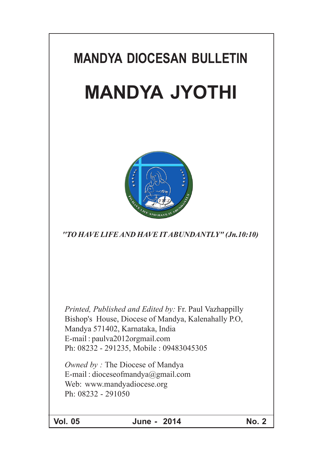# **MANDYA JYOTHI MANDYA DIOCESAN BULLETIN**



*''TO HAVE LIFE AND HAVE IT ABUNDANTLY" (Jn.10:10)*

*Printed, Published and Edited by:* Fr. Paul Vazhappilly Bishop's House, Diocese of Mandya, Kalenahally P.O, Mandya 571402, Karnataka, India E-mail : paulva2012orgmail.com Ph: 08232 - 291235, Mobile : 09483045305

*Owned by :* The Diocese of Mandya E-mail : dioceseofmandya@gmail.com Web: www.mandyadiocese.org Ph: 08232 - 291050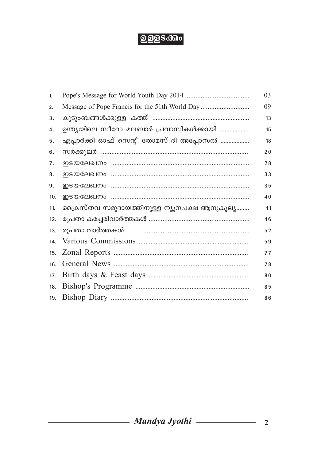# <u>ഉള്ളടക്കം</u>

| 1.  |                                               | 03 |
|-----|-----------------------------------------------|----|
| 2.  |                                               | 09 |
| 3.  |                                               | 13 |
| 4.  | ഉന്ത്യയിലെ സീറോ മലബാർ പ്രവാസികൾക്കായി         | 15 |
| 5.  | എപ്പാർക്കി ഓഫ് സെന്റ് തോമസ് ദി അപ്പോസൽ        | 18 |
| 6.  |                                               | 20 |
| 7.  |                                               | 28 |
| 8.  |                                               | 33 |
| 9.  |                                               | 35 |
| 10. |                                               | 40 |
| 11. | ക്രൈസ്തവ സമുദായത്തിനുള്ള ന്യൂനപക്ഷ ആനുകുല്യ…… | 41 |
| 12. |                                               | 46 |
| 13. | രൂപതാ വാർത്തകൾ                                | 52 |
| 14. |                                               | 59 |
| 15. |                                               | 77 |
| 16. |                                               | 78 |
| 17. |                                               | 80 |
| 18. |                                               | 85 |
|     |                                               | 86 |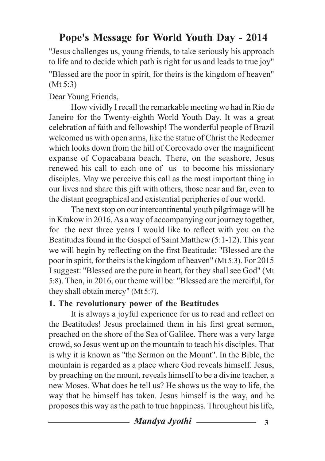# **Pope's Message for World Youth Day - 2014**

"Jesus challenges us, young friends, to take seriously his approach to life and to decide which path is right for us and leads to true joy"

"Blessed are the poor in spirit, for theirs is the kingdom of heaven" (Mt 5:3)

Dear Young Friends,

How vividly I recall the remarkable meeting we had in Rio de Janeiro for the Twenty-eighth World Youth Day. It was a great celebration of faith and fellowship! The wonderful people of Brazil welcomed us with open arms, like the statue of Christ the Redeemer which looks down from the hill of Corcovado over the magnificent expanse of Copacabana beach. There, on the seashore, Jesus renewed his call to each one of us to become his missionary disciples. May we perceive this call as the most important thing in our lives and share this gift with others, those near and far, even to the distant geographical and existential peripheries of our world.

The next stop on our intercontinental youth pilgrimage will be in Krakow in 2016. As a way of accompanying our journey together, for the next three years I would like to reflect with you on the Beatitudes found in the Gospel of Saint Matthew (5:1-12). This year we will begin by reflecting on the first Beatitude: "Blessed are the poor in spirit, for theirs is the kingdom of heaven" (Mt 5:3). For 2015 I suggest: "Blessed are the pure in heart, for they shall see God" (Mt 5:8). Then, in 2016, our theme will be: "Blessed are the merciful, for they shall obtain mercy" (Mt 5:7).

# **1. The revolutionary power of the Beatitudes**

It is always a joyful experience for us to read and reflect on the Beatitudes! Jesus proclaimed them in his first great sermon, preached on the shore of the Sea of Galilee. There was a very large crowd, so Jesus went up on the mountain to teach his disciples. That is why it is known as "the Sermon on the Mount". In the Bible, the mountain is regarded as a place where God reveals himself. Jesus, by preaching on the mount, reveals himself to be a divine teacher, a new Moses. What does he tell us? He shows us the way to life, the way that he himself has taken. Jesus himself is the way, and he proposes this way as the path to true happiness. Throughout his life,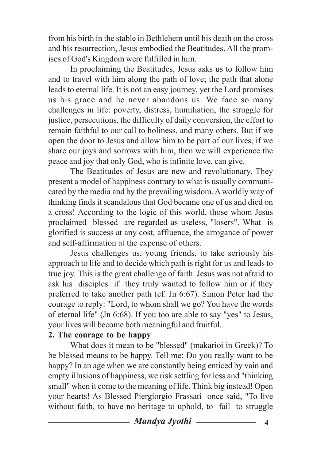from his birth in the stable in Bethlehem until his death on the cross and his resurrection, Jesus embodied the Beatitudes. All the promises of God's Kingdom were fulfilled in him.

In proclaiming the Beatitudes, Jesus asks us to follow him and to travel with him along the path of love; the path that alone leads to eternal life. It is not an easy journey, yet the Lord promises us his grace and he never abandons us. We face so many challenges in life: poverty, distress, humiliation, the struggle for justice, persecutions, the difficulty of daily conversion, the effort to remain faithful to our call to holiness, and many others. But if we open the door to Jesus and allow him to be part of our lives, if we share our joys and sorrows with him, then we will experience the peace and joy that only God, who is infinite love, can give.

The Beatitudes of Jesus are new and revolutionary. They present a model of happiness contrary to what is usually communicated by the media and by the prevailing wisdom. A worldly way of thinking finds it scandalous that God became one of us and died on a cross! According to the logic of this world, those whom Jesus proclaimed blessed are regarded as useless, "losers". What is glorified is success at any cost, affluence, the arrogance of power and self-affirmation at the expense of others.

Jesus challenges us, young friends, to take seriously his approach to life and to decide which path is right for us and leads to true joy. This is the great challenge of faith. Jesus was not afraid to ask his disciples if they truly wanted to follow him or if they preferred to take another path (cf. Jn 6:67). Simon Peter had the courage to reply: "Lord, to whom shall we go? You have the words of eternal life" (Jn 6:68). If you too are able to say "yes" to Jesus, your lives will become both meaningful and fruitful.

#### **2. The courage to be happy**

What does it mean to be "blessed" (makarioi in Greek)? To be blessed means to be happy. Tell me: Do you really want to be happy? In an age when we are constantly being enticed by vain and empty illusions of happiness, we risk settling for less and "thinking small" when it come to the meaning of life. Think big instead! Open your hearts! As Blessed Piergiorgio Frassati once said, "To live without faith, to have no heritage to uphold, to fail to struggle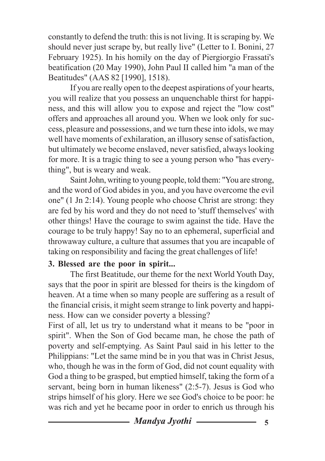constantly to defend the truth: this is not living. It is scraping by. We should never just scrape by, but really live" (Letter to I. Bonini, 27 February 1925). In his homily on the day of Piergiorgio Frassati's beatification (20 May 1990), John Paul II called him "a man of the Beatitudes" (AAS 82 [1990], 1518).

If you are really open to the deepest aspirations of your hearts, you will realize that you possess an unquenchable thirst for happiness, and this will allow you to expose and reject the "low cost" offers and approaches all around you. When we look only for success, pleasure and possessions, and we turn these into idols, we may well have moments of exhilaration, an illusory sense of satisfaction, but ultimately we become enslaved, never satisfied, always looking for more. It is a tragic thing to see a young person who "has everything", but is weary and weak.

Saint John, writing to young people, told them: "You are strong, and the word of God abides in you, and you have overcome the evil one" (1 Jn 2:14). Young people who choose Christ are strong: they are fed by his word and they do not need to 'stuff themselves' with other things! Have the courage to swim against the tide. Have the courage to be truly happy! Say no to an ephemeral, superficial and throwaway culture, a culture that assumes that you are incapable of taking on responsibility and facing the great challenges of life!

#### **3. Blessed are the poor in spirit...**

The first Beatitude, our theme for the next World Youth Day, says that the poor in spirit are blessed for theirs is the kingdom of heaven. At a time when so many people are suffering as a result of the financial crisis, it might seem strange to link poverty and happiness. How can we consider poverty a blessing?

First of all, let us try to understand what it means to be "poor in spirit". When the Son of God became man, he chose the path of poverty and self-emptying. As Saint Paul said in his letter to the Philippians: "Let the same mind be in you that was in Christ Jesus, who, though he was in the form of God, did not count equality with God a thing to be grasped, but emptied himself, taking the form of a servant, being born in human likeness" (2:5-7). Jesus is God who strips himself of his glory. Here we see God's choice to be poor: he was rich and yet he became poor in order to enrich us through his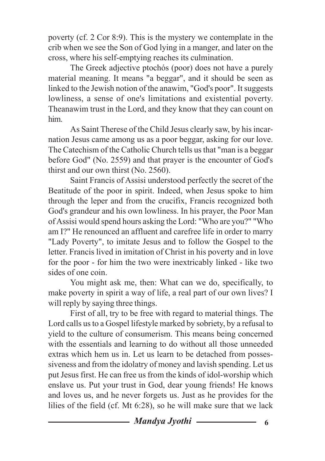poverty (cf. 2 Cor 8:9). This is the mystery we contemplate in the crib when we see the Son of God lying in a manger, and later on the cross, where his self-emptying reaches its culmination.

The Greek adjective ptochós (poor) does not have a purely material meaning. It means "a beggar", and it should be seen as linked to the Jewish notion of the anawim, "God's poor". It suggests lowliness, a sense of one's limitations and existential poverty. Theanawim trust in the Lord, and they know that they can count on him.

As Saint Therese of the Child Jesus clearly saw, by his incarnation Jesus came among us as a poor beggar, asking for our love. The Catechism of the Catholic Church tells us that "man is a beggar before God" (No. 2559) and that prayer is the encounter of God's thirst and our own thirst (No. 2560).

Saint Francis of Assisi understood perfectly the secret of the Beatitude of the poor in spirit. Indeed, when Jesus spoke to him through the leper and from the crucifix, Francis recognized both God's grandeur and his own lowliness. In his prayer, the Poor Man of Assisi would spend hours asking the Lord: "Who are you?" "Who am I?" He renounced an affluent and carefree life in order to marry "Lady Poverty", to imitate Jesus and to follow the Gospel to the letter. Francis lived in imitation of Christ in his poverty and in love for the poor - for him the two were inextricably linked - like two sides of one coin.

You might ask me, then: What can we do, specifically, to make poverty in spirit a way of life, a real part of our own lives? I will reply by saying three things.

First of all, try to be free with regard to material things. The Lord calls us to a Gospel lifestyle marked by sobriety, by a refusal to yield to the culture of consumerism. This means being concerned with the essentials and learning to do without all those unneeded extras which hem us in. Let us learn to be detached from possessiveness and from the idolatry of money and lavish spending. Let us put Jesus first. He can free us from the kinds of idol-worship which enslave us. Put your trust in God, dear young friends! He knows and loves us, and he never forgets us. Just as he provides for the lilies of the field (cf. Mt 6:28), so he will make sure that we lack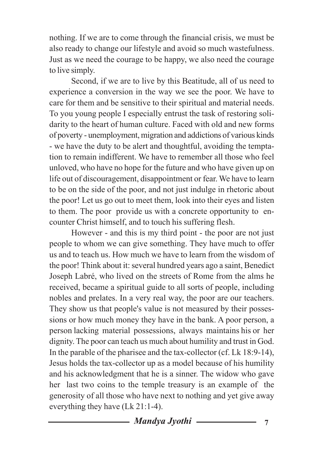nothing. If we are to come through the financial crisis, we must be also ready to change our lifestyle and avoid so much wastefulness. Just as we need the courage to be happy, we also need the courage to live simply.

Second, if we are to live by this Beatitude, all of us need to experience a conversion in the way we see the poor. We have to care for them and be sensitive to their spiritual and material needs. To you young people I especially entrust the task of restoring solidarity to the heart of human culture. Faced with old and new forms of poverty - unemployment, migration and addictions of various kinds - we have the duty to be alert and thoughtful, avoiding the temptation to remain indifferent. We have to remember all those who feel unloved, who have no hope for the future and who have given up on life out of discouragement, disappointment or fear. We have to learn to be on the side of the poor, and not just indulge in rhetoric about the poor! Let us go out to meet them, look into their eyes and listen to them. The poor provide us with a concrete opportunity to encounter Christ himself, and to touch his suffering flesh.

However - and this is my third point - the poor are not just people to whom we can give something. They have much to offer us and to teach us. How much we have to learn from the wisdom of the poor! Think about it: several hundred years ago a saint, Benedict Joseph Labré, who lived on the streets of Rome from the alms he received, became a spiritual guide to all sorts of people, including nobles and prelates. In a very real way, the poor are our teachers. They show us that people's value is not measured by their possessions or how much money they have in the bank. A poor person, a person lacking material possessions, always maintains his or her dignity. The poor can teach us much about humility and trust in God. In the parable of the pharisee and the tax-collector (cf. Lk 18:9-14), Jesus holds the tax-collector up as a model because of his humility and his acknowledgment that he is a sinner. The widow who gave her last two coins to the temple treasury is an example of the generosity of all those who have next to nothing and yet give away everything they have (Lk 21:1-4).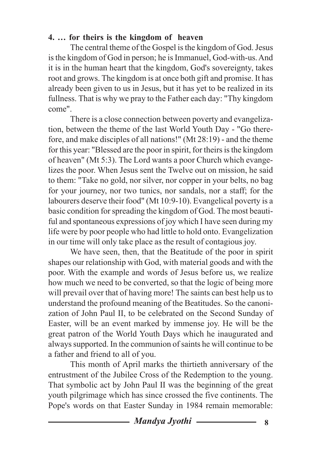# **4. … for theirs is the kingdom of heaven**

The central theme of the Gospel is the kingdom of God. Jesus is the kingdom of God in person; he is Immanuel, God-with-us. And it is in the human heart that the kingdom, God's sovereignty, takes root and grows. The kingdom is at once both gift and promise. It has already been given to us in Jesus, but it has yet to be realized in its fullness. That is why we pray to the Father each day: "Thy kingdom come".

There is a close connection between poverty and evangelization, between the theme of the last World Youth Day - "Go therefore, and make disciples of all nations!" (Mt 28:19) - and the theme for this year: "Blessed are the poor in spirit, for theirs is the kingdom of heaven" (Mt 5:3). The Lord wants a poor Church which evangelizes the poor. When Jesus sent the Twelve out on mission, he said to them: "Take no gold, nor silver, nor copper in your belts, no bag for your journey, nor two tunics, nor sandals, nor a staff; for the labourers deserve their food" (Mt 10:9-10). Evangelical poverty is a basic condition for spreading the kingdom of God. The most beautiful and spontaneous expressions of joy which I have seen during my life were by poor people who had little to hold onto. Evangelization in our time will only take place as the result of contagious joy.

We have seen, then, that the Beatitude of the poor in spirit shapes our relationship with God, with material goods and with the poor. With the example and words of Jesus before us, we realize how much we need to be converted, so that the logic of being more will prevail over that of having more! The saints can best help us to understand the profound meaning of the Beatitudes. So the canonization of John Paul II, to be celebrated on the Second Sunday of Easter, will be an event marked by immense joy. He will be the great patron of the World Youth Days which he inaugurated and always supported. In the communion of saints he will continue to be a father and friend to all of you.

This month of April marks the thirtieth anniversary of the entrustment of the Jubilee Cross of the Redemption to the young. That symbolic act by John Paul II was the beginning of the great youth pilgrimage which has since crossed the five continents. The Pope's words on that Easter Sunday in 1984 remain memorable: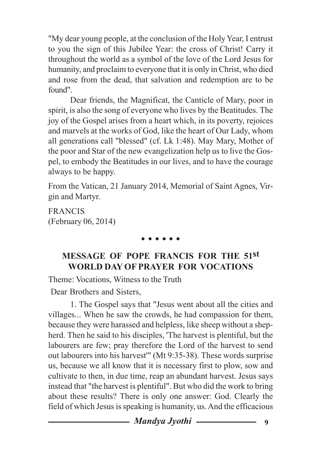"My dear young people, at the conclusion of the Holy Year, I entrust to you the sign of this Jubilee Year: the cross of Christ! Carry it throughout the world as a symbol of the love of the Lord Jesus for humanity, and proclaim to everyone that it is only in Christ, who died and rose from the dead, that salvation and redemption are to be found".

Dear friends, the Magnificat, the Canticle of Mary, poor in spirit, is also the song of everyone who lives by the Beatitudes. The joy of the Gospel arises from a heart which, in its poverty, rejoices and marvels at the works of God, like the heart of Our Lady, whom all generations call "blessed" (cf. Lk 1:48). May Mary, Mother of the poor and Star of the new evangelization help us to live the Gospel, to embody the Beatitudes in our lives, and to have the courage always to be happy.

From the Vatican, 21 January 2014, Memorial of Saint Agnes, Virgin and Martyr.

FRANCIS (February 06, 2014)

#### ○○○○○○

# **MESSAGE OF POPE FRANCIS FOR THE 51st WORLD DAY OF PRAYER FOR VOCATIONS**

Theme: Vocations, Witness to the Truth

Dear Brothers and Sisters,

1. The Gospel says that "Jesus went about all the cities and villages... When he saw the crowds, he had compassion for them, because they were harassed and helpless, like sheep without a shepherd. Then he said to his disciples, 'The harvest is plentiful, but the labourers are few; pray therefore the Lord of the harvest to send out labourers into his harvest'" (Mt 9:35-38). These words surprise us, because we all know that it is necessary first to plow, sow and cultivate to then, in due time, reap an abundant harvest. Jesus says instead that "the harvest is plentiful". But who did the work to bring about these results? There is only one answer: God. Clearly the field of which Jesus is speaking is humanity, us. And the efficacious

*Mandya Jyothi* — <u>9</u>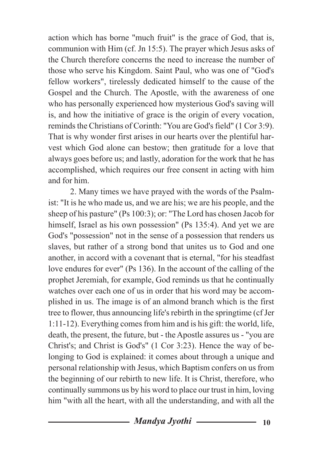action which has borne "much fruit" is the grace of God, that is, communion with Him (cf. Jn 15:5). The prayer which Jesus asks of the Church therefore concerns the need to increase the number of those who serve his Kingdom. Saint Paul, who was one of "God's fellow workers", tirelessly dedicated himself to the cause of the Gospel and the Church. The Apostle, with the awareness of one who has personally experienced how mysterious God's saving will is, and how the initiative of grace is the origin of every vocation, reminds the Christians of Corinth: "You are God's field" (1 Cor 3:9). That is why wonder first arises in our hearts over the plentiful harvest which God alone can bestow; then gratitude for a love that always goes before us; and lastly, adoration for the work that he has accomplished, which requires our free consent in acting with him and for him.

2. Many times we have prayed with the words of the Psalmist: "It is he who made us, and we are his; we are his people, and the sheep of his pasture" (Ps 100:3); or: "The Lord has chosen Jacob for himself, Israel as his own possession" (Ps 135:4). And yet we are God's "possession" not in the sense of a possession that renders us slaves, but rather of a strong bond that unites us to God and one another, in accord with a covenant that is eternal, "for his steadfast love endures for ever" (Ps 136). In the account of the calling of the prophet Jeremiah, for example, God reminds us that he continually watches over each one of us in order that his word may be accomplished in us. The image is of an almond branch which is the first tree to flower, thus announcing life's rebirth in the springtime (cf Jer 1:11-12). Everything comes from him and is his gift: the world, life, death, the present, the future, but - the Apostle assures us - "you are Christ's; and Christ is God's" (1 Cor 3:23). Hence the way of belonging to God is explained: it comes about through a unique and personal relationship with Jesus, which Baptism confers on us from the beginning of our rebirth to new life. It is Christ, therefore, who continually summons us by his word to place our trust in him, loving him "with all the heart, with all the understanding, and with all the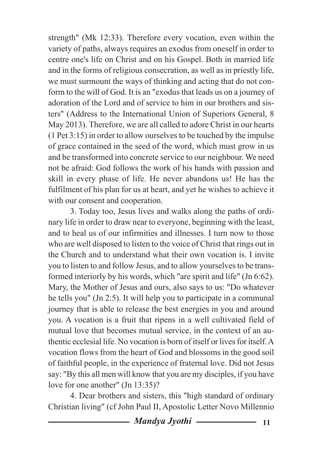strength" (Mk 12:33). Therefore every vocation, even within the variety of paths, always requires an exodus from oneself in order to centre one's life on Christ and on his Gospel. Both in married life and in the forms of religious consecration, as well as in priestly life, we must surmount the ways of thinking and acting that do not conform to the will of God. It is an "exodus that leads us on a journey of adoration of the Lord and of service to him in our brothers and sisters" (Address to the International Union of Superiors General, 8 May 2013). Therefore, we are all called to adore Christ in our hearts (1 Pet 3:15) in order to allow ourselves to be touched by the impulse of grace contained in the seed of the word, which must grow in us and be transformed into concrete service to our neighbour. We need not be afraid: God follows the work of his hands with passion and skill in every phase of life. He never abandons us! He has the fulfilment of his plan for us at heart, and yet he wishes to achieve it with our consent and cooperation.

3. Today too, Jesus lives and walks along the paths of ordinary life in order to draw near to everyone, beginning with the least, and to heal us of our infirmities and illnesses. I turn now to those who are well disposed to listen to the voice of Christ that rings out in the Church and to understand what their own vocation is. I invite you to listen to and follow Jesus, and to allow yourselves to be transformed interiorly by his words, which "are spirit and life" (Jn 6:62). Mary, the Mother of Jesus and ours, also says to us: "Do whatever he tells you" (Jn 2:5). It will help you to participate in a communal journey that is able to release the best energies in you and around you. A vocation is a fruit that ripens in a well cultivated field of mutual love that becomes mutual service, in the context of an authentic ecclesial life. No vocation is born of itself or lives for itself. A vocation flows from the heart of God and blossoms in the good soil of faithful people, in the experience of fraternal love. Did not Jesus say: "By this all men will know that you are my disciples, if you have love for one another" (Jn 13:35)?

4. Dear brothers and sisters, this "high standard of ordinary Christian living" (cf John Paul II, Apostolic Letter Novo Millennio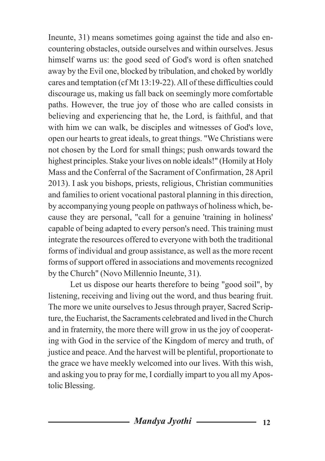Ineunte, 31) means sometimes going against the tide and also encountering obstacles, outside ourselves and within ourselves. Jesus himself warns us: the good seed of God's word is often snatched away by the Evil one, blocked by tribulation, and choked by worldly cares and temptation (cf Mt 13:19-22). All of these difficulties could discourage us, making us fall back on seemingly more comfortable paths. However, the true joy of those who are called consists in believing and experiencing that he, the Lord, is faithful, and that with him we can walk, be disciples and witnesses of God's love, open our hearts to great ideals, to great things. "We Christians were not chosen by the Lord for small things; push onwards toward the highest principles. Stake your lives on noble ideals!" (Homily at Holy Mass and the Conferral of the Sacrament of Confirmation, 28 April 2013). I ask you bishops, priests, religious, Christian communities and families to orient vocational pastoral planning in this direction, by accompanying young people on pathways of holiness which, because they are personal, "call for a genuine 'training in holiness' capable of being adapted to every person's need. This training must integrate the resources offered to everyone with both the traditional forms of individual and group assistance, as well as the more recent forms of support offered in associations and movements recognized by the Church" (Novo Millennio Ineunte, 31).

Let us dispose our hearts therefore to being "good soil", by listening, receiving and living out the word, and thus bearing fruit. The more we unite ourselves to Jesus through prayer, Sacred Scripture, the Eucharist, the Sacraments celebrated and lived in the Church and in fraternity, the more there will grow in us the joy of cooperating with God in the service of the Kingdom of mercy and truth, of justice and peace. And the harvest will be plentiful, proportionate to the grace we have meekly welcomed into our lives. With this wish, and asking you to pray for me, I cordially impart to you all my Apostolic Blessing.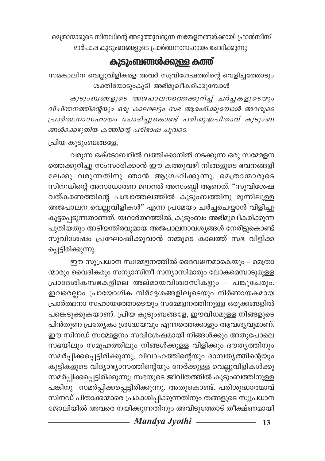മെത്രാന്മാരുടെ സിനഡിന്റെ അടുത്തുവരുന്ന സമ്മേളനങ്ങൾക്കായി ഫ്രാൻസീസ് മാർപാഷ കുടുംബങ്ങളുടെ പ്രാർത്ഥനാസഹായം ചോദിക്കുന്നു.

# കുടുംബങ്ങൾക്കുള്ള കത്ത്

സമകാലീന വെല്ലുവിളികളെ അവർ സുവിശേഷത്തിന്റെ വെളിച്ചത്തോടും ...<br>ശക്തിയോടുംകൂടി അഭിമുഖീകരിക്കുമ്പോൾ

കുടുംബങ്ങളുടെ അജപാലനത്തെക്കുറിച്ച് ചർച്ചകളുടെയും വിചിന്തനത്തിന്റെയും ഒരു കാലഘട്ടം സഭ ആരംഭിക്കുമ്പോൾ അവരുടെ പ്രാർത്ഥനാസഹായം ചോദിച്ചുകൊണ്ട് പരിശുദ്ധപിതാവ് കുടുംബ ങ്ങൾക്കെഴുതിയ കത്തിന്റെ പരിഭാഷ ചുവടെ.

പ്രിയ കുടുംബങ്ങളേ,

വരുന്ന ഒക്ടോബറിൽ വത്തിക്കാനിൽ നടക്കുന്ന ഒരു സമ്മേളന ത്തെക്കുറിച്ചു സംസാരിക്കാൻ ഈ കത്തുവഴി നിങ്ങളുടെ ഭവനങ്ങളി ലേക്കു വരുന്നതിനു ഞാൻ ആഗ്രഹിക്കുന്നു. മെത്രാന്മാരുടെ സിനഡിന്റെ അസാധാരണ ജനറൽ അസംബ്ലി ആണത്. "സുവിശേഷ വത്കരണത്തിന്റെ പശ്ചാത്തലത്തിൽ കുടുംബത്തിനു മുന്നില<u>ുള്ള</u> അജപാലന വെല്ലുവിളികൾ" എന്ന പ്രമേയം ചർച്ചചെയ്യാൻ വിളിച്ചു കൂട്ടപ്പെടുന്നതാണത്. യഥാർത്ഥത്തിൽ, കുടുംബം അഭിമുഖീകരിക്കുന്ന പുതിയതും അടിയന്തിരവുമായ അജപാലനാവശ്യങ്ങൾ നേരിട്ടുകൊണ്ട് സുവിശേഷം പ്രഘോഷിക്കുവാൻ നമ്മുടെ കാലത്ത് സഭ വിളിക്ക പ്പെട്ടിരിക്കുന്നു.

ഈ സുപ്രധാന സമ്മേളനത്തിൽ ദൈവജനമാകെയും – മെത്രാ ന്മാരും വൈദികരും സന്യാസിനീ സന്യാസിമാരും ലോകമെമ്പാടുമുള്ള പ്രാദേശികസഭകളിലെ അല്മായവിശ്വാസികളും - പങ്കുചേരും. ഇവരെല്ലാം പ്രായോഗിക നിർദ്ദേശങ്ങളിലൂടെയും നിർണായകമായ പ്രാർത്ഥനാ സഹായത്തോടെയും സമ്മേളനത്തിനുള്ള ഒരുക്കങ്ങളിൽ പങ്കെടുക്കുകയാണ്. പ്രിയ കുടുംബങ്ങളേ, ഈവിധമുള്ള നിങ്ങളുടെ പിൻതുണ പ്രത്യേകം ശ്രദ്ധേയവും എന്നത്തെക്കാളും ആവശ്യവുമാണ്. ഈ സിനഡ് സമ്മേളനം സവിശേഷമായി നിങ്ങൾക്കും അതുപോലെ സഭയിലും സമൂഹത്തിലും നിങ്ങൾക്കുള്ള വിളിക്കും ദൗതൃത്തിനും സമർപ്പിക്കപ്പെട്ടിരിക്കുന്നു; വിവാഹത്തിന്റെയും ദാമ്പത്യത്തിന്റെയും കുട്ടികളുടെ വിദ്യാഭ്യാസത്തിന്റെയും നേർക്കുള്ള വെല്ലുവിളികൾക്കു സമർപ്പിക്കപ്പെട്ടിരിക്കുന്നു; സഭയുടെ ജീവിതത്തിൽ കുടുംബത്തിനുള്ള പങ്കിനു സമർപ്പിക്കപ്പെട്ടിരിക്കുന്നു. അതുകൊണ്ട്, പരിശുദ്ധാത്മാവ് സിനഡ് പിതാക്കന്മാരെ പ്രകാശിപ്പിക്കുന്നതിനും തങ്ങളുടെ സുപ്രധാന ജോലിയിൽ അവരെ നയിക്കുന്നതിനും അവിടുത്തോട് തീക്ഷ്ണമായി

> Mandya Jyothi — 13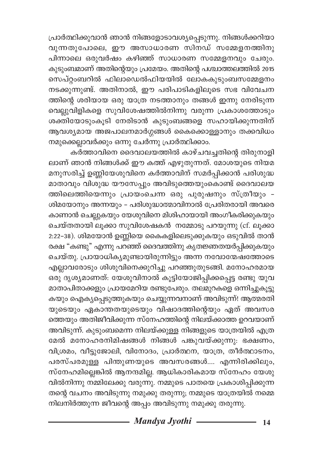പ്രാർത്ഥിക്കുവാൻ ഞാൻ നിങ്ങളോടാവശ്യപ്പെടുന്നു. നിങ്ങൾക്കറിയാ വുന്നതുപോലെ, ഈ അസാധാരണ സിനഡ് സമ്മേളനത്തിനു പിന്നാലെ ഒരുവർഷം കഴിഞ്ഞ് സാധാരണ സമ്മേളനവും ചേരും. കുടുംബമാണ് അതിന്റെയും പ്രമേയം. അതിന്റെ പശ്ചാത്തലത്തിൽ 2015 സെപ്റ്റംബറിൽ ഫിലാഡെൽഫിയയിൽ ലോകകുടുംബസമ്മേളനം .<br>നടക്കുന്നുണ്ട്. അതിനാൽ, ഈ പരിപാടികളിലൂടെ സഭ വിവേചന ത്തിന്റെ ശരിയായ ഒരു യാത്ര നടത്താനും തങ്ങൾ ഇന്നു നേരിടുന്ന വെ<u>ല്ല</u>ുവിളികളെ സുവിശേഷത്തിൽനിന്നു വരുന്ന പ്രകാശത്തോടും ശക്തിയോടുംകൂടി നേരിടാൻ കുടുംബങ്ങളെ സഹായിക്കുന്നതിന് ആവശ്യമായ അജപാലനമാർഗ്ഗങ്ങൾ കൈക്കൊള്ളാനും തക്കവിധം നമുക്കെല്ലാവർക്കും ഒന്നു ചേർന്നു പ്രാർത്ഥിക്കാം.

കര്ത്താവിനെ ദൈവാലയത്തിൽ കാഴ്ചവച്ചതിന്റെ തിരുനാളി ലാണ് ഞാൻ നിങ്ങൾക്ക് ഈ കത്ത് എഴുതുന്നത്. മോശയുടെ നിയമ മനുസരിച്ച് ഉണ്ണിയേശുവിനെ കർത്താവിന് സമർപ്പിക്കാൻ പരിശുദ്ധ മാതാവും വിശുദ്ധ യൗസേപ്പും അവിടുത്തെയുംകൊണ്ട് ദൈവാലയ ത്തിലെത്തിയെന്നും പ്രായംചെന്ന ഒരു പുരുഷനും സ്ത്രീയും -ശിമയോനും അന്നയും – പരിശുദ്ധാത്മാവിനാൽ പ്രേരിതരായി അവരെ കാണാൻ ചെല്ലുകയും യേശു<mark>വിനെ</mark> മിശിഹായായി അംഗീകരിക്കുകയും ചെയ്തതായി ലൂക്കാ സുവിശേഷകൻ നമ്മോടു പറയുന്നു (cf. ലൂക്കാ 2:22–38). ശിമയോൻ ഉണ്ണിയെ കൈകളിലെടുക്കുകയും ഒടുവിൽ താൻ രക്ഷ "കണ്ടു" എന്നു പറഞ്ഞ് ദൈവത്തിനു കൃതജ്ഞതയർപ്പിക്കുകയും ചെയ്തു. പ്രായാധികൃമുണ്ടായിരുന്നിട്ടും അന്ന നവോന്മേഷത്തോടെ എല്ലാവരോടും ശിശുവിനെക്കുറിച്ചു പറഞ്ഞുതുടങ്ങി. മനോഹരമായ ഒരു ദൃശ്യമാണത്: യേശുവിനാൽ കൂട്ടിയോജിപ്പിക്കപ്പെട്ട രണ്ടു യുവ മാതാപിതാക്കളും പ്രായമേറിയ രണ്ടുപേരും. തലമുറകളെ ഒന്നിച്ചുകൂട്ടു കയും ഐക്യപ്പെടുത്തുകയും ചെയ്യുന്നവനാണ് അവിടുന്ന്! ആത്മരതി യുടെയും ഏകാന്തതയുടെയും വിഷാദത്തിന്റെയും ഏത് അവസര ത്തെയും അതിജീവിക്കുന്ന സ്നേഹത്തിന്റെ നിലയ്ക്കാത്ത ഉറവയാണ് അവിടുന്ന്. കുടുംബമെന്ന നിലയ്ക്കുള്ള നിങ്ങളുടെ യാത്രയിൽ എത്ര മേൽ മനോഹരനിമിഷങ്ങൾ നിങ്ങൾ പങ്കുവയ്ക്കുന്നു: ഭക്ഷണം, വിശ്രമം, വീട്ടുജോലി, വിനോദം, പ്രാർത്ഥന, യാത്ര, തീർത്ഥാടനം, പരസ്പരമുള്ള പിന്തുണയുടെ അവസരങ്ങൾ.... എന്നിരിക്കിലു<mark>ം</mark>, സ്നേഹമില്ലെങ്കിൽ ആനന്ദമില്ല. ആധികാരികമായ സ്നേഹം യേശു വിൽനിന്നു നമ്മിലേക്കു വരുന്നു. നമ്മുടെ പാതയെ പ്രകാശിപ്പിക്കുന്ന തന്റെ വചനം അവിടുന്നു നമുക്കു തരുന്നു; നമ്മുടെ യാത്രയിൽ നമ്മെ നിലനിർത്തുന്ന ജീവന്റെ അപ്പം അവിടുന്നു നമുക്കു തരുന്നു.

Mandya Jyothi —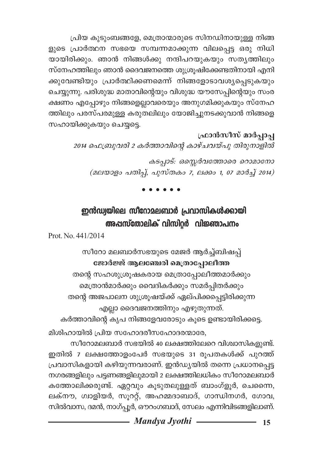പ്രിയ കുടുംബങ്ങളേ, മെത്രാന്മാരുടെ സിനഡിനായുള്ള നിങ്ങ ളുടെ പ്രാർത്ഥന സഭയെ സമ്പന്നമാക്കുന്ന വിലപ്പെട്ട ഒരു നിധി യായിരിക്കും. ഞാൻ നിങ്ങൾക്കു നന്ദിപറയുകയും സതൃത്തിലും സ്നേഹത്തിലും ഞാൻ ദൈവജനത്തെ ശുശ്രൂഷിക്കേണ്ടതിനായി എനി ക്കുവേണ്ടിയും പ്രാർത്ഥിക്കണമെന്ന് നിങ്ങളോടാവശ്യപ്പെടുകയും ചെയ്യുന്നു. പരിശുദ്ധ മാതാവിന്റെയും വിശുദ്ധ യൗസേപ്പിന്റെയും സംര ക്ഷണം എപ്പോഴും നിങ്ങളെല്ലാവരെയും അനുഗമിക്കുകയും സ്നേഹ ത്തിലും പരസ്പരമുള്ള കരുതലിലും യോജിച്ചുനടക്കുവാൻ നിങ്ങളെ സഹായിക്കുകയും ചെയ്യട്ടെ.

# ഫ്രാൻസീസ് മാർപാപ

2014 ഫെബ്രുവരി 2 കർത്താവിന്റെ കാഴ്ചവയ്പു തിരുനാളിൽ

കടപ്പാട്: ഒസ്സെർവത്തോരെ റൊമാനോ (മലയാളം പതിപ്പ്, പുസ്തകം 7, ലക്കം 1, 07 മാർച്ച് 2014)

. . . . . .

# ഇൻഡ്വയിലെ സിറോമലബാർ പ്രവാസികൾക്കായി അപ്പസ്തോലിക് വിസിറ്റർ വിജ്ഞാപനം

Prot. No. 441/2014

സീറോ മലബാർസഭയുടെ മേജർ ആർച്ച്ബിഷപ്പ് ജോർജ്ജ് ആലഞ്ചേരി മെത്രാപ്പോലീത്ത തന്റെ സഹശുശ്രൂഷകരായ മെത്രാപ്പോലീത്തമാർക്കും മെത്രാൻമാർക്കും വൈദികർക്കും സമർപ്പിതർക്കും തന്റെ അജപാലന ശുശ്രൂഷയ്ക്ക് ഏല്പിക്കപ്പെട്ടിരിക്കുന്ന

എല്ലാ ദൈവജനത്തിനും എഴുതുന്നത്.

കർത്താവിന്റെ കൃപ നിങ്ങളേവരോടും കൂടെ ഉണ്ടായിരിക്കട്ടെ.

മിശിഹായിൽ പ്രിയ സഹോദരീസഹോദരന്മാരേ,

സീറോമലബാർ സഭയിൽ 40 ലക്ഷത്തിലേറെ വിശ്വാസികളുണ്ട്. ഇതിൽ 7 ലക്ഷത്തോളംപേർ സഭയുടെ 31 രൂപതകൾക്ക് പുറത്ത് പ്രവാസികളായി കഴിയുന്നവരാണ്. ഇൻഡ്യയിൽ തന്നെ പ്രധാനപ്പെട്ട നഗരങ്ങളിലും പട്ടണങ്ങളിലുമായി 2 ലക്ഷത്തിലധികം സീറോമലബാർ കത്തോലിക്കരുണ്ട്. ഏറ്റവും കൂടുതലുള്ളത് ബാംഗ്ളൂർ, ചെന്നൈ, ലക്നൗ, ഗ്വാളിയർ, സൂററ്റ്, അഹമ്മദാബാദ്, ഗാന്ധിനഗർ, ഗോവ, സിൽവാസ, ദമൻ, നാഗ്പ്പൂർ, ഔറംഗബാദ്, സേലം എന്നിവിടങ്ങളിലാണ്.

> $-$  Mandya Jyothi  $-$ 15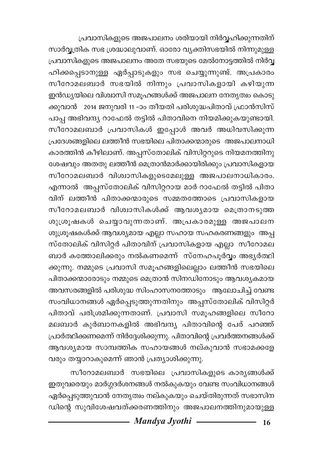(പവാസികളുടെ അജപാലനം ശരിയായി നിർവ്വഹിക്കുന്നതിന് സാർവ്വതിക സഭ ശ്രദ്ധാലുവാണ്. ഓരോ വ്യക്തിസഭയിൽ നിന്നുമുള്ള പ്രവാസികളുടെ അജപാലനം അതേ സഭയുടെ മേൽനോട്ടത്തിൽ നിർവ്വ ഹിക്കപ്പെടാനുള്ള ഏർപ്പാടുകളും സഭ ചെയ്യുന്നുണ്ട്. അപ്രകാരം സീറോമലബാർ സഭയിൽ നിന്നും പ്രവാസികളായി കഴിയുന്ന ഇൻഡ്യയിലെ വിശ്വാസി സമൂഹങ്ങൾക്ക് അജപാലന നേതൃത്വം കൊടു ക്കുവാൻ 2014 ജനുവരി 11 −ാം തീയതി പരിശുദ്ധപിതാവ് ഫ്രാൻസിസ് പാപ്പ അഭിവന്ദ്യ റാഫേൽ തട്ടിൽ പിതാവിനെ നിയമിക്കുകയുണ്ടായി. സീറോമലബാർ പ്രവാസികൾ ഇപ്പോൾ അവർ അധിവസിക്കുന്ന പ്രദേശങ്ങളിലെ ലത്തീൻ സഭയിലെ പിതാക്കന്മാരുടെ അജപാലനാധി കാരത്തിൻ കീഴിലാണ്. അപ്പസ്തോലിക് വിസിറ്ററുടെ നിയമനത്തിനു ശേഷവും അതതു ലത്തീൻ മെത്രാൻമാർക്കായിരിക്കും പ്രവാസികളായ സീറോമലബാർ വിശ്വാസികളുടെമേലുള്ള അജപാലനാധികാരം. എന്നാൽ അപ്പസ്തോലിക് വിസിറ്ററായ മാർ റാഫേൽ തട്ടിൽ പിതാ വിന് ലത്തീൻ പിതാക്കന്മാരുടെ സമ്മതത്തോടെ പ്രവാസികളായ സീറോമലബാർ വിശ്വാസികൾക്ക് ആവശ്യമായ മെത്രാനടുത്ത ശുശ്രൂഷകൾ ചെയ്യാവുന്നതാണ്. അപ്രകാരമുള്ള അജപാലന ശുശ്രൂഷകൾക്ക് ആവശ്യമായ എല്ലാ സഹായ സഹകരണങ്ങളും അപ്പ സ്തോലിക് വിസിറ്റർ പിതാവിന് പ്രവാസികളായ എല്ലാ സീറോമല ബാർ കത്തോലിക്കരും നൽകണമെന്ന് സ്നേഹപൂർവ്വം അഭ്യർത്ഥി ക്കുന്നു. നമ്മുടെ പ്രവാസി സമൂഹങ്ങളിലെല്ലാം ലത്തീൻ സഭയിലെ പിതാക്കന്മാരോടും നമ്മുടെ മെത്രാൻ സിനഡിനോടും ആവശ്യകമായ അവസരങ്ങളിൽ പരിശുദ്ധ സിംഹാസനത്തോടും ആലോചിച്ച് വേണ്ട സംവിധാനങ്ങൾ ഏർപ്പെടുത്തുന്നതിനും അപ്പസ്തോലിക് വിസിറ്റർ പിതാവ് പരിശ്രമിക്കുന്നതാണ്. പ്രവാസി സമുഹങ്ങളിലെ സീറോ മലബാർ കുർബാനകളിൽ അഭിവന്ദ്യ പിതാവിന്റെ പേര് പറഞ്ഞ് (പാർത്ഥിക്കണമെന്ന് നിർദ്ദേശിക്കുന്നു. പിതാവിന്റെ പ്രവർത്തനങ്ങൾക്ക് ആവശ്യമായ സാമ്പത്തിക സഹായങ്ങൾ നല്കുവാൻ സഭാമക്കളേ വരും തയ്യാറാകുമെന്ന് ഞാൻ പ്രത്യാശിക്കുന്നു.

സീറോമലബാർ സഭയിലെ പ്രവാസികളുടെ കാരൃങ്ങൾക്ക് ഇതുവരെയും മാർഗ്ഗദർശനങ്ങൾ നൽകുകയും വേണ്ട സംവിധാനങ്ങൾ ഏർപ്പെടുത്തുവാൻ നേതൃത്വം നല്കുകയും ചെയ്തിരുന്നത് സഭാസിന ഡിന്റെ സുവിശേഷവത്ക്കരണത്തിനും അജപാലനത്തിനുമായുള്ള

*Mandya Jyothi* - 16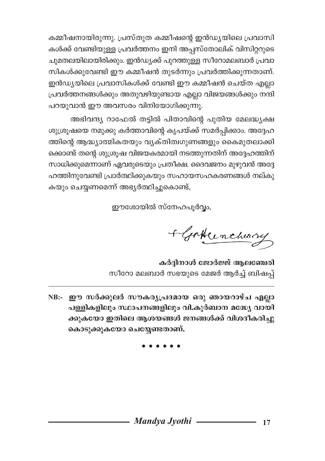കമ്മീഷനായിരുന്നു. പ്രസ്തുത കമ്മീഷന്റെ ഇൻഡ്യയിലെ പ്രവാസി കൾക്ക് വേണ്ടിയുള്ള പ്രവർത്തനം ഇനി അപ്പസ്തോലിക് വിസിറ്ററുടെ ചുമതലയിലായിരിക്കും. ഇൻഡ്യക്ക് പുറത്തുള്ള സീറോമലബാർ പ്രവാ സികൾക്കുവേണ്ടി ഈ കമ്മീഷൻ തുടർന്നും പ്രവർത്തിക്കുന്നതാണ്. ഇൻഡ്യയിലെ പ്രവാസികൾക്ക് വേണ്ടി ഈ കമ്മീഷൻ ചെയ്ത എല്ലാ പ്രവർത്തനങ്ങൾക്കും അതുവഴിയുണ്ടായ എല്ലാ വിജയങ്ങൾക്കും നന്ദി പറയുവാൻ ഈ അവസരം വിനിയോഗിക്കുന്നു.

അഭിവന്ദ്യ റാഫേൽ തട്ടിൽ പിതാവിന്റെ പുതിയ മേലദ്ധ്യക്ഷ ശുശ്രൂഷയെ നമുക്കു കർത്താവിന്റെ കൃപയ്ക്ക് സമർപ്പിക്കാം. അദ്ദേഹ ത്തിന്റെ ആദ്ധ്യാത്മികതയും വ്യക്തിത്വഗുണങ്ങളും കൈമുതലാക്കി ക്കൊണ്ട് തന്റെ ശുശ്രൂഷ വിജയകരമായി നടത്തുന്നതിന് അദ്ദേ<mark>ഹ</mark>ത്തിന് സാധിക്കുമെന്നാണ് ഏവരുടെയും പ്രതീക്ഷ. ദൈവജനം മുഴുവൻ അദ്ദേ ഹത്തിനുവേണ്ടി പ്രാർത്ഥിക്കുകയും സഹായസഹകരണങ്ങൾ നല്കു കയും ചെയ്യണമെന്ന് അഭ്യർത്ഥിച്ചുകൊണ്ട്,

ഈശോയിൽ സ്നേഹപൂർവ്വം,

+ Gokeenchary

കർദ്ദിനാൾ ജോർജ്ജ് ആലഞ്ചേരി സീറോ മലബാർ സഭയുടെ മേജർ ആർച്ച് ബിഷപ്പ്

NB:- ഈ സർക്കുലർ സൗകര്യപ്രദമായ ഒരു ഞായറാഴ്ച എല്ലാ പള്ളികളിലും സ്ഥാപനങ്ങളിലും വി.കുർബാന മദ്ധ്യേ വായി ക്കുകയോ ഇതിലെ ആശയങ്ങൾ ജനങ്ങൾക്ക് വിശദീകരിച്ചു കൊടുക്കുകയോ ചെയ്യേണ്ടതാണ്.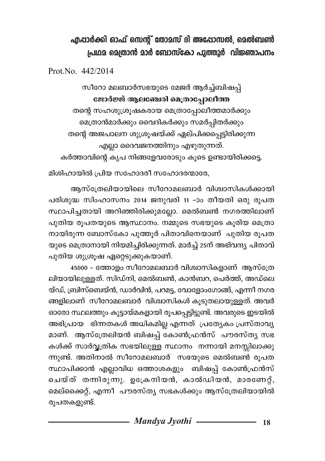# ഹ്മപ്പാർക്കി ഓഫ് സെൻ് തോമസ് ദി അപ്പോസൽ, മെൽബൺ പ്രഥമ മെത്രാൻ മാർ ബോസ്കോ പുത്തൂർ വിജ്ഞാപനം

Prot No 442/2014

സീറോ മലബാർസഭയുടെ മേജർ ആർച്ച്ബിഷപ്പ് ജോർജ്ജ് ആലഞ്ചേരി മെത്രാപ്പോലീത്ത തന്റെ സഹശുശ്രൂഷകരായ മെത്രാപ്പോലീത്തമാർക്കും മെത്രാൻമാർക്കും വൈദികർക്കും സമർപ്പിതർക്കും തന്റെ അജപാലന ശുശ്രൂഷയ്ക്ക് ഏല്പിക്കപ്പെട്ടിരിക്കുന്ന എല്ലാ ദൈവജനത്തിനും എഴുതുന്നത്. കർത്താവിന്റെ കൃപ നിങ്ങളേവരോടും കൂടെ ഉണ്ടായിരിക്കട്ടെ.

മിശിഹായിൽ പ്രിയ സഹോദരീ സഹോദരന്മാരേ,

ആസ്ത്രേലിയായിലെ സീറോമലബാർ വിശ്വാസികൾക്കായി പരിശുദ്ധ സിംഹാസനം 2014 ജനുവരി 11 -ാം തീയതി ഒരു രൂപത സ്ഥാപിച്ചതായി അറിഞ്ഞിരിക്കുമല്ലോ. മെൽബൺ നഗരത്തിലാണ് പുതിയ രൂപതയുടെ ആസ്ഥാനം. നമ്മുടെ സഭയുടെ കൂരിയ മെത്രാ നായിരുന്ന ബോസ്കോ പുത്തൂർ പിതാവിനെയാണ് പുതിയ രൂപത യുടെ മെത്രാനായി നിയമിച്ചിരിക്കുന്നത്. മാർച്ച് 25ന് അഭിവന്ദ്യ പിതാവ് പുതിയ ശുശ്രൂഷ ഏറ്റെടുക്കുകയാണ്.

45000 - ത്തോളം സീറോമലബാർ വിശ്വാസികളാണ് ആസ്ത്രേ ലിയായിലുള്ളത്. സിഡ്നി, മെൽബൺ, കാൻബറ, പെർത്ത്, അഡ്ലെ യ്ഡ്, ബ്രിസ്ബെയ്ൻ, ഡാർവിൻ, പറമട്ട, വോളോംഗോങ്ങ്, എന്നീ നഗര ങ്ങളിലാണ് സീറോമലബാർ വിശ്വാസികൾ കൂടുതലായുള്ളത്. അവർ ഓരോ സ്ഥലത്തും കൂട്ടായ്മകളായി രൂപപ്പെട്ടിട്ടുണ്ട്. അവരുടെ ഇടയിൽ അഭിപ്രായ ഭിന്നതകൾ അധികമില്ല എന്നത് പ്രത്യേകം പ്രസ്താവ്യ മാണ്. ആസ്ത്രേലിയൻ ബിഷപ്പ് കോൺഫ്രൻസ് പൗരസ്ത്യ സഭ കൾക്ക് സാർവ്വത്രിക സഭയിലുള്ള സ്ഥാനം നന്നായി മനസ്സിലാക്കു ന്നുണ്ട്. അതിനാൽ സീറോമലബാർ സഭയുടെ മെൽബൺ രൂപത സ്ഥാപിക്കാൻ എല്ലാവിധ ഒത്താശകളും ബിഷപ്പ് കോൺഫ്രൻസ് ചെയ്ത് തന്നിരുന്നു. ഉക്രേനിയൻ, കാൽഡിയൻ, മാരണേറ്റ്, മെല്ക്കൈറ്റ്, എന്നീ പൗരസ്ത്യ സഭകൾക്കും ആസ്ത്രേലിയായിൽ രൂപതകളുണ്ട്.

> - Mandya Jyothi — 18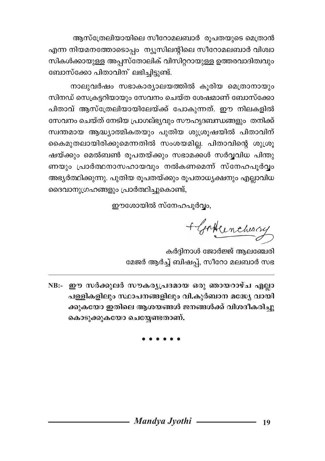ആസ്ത്രേലിയായിലെ സീറോമലബാർ രൂപതയുടെ മെത്രാൻ എന്ന നിയമനത്തോടൊപ്പം ന്യൂസിലന്റിലെ സീറോമലബാർ വിശ്വാ സികൾക്കായുള്ള അപ്പസ്തോലിക് വിസിറ്ററായുള്ള ഉത്തരവാദിത്വവും ബോസ്ക്കോ പിതാവിന് ലഭിച്ചിട്ടുണ്ട്.

നാലുവർഷം സഭാകാര്യാലയത്തിൽ കൂരിയ മെത്രാനായും സിനഡ് സെക്രട്ടറിയായും സേവനം ചെയ്ത ശേഷമാണ് ബോസ്ക്കോ പിതാവ് ആസ്ത്രേലിയായിലേയ്ക്ക് പോകുന്നത്. ഈ നിലകളിൽ സേവനം ചെയ്ത് നേടിയ പ്രാഗല്ഭ്യവും സൗഹൃദബന്ധങ്ങളും തനിക്ക് സ്വന്തമായ ആദ്ധ്യാത്മികതയും പുതിയ ശുശ്രൂഷയിൽ പിതാവിന് കൈമുതലായിരിക്കുമെന്നതിൽ സംശയമില്ല. പിതാവിന്റെ ശുശ്രൂ ഷയ്ക്കും മെൽബൺ രൂപതയ്ക്കും സഭാമക്കൾ സർവ്വവിധ പിന്തു ണയും പ്രാർത്ഥനാസഹായവും നൽകണമെന്ന് സ്നേഹപൂർവ്വം അഭ്യർത്ഥിക്കുന്നു. പുതിയ രൂപതയ്ക്കും രൂപതാധ്യക്ഷനും എല്ലാവിധ ദൈവാനുഗ്രഹങ്ങളും പ്രാർത്ഥിച്ചുകൊണ്ട്,

ഈശോയിൽ സ്നേഹപൂർവം.

+ Gotterncherry

കർദ്ദിനാൾ ജോർജ്ജ് ആലഞ്ചേരി മേജർ ആർച്ച് ബിഷപ്പ്, സീറോ മലബാർ സഭ

NB:- ഈ സർക്കുലർ സൗകര്യപ്രദമായ ഒരു ഞായറാഴ്ച എല്ലാ പള്ളികളിലും സ്ഥാപനങ്ങളിലും വി.കുർബാന മദ്ധ്യേ വായി ക്കുകയോ ഇതിലെ ആശയങ്ങൾ ജനങ്ങൾക്ക് വിശദീകരിച്ചു കൊടുക്കുകയോ ചെയ്യേണ്ടതാണ്.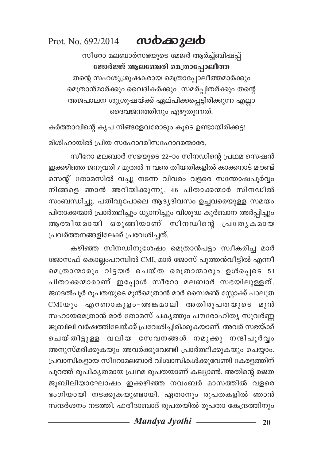# Prot. No. 692/2014 **av***b*s2**ed**

സീറോ മലബാർസഭയുടെ മേജർ ആർച്ച്ബിഷപ്പ് tജാർജ്ജ് ആലഞ്ചേരി മെത്രാപ്പോലീത്ത തന്റെ സഹശുശ്രൂഷകരായ മെത്രാപ്പോലീത്തമാർക്കും മെത്രാൻമാർക്കും വൈദികർക്കും സമർപ്പിതർക്കും തന്റെ അജപാലന ശുശ്രൂഷയ്ക്ക് ഏല്പിക്കപ്പെട്ടിരിക്കുന്ന എല്ലാ ദൈവജനത്തിനും എഴുതുന്നത്.

കർത്താവിന്റെ കൃപ നിങ്ങളേവരോടും കൂടെ ഉണ്ടായിരിക്കട്ട! മിശിഹായിൽ പ്രിയ സഹോദരീസഹോദരന്മാരേ,

സീറോ മലബാർ സഭയുടെ 22–ാം സിനഡിന്റെ പ്രഥമ സെഷൻ ഇക്കഴിഞ്ഞ ജനുവരി 7 മുതൽ 11 വരെ തീയതികളിൽ കാക്കനാട് മൗണ്ട് സെന്റ് തോമസിൽ വച്ചു നടന്ന വിവരം വളരെ സന്തോഷപൂർവ്വം നിങ്ങളെ ഞാൻ അറിയിക്കുന്നു. 46 പിതാക്കന്മാർ സിനഡിൽ സംബന്ധിച്ചു. പതിവുപോലെ ആദ്യദിവസം ഉച്ചവരെയുള്ള സമയം പിതാക്കന്മാർ പ്രാർത്ഥിച്ചും ധ്യാനിച്ചും വിശുദ്ധ കുർബാന അർപ്പിച്ചും ആത്മീയമായി ഒരുങ്ങിയാണ് സിനഡിന്റെ പ്രത്യേകമായ പ്രവർത്തനങ്ങളിലേക്ക് പ്രവേശിച്ചത്.

കഴിഞ്ഞ സിനഡിനുശേഷം മെത്രാൻപട്ടം സ്വീകരിച്ച മാർ ജോസഫ് കൊല്ലംപറമ്പിൽ CMI, മാർ ജോസ് പുത്തൻവീട്ടിൽ എന്നീ .<br>ഒമැതാന്മാരും റിട്ടയർ ചെയ്ത മെത്രാന്മാരും ഉൾപ്പെടെ 51 പിതാക്കന്മാരാണ് ഇപ്പോൾ സീറോ മലബാർ സഭയിലുള്ളത്. ജഗദൽപൂർ രൂപതയുടെ മുൻമെത്രാൻ മാർ സൈമൺ സ്റ്റോക്ക് പാലത്ര CMIയും എറണാകുളം-അങ്കമാലി അതിരൂപതയുടെ മുൻ സഹായമെത്രാൻ മാർ തോമസ് ചകൃത്തും പൗരോഹിത്യ സു<mark>വ</mark>ർണ്ണ ജൂബിലി വർഷത്തിലേയ്ക്ക് പ്രവേശിച്ചിരിക്കുകയാണ്. അവർ സഭയ്ക്ക് ചെയ്തി<u>ടുള്ള</u> വലിയ സേവനങ്ങൾ നമുക്കു നന്ദിപൂർവൃം അനുസ്മരിക്കുകയും അവർക്കുവേണ്ടി പ്രാർത്ഥിക്കുകയും ചെയ്യാം. <sub>[</sub>പവാസികളായ സീറോമലബാർ വിശ്വാസികൾക്കുവേണ്ടി കേരളത്തിന് പുറത്ത് രൂപീകൃതമായ പ്രഥമ രൂപതയാണ് കല്യാൺ. അതിന്റെ രജത ജൂബിലിയാഘോഷം ഇക്കഴിഞ്ഞ നവംബർ മാസത്തിൽ വളരെ ഭംഗിയായി നടക്കുകയുണ്ടായി. ഏതാനും രൂപതകളിൽ ഞാൻ സന്ദർശനം നടത്തി. ഫരീദാബാദ് രൂപതയിൽ രൂപതാ കേന്ദ്രത്തിനും

*Mandya Jyothi* 20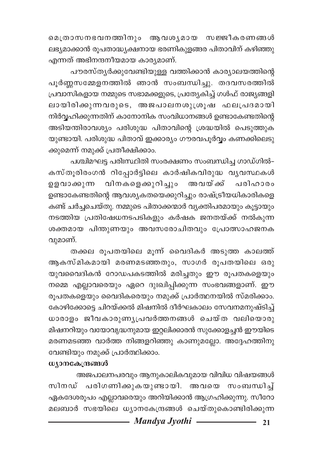മെത്രാസനഭവനത്തിനും ആവശ്യമായ സജ്ജീകരണങ്ങൾ ലഭ്യമാക്കാൻ രൂപതാദ്ധ്യക്ഷനായ ഭരണികുളങ്ങര പിതാവിന് കഴിഞ്ഞു എന്നത് അഭിനന്ദനീയമായ കാര്യമാണ്.

പൗരസ്തൃർക്കുവേണ്ടിയുള്ള വത്തിക്കാൻ കാര്യാലയത്തിന്റെ പൂർണ്ണസമ്മേളനത്തിൽ ഞാൻ സംബന്ധിച്ചു. തദവസരത്തിൽ പ്രവാസികളായ നമ്മുടെ സഭാമക്കളുടെ, പ്രത്യേകിച്ച് ഗൾഫ് രാജ്യങ്ങളി ലായിരിക്കുന്നവരുടെ, അജപാലനശുശ്രൂഷ ഫലപ്രദമായി നിർവ്വഹിക്കുന്നതിന് കാനോനിക സംവിധാനങ്ങൾ ഉണ്ടാകേണ്ടതിന്റെ .<br>അടിയന്തിരാവശ്യം പരിശുദ്ധ പിതാവിന്റെ ശ്രദ്ധയിൽ പെടുത്തുക യുണ്ടായി. പരിശുദ്ധ പിതാവ് ഇക്കാര്യം ഗൗരവപൂർവ്വം കണക്കിലെടു ക്കുമെന്ന് നമുക്ക് പ്രതീക്ഷിക്കാം.

പശ്ചിമഘട്ട പരിഃസ്ഥിതി സംരക്ഷണം സംബന്ധിച്ച ഗാഡ്ഗിൽ-കസ്തൂരിരംഗൻ റിപ്പോർട്ടിലെ കാർഷികവിരുദ്ധ <mark>വ്യവസ്ഥ</mark>കൾ ഉളവാക്കുന്ന വിനകളെക്കുറിച്ചും അവയ്ക്ക് പരിഹാരം ഉണ്ടാകേണ്ടതിന്റെ ആവശ്യകതയെക്കുറിച്ചും രാഷ്ട്രീയധികാരികളെ കണ്ട് ചർച്ചചെയ്തു. നമ്മുടെ പിതാക്കന്മാർ വ്യക്തിപരമായും കൂട്ടായും നടത്തിയ പ്രതിഷേധനടപടികളും കർഷക ജനതയ്ക്ക് നൽകുന്ന ശക്തമായ പിന്തുണയും അവസരോചിതവും പ്രോത്സാഹജനക വുമാണ്.

തക്കല രൂപതയിലെ മൂന്ന് വൈദികർ അടുത്ത കാലത്ത് ആകസ്മികമായി മരണമടഞ്ഞതും, സാഗർ രൂപതയിലെ ഒരു യുവവൈദികൻ റോഡപകടത്തിൽ മരിച്ചതും ഈ രൂപതകളെയും നമ്മെ എല്ലാവരെയും ഏറെ ദുഃഖിപ്പിക്കുന്ന സംഭവങ്ങളാണ്. ഈ രൂപതകളെയും വൈദികരെയും നമുക്ക് പ്രാർത്ഥനയിൽ സ്മരിക്കാം. കോഴിക്കോട്ടെ ചിറയ്ക്കൽ മിഷനിൽ ദീർഘകാലം സേവനമനുഷ്ടിച്ച് ധാരാളം ജീവകാരുണൃപ്രവർത്തനങ്ങൾ ചെയ്ത വലിയൊരു മിഷനറിയും വയോവൃദ്ധനുമായ ഇറ്റലിക്കാരൻ സുക്കോളച്ചൻ ഈയിടെ മരണമടഞ്ഞ വാർത്ത നിങ്ങളറിഞ്ഞു കാണുമല്ലോ. അദ്ദേഹത്തിനു വേണ്ടിയും നമുക്ക് പ്രാർത്ഥിക്കാം.

#### ധ്യാനകേന്ദ്രങ്ങൾ

അജപാലനപരവും ആനുകാലികവുമായ വിവിധ വിഷയങ്ങൾ സിനഡ് പരിഗണിക്കുകയുണ്ടായി. അവയെ സംബന്ധിച്ച<mark>്</mark> ഏകദേശരൂപം എല്ലാവരെയും അറിയിക്കാൻ ആഗ്രഹിക്കുന്നു. സീറോ മലബാർ സഭയിലെ ധ്യാനകേന്ദ്രങ്ങൾ ചെയ്തുകൊണ്ടിരിക്കുന്ന

> $-$  Mandya Jyothi  $21$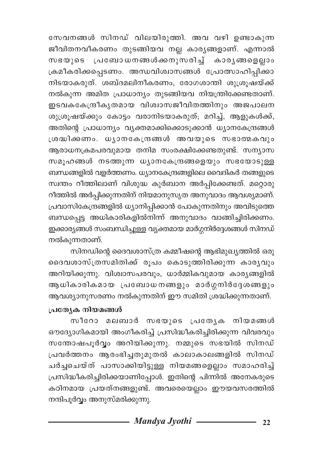സേവനങ്ങൾ സിനഡ് വിലയിരുത്തി. അവ വഴി ഉണ്ടാകുന്ന ജീവിതനവീകരണം തുടങ്ങിയവ നല്ല കാര്യങ്ങളാണ്. എന്നാൽ സഭയുടെ പ്രബോധനങ്ങൾക്കനുസരിച്ച് കാരൃങ്ങളെല്ലാം ക്രമീകരിക്കപ്പെടണം. അന്ധവിശ്വാസങ്ങൾ പ്രോത്സാഹിപ്പിക്കാ നിടയാകരുത്. ശബ്ദമലിനീകരണം, രോഗശാന്തി ശുശ്രൂഷയ്ക്ക് നൽകുന്ന അമിത പ്രാധാന്യം തുടങ്ങിയവ നിയന്ത്രിക്കേണ്ടതാണ്. ഇടവകകേന്ദ്രീകൃതമായ വിശ്വാസജീവിതത്തിനും അജപാലന ശുശ്രൂഷയ്ക്കും കോട്ടം വരാനിടയാകരുത്; മറിച്ച്, ആളുകൾക്ക്, അതിന്റെ പ്രാധാന്യം വ്യക്തമാക്കിക്കൊടുക്കാൻ ധ്യാനകേന്ദ്രങ്ങൾ ശ്രദ്ധിക്കണം. ധൃാനകേന്ദ്രങ്ങൾ അവയുടെ സഭാത്മകവു<mark>ം</mark> ആരാധനക്രമപരവുമായ തനിമ സംരക്ഷിക്കേണ്ടതുണ്ട്. സന്യാസ സമൂഹങ്ങൾ നടത്തുന്ന ധ്യാനകേന്ദ്രങ്ങളെയും സഭയോടുള്ള ബന്ധങ്ങളിൽ വളർത്തണം. ധ്യാനകേന്ദ്രങ്ങളിലെ വൈദികർ തങ്ങളുടെ സ്വന്തം റീത്തിലാണ് വിശുദ്ധ കുർബാന അർപ്പിക്കേണ്ടത്. മറ്റൊരു റീത്തിൽ അർപ്പിക്കുന്നതിന് നിയമാനുസൃത അനുവാദം ആവശ്യമാണ്. പ്രവാസികേന്ദ്രങ്ങളിൽ ധ്യാനിപ്പിക്കാൻ പോകുന്നതിനും അവിടുത്തെ ബന്ധപ്പെട്ട അധികാരികളിൽനിന്ന് അനുവാദം വാങ്ങിച്ചിരിക്കണം. ഇക്കാര്യങ്ങൾ സംബന്ധിച്ചുള്ള വ്യക്തമായ മാർഗ്ഗനിർദ്ദേശങ്ങൾ സിനഡ് നൽകുന്നതാണ്.

സിനഡിന്റെ ദൈവശാസ്ത്ര കമ്മീഷന്റെ ആഭിമുഖ്യത്തിൽ ഒരു ദൈവശാസ്ത്രസമിതിക്ക് രൂപം കൊടുത്തിരിക്കുന്ന കാര്യവും അറിയിക്കുന്നു. വിശ്വാസപരവും, ധാർമ്മികവുമായ കാര്യങ്ങളിൽ ആധികാരികമായ പ്രബോധനങ്ങളും മാർഗ്ഗനിർദ്ദേശങ്ങളും ആവശ്യാനുസരണം നൽകുന്നതിന് ഈ സമിതി ശ്രദ്ധിക്കുന്നതാണ്.

#### പ്രത്യേക നിയമങ്ങൾ

സീറോ മലബാർ സഭയുടെ പ്രത്യേക നിയമങ്ങൾ ഔദ്യോഗികമായി അംഗീകരിച്ച് പ്രസിദ്ധീകരിച്ചിരിക്കുന്ന വിവരവും സന്തോഷപൂർ<mark>വ</mark>്വം അറിയിക്കുന്നു. നമ്മുടെ സഭയിൽ സിനഡ് പ്രവർത്തനം ആരംഭിച്ചതുമുതൽ കാലാകാലങ്ങളിൽ സിനഡ് ചർച്ചചെയ്ത് പാസാക്കിയിട്ടുള്ള നിയമങ്ങളെല്ലാം സമാഹരിച്ച് പ്രസിദ്ധീകരിച്ചിരിക്കയാണിപ്പോൾ. ഇതിന്റെ പിന്നിൽ അനേകരുടെ കഠിനമായ പ്രയത്നങ്ങളുണ്ട്. അവരെയെല്ലാം ഈയവസരത്തിൽ നന്ദിപൂർവ്വം അനുസ്മരിക്കുന്നു.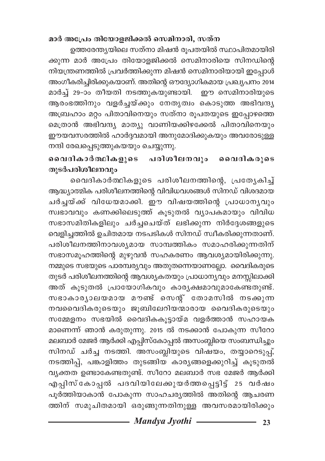#### മാർ അപ്രേം തിയോളജിക്കൽ സെമിനാരി, സത്ന

ഉത്തരേന്ത്യയിലെ സത്നാ മിഷൻ രൂപതയിൽ സ്ഥാപിതമായിരി .<br>ക്കുന്ന മാർ അപ്രേം തിയോളജിക്കൽ സെമിനാരിയെ സിനഡിന്റെ നിയന്ത്രണത്തിൽ പ്രവർത്തിക്കുന്ന മിഷൻ സെമിനാരിയായി ഇപ്പോൾ അംഗീകരിച്ചിരിക്കുകയാണ്. അതിന്റെ ഔദ്യോഗികമായ പ്രഖ്യപനം 2014 മാർച്ച് 29-ാം തീയതി നടത്തുകയുണ്ടായി. ഈ സെമിനാരിയുടെ ആരംഭത്തിനും വളർച്ചയ്ക്കും നേതൃത്വം കൊടുത്ത അഭിവന്ദ്യ അബ്രഹാം മറ്റം പിതാവിനെയും സത്നാ രൂപതയുടെ ഇപ്പോഴത്തെ മെത്രാൻ അഭിവന്ദ്യ മാത്യു വാണിയക്കിഴക്കേൽ പിതാവിനെയു<mark>ം</mark> ഈയവസരത്തിൽ ഹാർദ്ദവമായി അനുമോദിക്കുകയും അവരോടുള്ള നന്ദി രേഖപ്പെടുത്തുകയയും ചെയ്യുന്നു.

# വൈദികാർത്ഥികളുടെ പരിശീലനവും വൈദികരുടെ തുടർപരിശീലനവും

വൈദികാർത്ഥികളുടെ പരിശീലനത്തിന്റെ, പ്രത്യേകിച്ച് ആദ്ധ്യാത്മിക പരിശീലനത്തിന്റെ വിവിധവശങ്ങൾ സിനഡ് വിശദമായ ചർച്ചയ്ക്ക് വിധേയമാക്കി. ഈ വിഷയത്തിന്റെ പ്രാധാനൃവും സ്വഭാവവും കണക്കിലെടുത്ത് കൂടുതൽ വ്യാപകമായും വിവിധ സഭാസമിതികളിലും ചർച്ചചെയ്ത് ലഭിക്കുന്ന നിർദ്ദേശങ്ങളുടെ വെളിച്ചത്തിൽ ഉചിതമായ നടപടികൾ സിനഡ് സ്വീകരിക്കുന്നതാണ്. പരിശീലനത്തിനാവശ്യമായ സാമ്പത്തികം സമാഹരിക്കുന്നതിന് സഭാസമൂഹത്തിന്റെ മുഴുവൻ സഹകരണം ആവശ്യമായിരിക്കുന്നു. നമ്മുടെ സഭയുടെ പാരമ്പര്യവും അതുതന്നെയാണല്ലോ. വൈദികരുടെ തുടർ പരിശീലനത്തിന്റെ ആവശ്യകതയും പ്രാധാന്യവും മനസ്സിലാക്കി അത് കൂടുതൽ പ്രായോഗികവും കാര്യക്ഷമാവുമാകേണ്ടതുണ്ട്. സഭാകാരൃാലയമായ മൗണ്ട് സെന്റ് തോമസിൽ നടക്കുന്ന നവവൈദികരുടെയും ജൂബിലേറിയന്മാരായ വൈദികരുടെയ<mark>ു</mark>ം സമ്മേളനം സഭയിൽ വൈദികകൂട്ടായ്മ വളർത്താൻ സഹായക മാണെന്ന് ഞാൻ കരുതുന്നു. 2015 ൽ നടക്കാൻ പോകുന്ന സീറോ മലബാർ മേജർ ആർക്കി എപ്പിസ്കോപ്പൽ അസംബ്ലിയെ സ<mark>ംബന്ധിച്ചും</mark> സിനഡ് ചർച്ച നടത്തി. അസംബ്ലിയുടെ വിഷയം, തയ്യാറെടുപ്പ്<mark>,</mark> നടത്തിപ്പ്, പങ്കാളിത്തം തുടങ്ങിയ കാര്യങ്ങളെക്കുറിച്ച് കൂടുതൽ .<br>വ്യക്തത ഉണ്ടാകേണ്ടതുണ്ട്. സീറോ മലബാർ സഭ മേജർ ആർക്കി എപ്പിസ്കോപ്പൽ പദവിയിലേക്കുയർത്തപ്പെട്ടിട്ട് 25 വർഷം പൂർത്തിയാകാൻ പോകുന്ന സാഹചര്യത്തിൽ അതിന്റെ ആചരണ ത്തിന് സമുചിതമായി ഒരുങ്ങുന്നതിനുള്ള അവസരമായിരിക്കു<mark>ം</mark>

- Mandya Jyothi -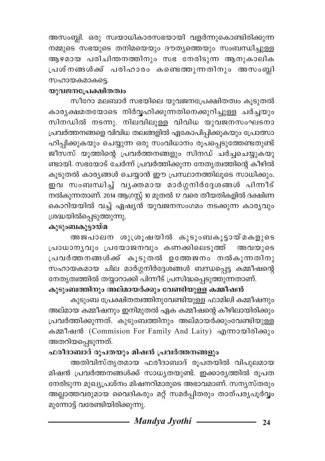അസംബ്ലി. ഒരു സ്വയാധികാരസഭയായി വളർന്നുകൊണ്ടിരിക്കുന്ന നമ്മുടെ സഭയുടെ തനിമയെയും ദൗത്യത്തെയും സംബന്ധിച്ചുള്ള ആഴമായ പരിചിന്തനത്തിനും സഭ നേരിടുന്ന ആനുകാലിക പ്രശ്നങ്ങൾക്ക് പരിഹാരം കണ്ടെത്തുന്നതിനു<mark>ം</mark> അസംബ്ലി സഹായകമാകടെ.

#### യുവജനപ്രേക്ഷിതത്വം

സീറോ മലബാർ സഭയിലെ യുവജനപ്രേക്ഷിതത്വം കൂടുതൽ കാരൃക്ഷമതയോടെ നിർവ്വഹിക്കുന്നതിനെക്കുറിച്ചുള്ള ചർച്ചയും സിനഡിൽ നടന്നു. നിലവിലുള്ള വിവിധ യുവജനസംഘടനാ പ്രവർത്തനങ്ങളെ വിവിധ തലങ്ങളിൽ ഏകോപിപ്പിക്കുകയും പ്രോത്സാ ഹിപ്പിക്കുകയും ചെയ്യുന്ന ഒരു സംവിധാനം രൂപപ്പെടുത്തേണ്ടതുണ്ട് ജീസസ് യൂത്തിന്റെ പ്രവർത്തനങ്ങളും സിനഡ് ചർച്ചചെയ്യുകയു ണ്ടായി. സഭയോട് ചേർന്ന് പ്രവർത്തിക്കുന്ന നേതൃത്വത്തിന്റെ കീഴിൽ കൂടുതൽ കാര്യങ്ങൾ ചെയ്യാൻ ഈ പ്രസ്ഥാനത്തിലൂടെ സാധിക്കും. ഇവ സംബന്ധിച്ച് വൃക്തമായ മാർഗ്ഗനിർദ്ദേശങ്ങൾ പിന്ന<mark>ീ</mark>ട് നൽകുന്നതാണ്. 2014 ആഗസ്റ്റ് 10 മുതൽ 17 വരെ തീയതികളിൽ ദക്ഷിണ കൊറിയയിൽ വച്ച് ഏഷ്യൻ യുവജനസംഗമം നടക്കുന്ന കാര്യവും ശ്രദ്ധയിൽപ്പെടുത്തുന്നു.

#### കുടുംബകൂട്ടായ്മ

അജപാലന ശുശ്രൂഷയിൽ കുടുംബകൂട്ടായ്മകളുടെ പ്രാധാനൃവും പ്രയോജനവും കണക്കിലെടുത്ത് അവയുടെ പ്രവർത്തനങ്ങൾക്ക് കൂടുതൽ ഉത്തേജനം നൽകുന്നതിനു സഹായകമായ ചില മാർഗ്ഗനിർദ്ദേശങ്ങൾ ബന്ധപ്പെട്ട കമ്മീഷന്റെ നേതൃത്വത്തിൽ തയ്യാറാക്കി പിന്നീട് പ്രസിദ്ധപ്പെടുത്തുന്നതാണ്.

#### കുടുംബത്തിനും അല്മായർക്കും വേണ്ടിയുള്ള കമ്മീഷൻ

കുടുംബ പ്രേക്ഷിതത്വത്തിനുവേണ്ടിയുള്ള ഫാമിലി കമ്മീഷനും അല്മായ കമ്മീഷനും ഇനിമുതൽ ഏക കമ്മീഷന്റെ കീഴിലായിരിക്കും പ്രവർത്തിക്കുന്നത്. കുടുംബത്തിനും അല്മായർക്കുംവേണ്ടിയുള്ള കമ്മീഷൻ (Commision For Family And Laity) എന്നായിരിക്കും അതറിയപ്പെടുന്നത്.

## ഫരീദാബാദ് രൂപതയും മിഷൻ പ്രവർത്തനങ്ങളും

അതിവിസ്തൃതമായ ഫരീദാബാദ് രൂപതയിൽ വിപുലമായ മിഷൻ പ്രവർത്തനങ്ങൾക്ക് സാധ്യതയുണ്ട്. ഇക്കാര്യത്തിൽ രൂപത നേരിടുന്ന മുഖ്യപ്രശ്നം മിഷനറിമാരുടെ അഭാവമാണ്. സന്യസ്തരും അല്ലാത്തവരുമായ വൈദികരും മറ്റ് സമർപ്പിതരും താത്പര്യപൂർവ്വം മുന്നോട്ട് വരേണ്ടിയിരിക്കുന്നു.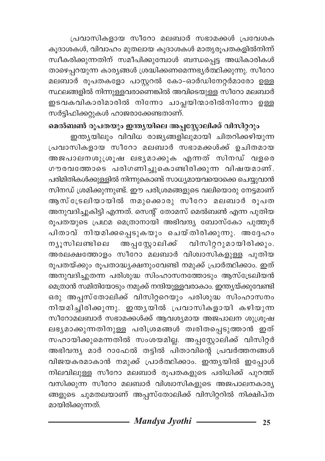പ്രവാസികളായ സീറോ മലബാർ സഭാമക്കൾ പ്രവേശക കൂദാശകൾ, വിവാഹം മുതലായ കൂദാശകൾ മാതൃരൂപതകളിൽനിന്ന് സ്വീകരിക്കുന്നതിന് സമീപിക്കുമ്പോൾ ബന്ധപ്പെട്ട അധികാരികൾ താഴെപ്പറയുന്ന കാര്യങ്ങൾ ശ്രദ്ധിക്കണമെന്നഭ്യർത്ഥിക്കുന്നു. സീറോ മലബാർ രൂപതകളോ പാസ്റ്ററൽ കോ-ഓർഡിനേറ്റർമാരോ ഉള്ള സ്ഥലങ്ങളിൽ നിന്നുള്ളവരാണെങ്കിൽ അവിടെയുള്ള സീറോ മലബാർ ഇടവകവികാരിമാരിൽ നിന്നോ ചാപ്ലയിന്മാരിൽനിന്നോ ഉള്ള സർട്ടിഫിക്കറ്റുകൾ ഹാജരാക്കേണ്ടതാണ്.

# മെൽബൺ രൂപതയു<mark>ം ഇ</mark>ന്ത്യയിലെ അപ്പസ്റ്റോലിക്ക് വിസിറ്ററും

ഇന്ത്യയിലും വിവിധ രാജ്യങ്ങളിലുമായി ചിതറിക്കഴിയുന്ന പ്രവാസികളായ സീറോ മലബാർ സഭാമക്കൾക്ക് ഉചിതമായ അജപാലനശുശ്രൂഷ ലഭൃമാക്കുക എന്നത് സിനഡ് വളരെ ഗൗരവത്തോടെ പരിഗണിച്ചുകൊണ്ടിരിക്കുന്ന വിഷയമാണ്. പരിമിതികൾക്കുള്ളിൽ നിന്നുകൊണ്ട് സാധ്യമായവയൊക്കെ ചെയ്യുവാൻ സിനഡ് ശ്രമിക്കുന്നുണ്ട്. ഈ പരിശ്രമങ്ങളുടെ വലിയൊരു നേട്ടമാണ് ആസ്ട്രേലിയായിൽ നമുക്കൊരു സീറോ മലബാർ രൂപത അനുവദിച്ചുകിട്ടി എന്നത്. സെന്റ് തോമസ് മെൽബൺ എന്ന പുതിയ രൂപതയുടെ പ്രഥമ മെത്രാനായി അഭിവന്ദ്യ ബോസ്കോ പുത്തൂർ പിതാവ് നിയമിക്കപ്പെടുകയും ചെയ്തിരിക്കുന്നു. അദ്ദേ<mark>ഹം</mark> അപ്പസ്റ്റോലിക്ക് വിസിറ്ററുമായിരിക്കും. ന്യൂസിലണ്ടിലെ അരലക്ഷത്തോളം സീറോ മലബാർ വിശ്വാസികളുള്ള പുതിയ രൂപതയ്ക്കും രൂപതാദ്ധ്യക്ഷനുംവേണ്ടി നമുക്ക് പ്രാർത്ഥിക്കാം. ഇത് അനുവദിച്ചുതന്ന പരിശുദ്ധ സിംഹാസനത്തോടും ആസ്ട്രേലിയൻ മെത്രാൻ സമിതിയോടും നമുക്ക് നന്ദിയുള്ളവരാകാം. ഇന്ത്യയ്ക്കുവേണ്ടി ഒരു അപ്പസ്തോലിക്ക് വിസിറ്ററെയും പരിശുദ്ധ സിംഹാസനം .<br>നിയമിച്ചിരിക്കുന്നു. ഇന്തൃയിൽ പ്രവാസികളായി കഴിയുന്ന സീറോമലബാർ സഭാമക്കൾക്ക് ആവശ്യമായ അജപാലന ശുശ്രൂഷ ലഭൃമാക്കുന്നതിനുള്ള പരിശ്രമങ്ങൾ ത്വരിതപ്പെടുത്താൻ ഇത<mark>്</mark> സഹായിക്കുമെന്നതിൽ സംശയമില്ല. അപ്പസ്റ്റോലിക്ക് വിസിറ്റർ അഭിവന്ദ്യ മാർ റാഫേൽ തട്ടിൽ പിതാവിന്റെ പ്രവർത്തനങ്ങൾ വിജയകരമാകാൻ നമുക്ക് പ്രാർത്ഥിക്കാം. ഇന്ത്യയിൽ ഇപ്പോൾ .<br>നിലവിലുള്ള സീറോ മലബാർ രൂപതകളുടെ പരിധിക്ക് പുറത്ത് വസിക്കുന്ന സീറോ മലബാർ വിശ്വാസികളുടെ അജപാലനകാര്യ ങ്ങളുടെ ചുമതലയാണ് അപ്പസ്തോലിക്ക് വിസിറ്ററിൽ നിക്ഷിപ്ത മായിരിക്കുന്നത്.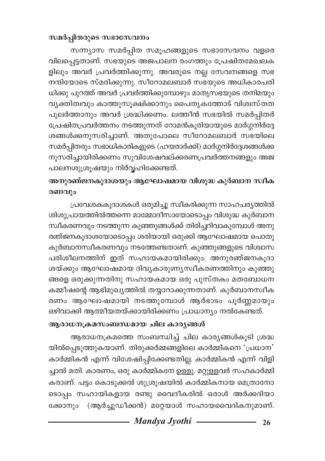#### സമർപ്പിതരുടെ സഭാസേവനം

സന്ന്യാസ സമർപ്പിത സമൂഹങ്ങളുടെ സഭാസേവനം വളരെ വിലപ്പെട്ടതാണ്. സഭയുടെ അജപാലന രംഗത്തും പ്രേഷിതമേഖലക ളിലും അവർ പ്രവർത്തിക്കുന്നു. അവരുടെ നല്ല സേവനങ്ങളെ സഭ .<br>നന്ദിയോടെ സ്മരിക്കുന്നു. സീറോമലബാർ സഭയുടെ അധികാരപരി ധിക്കു പുറത്ത് അവർ പ്രവർത്തിക്കുമ്പോഴും മാതൃസഭയുടെ തനിമയു<mark>ം</mark> വ്യക്തിത്വവും കാത്തുസൂക്ഷിക്കാനും പൈതൃകത്തോട് വിശ്വസ്തത പുലർത്താനും അവർ ശ്രദ്ധിക്കണം. ലത്തീൻ സഭയിൽ സമർപ്പിതർ പ്രേഷിതപ്രവർത്തനം നടത്തുന്നത് റോമൻകൂരിയായുടെ മാർഗ്ഗനിർദ്ദേ .<br>ശങ്ങൾക്കനുസരിച്ചാണ്. അതുപോലെ സീറോമലബാർ സഭയിലെ സമർപ്പിതരും സഭാധികാരികളുടെ (ഹയരാർക്കി) മാർഗ്ഗനിർദ്ദേശങ്ങൾക്ക .<br>നുസരിച്ചായിരിക്കണം സുവിശേഷവല്ക്കരണപ്രവർത്തനങ്ങളും അജ പാലനശുശ്രൂഷയും നിർവ്വഹിക്കേണ്ടത്.

# അനുരഞ്ജനകൂദാശയും ആഘോഷമായ വിശുദ്ധ കുർബാന സ്ഥീക രണവും

പ്രവേശകകൂദാശകൾ ഒരുമിച്ചു സ്വീകരിക്കുന്ന സാഹചര്യത്തിൽ ശിശുപ്രായത്തിൽത്തന്നെ മാമ്മോദീസായോടൊപ്പം വിശുദ്ധ കുർബാന സ്ഥീകരണവും നടത്തുന്ന കുഞ്ഞുങ്ങൾക്ക് തിരിച്ചറിവാകുമ്പോൾ അനു രഞ്ജനകൂദാശയോടൊപ്പം ശരിയായി ഒരുക്കി ആഘോഷമായ പൊതു കുർബാനസ്വീകരണവും നടത്തേണ്ടതാണ്. കുഞ്ഞുങ്ങളുടെ വിശ്വാസ .<br>പരിശീലനത്തിന് ഇത് സഹായകമായിരിക്കും. അനുരഞ്ജനകൂദാ ശയ്ക്കും ആഘോഷമായ ദിവ്യകാരുണ്യസ്ഥീകരണത്തിനും കുഞ്ഞു ങ്ങളെ ഒരുക്കുന്നതിനു സഹായകമായ ഒരു പുസ്തകം മതബോധന കമ്മീഷന്റെ ആഭിമുഖ്യത്തിൽ തയ്യാറാക്കുന്നതാണ്. കുർബാനസ്വീക രണം ആഘോഷമായി നടത്തുമ്പോൾ ആർഭാടം പൂർണ്ണമായും ഒഴിവാക്കി ആത്മീയതയ്ക്കായിരിക്കണം പ്രാധാന്യം നൽകേണ്ടത്.

# ആരാധനക്രമസംബന്ധമായ ചില കാരൃങ്<mark>ങ</mark>ൾ

ആരാധനക്രമത്തെ സംബന്ധിച്ച് ചില കാര്യങ്ങൾകൂടി ശ്രദ്ധ യിൽപ്പെടുത്തുകയാണ്. തിരുക്കർമ്മങ്ങളിലെ കാർമ്മികനെ 'പ്രധാന' കാർമ്മികൻ എന്ന് വിശേഷിപ്പിക്കേണ്ടതില്ല. കാർമ്മികൻ എന്ന് വിളി ച്ചാൽ മതി. കാരണം, ഒരു കാർമ്മികനേ ഉള്ളൂ. മറ്റുള്ളവർ സഹകാർമ്മി കരാണ്. പട്ടം കൊടുക്കൽ ശുശ്രൂഷയിൽ കാർമ്മികനായ മെത്രാനോ ടൊപ്പം സഹായികളായ രണ്ടു വൈദീകരിൽ ഒരാൾ അർക്കദിയ<mark>ാ</mark> ക്കോനും (ആർച്ചുഡീക്കൻ) മറ്റേയാൾ സഹായവൈദികനുമാണ്.

> - Mandya Jyothi -26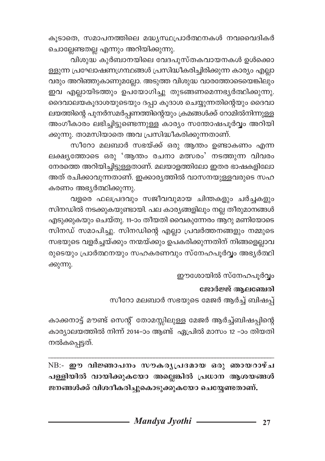കൂടാതെ, സമാപനത്തിലെ മദ്ധ്യസ്ഥപ്രാർത്ഥനകൾ നവവൈദികർ ചൊല്ലേണ്ടതല്ല എന്നും അറിയിക്കുന്നു.

.<br>വിശുദ്ധ കുർബാനയിലെ വേദപുസ്തകവായനകൾ ഉൾക്കൊ ള്ളുന്ന പ്രഘോഷണഗ്രന്ഥങ്ങൾ പ്രസിദ്ധീകരിച്ചിരിക്കുന്ന കാര്യം എല്ലാ വരും അറിഞ്ഞുകാണുമല്ലോ. അടുത്ത വിശുദ്ധ വാരത്തോടെയെങ്കിലും ഇവ എല്ലായിടത്തും ഉപയോഗിച്ചു തുടങ്ങണമെന്നഭ്യർത്ഥിക്കുന്നു. ദൈവാലയകൂദാശയുടെയും ദപ്പാ കൂദാശ ചെയ്യുന്നതിന്റെയും ദൈവാ .<br>ലയത്തിന്റെ പുനർസമർപ്പണത്തിന്റെയും ക്രമങ്ങൾക്ക് റോമിൽനിന്നുള്ള അംഗീകാരം ലഭിച്ചിട്ടുണ്ടെന്നുള്ള കാര്യം സന്തോഷപൂർവ്വം അറിയി ക്കുന്നു. താമസിയാതെ അവ പ്രസിദ്ധീകരിക്കുന്നതാണ്.

.<br>സീറോ മലബാർ സഭയ്ക്ക് ഒരു ആന്തം ഉണ്ടാകണം എന്ന ലക്ഷ്യത്തോടെ ഒരു 'ആന്തം രചനാ മത്സരം' നടത്തുന്ന വിവരം നേരത്തെ അറിയിച്ചിട്ടുള്ളതാണ്. മലയാളത്തിലോ ഇതര ഭാഷകളിലോ അത് രചിക്കാവുന്നതാണ്. ഇക്കാര്യത്തിൽ വാസനയുള്ളവരുടെ സഹ കരണം അഭ്യർത്ഥിക്കുന്നു.

വളരെ ഫലപ്രദവും സജീവവുമായ ചിന്തകളും ചർച്ചകളും സിനഡിൽ നടക്കുകയുണ്ടായി. പല കാര്യങ്ങളിലും നല്ല തീരുമാനങ്ങൾ എടുക്കുകയും ചെയ്തു. 11–ാം തീയതി വൈകുന്നേരം ആറു മണിയോടെ സിനഡ് സമാപിച്ചു. സിനഡിന്റെ എല്ലാ പ്രവർത്തനങ്ങളും നമ്മുടെ സഭയുടെ വളർച്ചയ്ക്കും നന്മയ്ക്കും ഉപകരിക്കുന്നതിന് നിങ്ങളെല്ലാവ രുടെയും പ്രാർത്ഥനയും സഹകരണവും സ്നേഹപൂർവ്വം അഭ്യർത്ഥി ക്കുന്നു.

ഈശോയിൽ സ്നേഹപൂർവ്വം

#### ജോർജ്ജ് ആലഞ്ചേരി

സീറോ മലബാർ സഭയുടെ മേജർ ആർച്ച് ബിഷപ്പ്

കാക്കനാട്ട് മൗണ്ട് സെന്റ് തോമസ്സിലുള്ള മേജർ ആർച്ച്ബിഷപ്പിന്റെ കാര്യാലയത്തിൽ നിന്ന് 2014–ാം ആണ്ട് ഏപ്രിൽ മാസം 12 –ാം തിയതി നൽകപ്പെട്ടത്.

NB:- ഈ വിജ്ഞാപനം സൗകരൃപ്രദമായ ഒരു ഞായറാഴ്ച പള്ളിയിൽ വായിക്കുകയോ അല്ലെങ്കിൽ പ്രധാന ആശയങ്ങൾ ജനങ്ങൾക്ക് വിശദീകരിച്ചുകൊടുക്കുകയോ ചെയ്യേണ്ടതാണ്.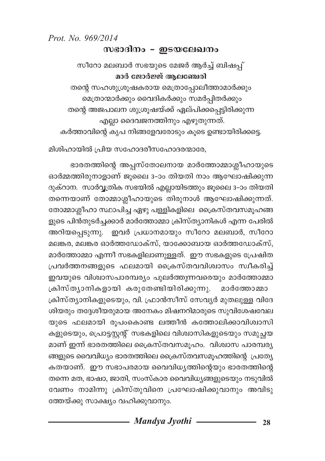### Prot. No. 969/2014 സഭാദിനം - ഇടയലേഖനം

സീറോ മലബാർ സഭയുടെ മേജർ ആർച്ച് ബിഷപ്പ് മാർ ജോർജ്ജ് ആലഞ്ചേരി

തന്റെ സഹശുശ്രൂഷകരായ മെത്രാപ്പോലീത്താമാർക്കും മെത്രാന്മാർക്കും വൈദികർക്കും സമർപ്പിതർക്കും തന്റെ അജപാലന ശുശ്രൂഷയ്ക്ക് ഏല്പിക്കപ്പെട്ടിരിക്കുന്ന എല്ലാ ദൈവജനത്തിനും എഴുതുന്നത്. കർത്താവിന്റെ കൃപ നിങ്ങളേവരോടും കൂടെ ഉണ്ടായിരിക്കട്ടെ.

മിശിഹായിൽ പ്രിയ സഹോദരീസഹോദരന്മാരേ.

ഭാരതത്തിന്റെ അപ്പസ്തോലനായ മാർത്തോമ്മാശ്ലീഹായുടെ ഓർമ്മത്തിരുനാളാണ് ജൂലൈ 3–ാം തിയതി നാം ആഘോഷിക്കുന്ന ദുക്റാന. സാർവ്വത്രിക സഭയിൽ എല്ലായിടത്തും ജൂലൈ 3–ാം തിയതി തന്നെയാണ് തോമ്മാശ്ലീഹായുടെ തിരുനാൾ ആഘോഷിക്കുന്നത്. തോമ്മാശ്ലീഹാ സ്ഥാപിച്ച ഏഴു പള്ളികളിലെ ക്രൈസ്തവസമൂഹങ്ങ ളുടെ പിൻതുടർച്ചക്കാർ മാർത്തോമ്മാ ക്രിസ്ത്യാനികൾ എന്ന പേരിൽ അറിയപ്പെടുന്നു. ഇവർ പ്രധാനമായും സീറോ മലബാർ, സീറോ മലങ്കര, മലങ്കര ഓർത്തഡോക്സ്, യാക്കോബായ ഓർത്തഡോക്സ്, മാർത്തോമ്മാ എന്നീ സഭകളിലാണുള്ളത്. ഈ സഭകളുടെ പ്രേഷിത പ്രവർത്തനങ്ങളുടെ ഫലമായി ക്രൈസ്ത<mark>വവി</mark>ശ്വാസം സ്വീകരിച്ച് ഇവയുടെ വിശ്വാസപാരമ്പര്യം പുലർത്തുന്നവരെയും മാർത്തോമ്മാ

ക്രിസ്ത്യാനികളായി കരുതേണ്ടിയിരിക്കുന്നു. മാർത്തോമ്മാ ക്രിസ്ത്യാനികളുടെയും, വി. ഫ്രാൻസീസ് സേവ്യർ മുതലുള്ള വിദേ ശിയരും തദ്ദേശീയരുമായ അനേകം മിഷനറിമാരുടെ സുവിശേഷവേല യുടെ ഫലമായി രുപംകൊണ്ട ലത്തീൻ കത്തോലിക്കാവിശ്വാസി കളുടെയും, പ്രൊട്ടസ്റ്റന്റ് സഭകളിലെ വിശ്വാസികളുടെയും സമുച്ഛയ മാണ് ഇന്ന് ഭാരതത്തിലെ ക്രൈസ്തവസമൂഹം. വിശ്വാസ പാരമ്പര്യ ങ്ങളുടെ വൈവിധ്യം ഭാരതത്തിലെ ക്രൈസ്തവസമുഹത്തിന്റെ പ്രത്യേ കതയാണ്. ഈ സഭാപരമായ വൈവിധ്യത്തിന്റെയും ഭാരതത്തിന്റെ തന്നെ മത, ഭാഷാ, ജാതി, സംസ്കാര വൈവിധൃങ്ങളുടെയും നടുവിൽ വേണം നാമിന്നു ക്രിസ്തുവിനെ പ്രഘോഷിക്കുവാനും അവിടു ത്തേയ്ക്കു സാക്ഷ്യം വഹിക്കുവാനും.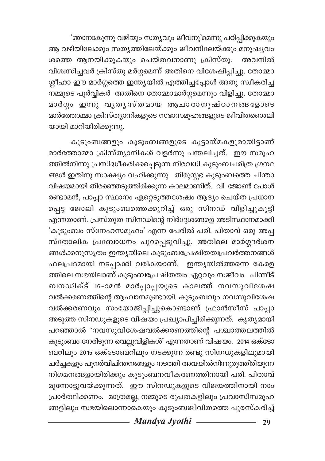'ഞാനാകുന്നു വഴിയും സത്യവും ജീവനു'മെന്നു പഠിപ്പിക്കുകയും ആ വഴിയിലേക്കും സതൃത്തിലേയ്ക്കും ജീവനിലേയ്ക്കും മനുഷ്യവം ശത്തെ ആനയിക്കുകയും ചെയ്തവനാണു ക്രിസ്തു. അവനിൽ വിശ്വസിച്ചവർ ക്രിസ്തു മർഗ്ഗമെന്ന് അതിനെ വിശേഷിപ്പിച്ചു. തോമ്മാ ശ്ലീഹാ ഈ മാർഗ്ഗത്തെ ഇന്ത്യയിൽ എത്തിച്ചപ്പോൾ അതു സ്വീകരിച്ച നമ്മുടെ പൂർവ്വികർ അതിനെ തോമ്മാമാർഗ്ഗമെന്നും വിളിച്ചു. തോമ്മാ മാർഗ്ഗം ഇന്നു വൃതൃസ്തമായ ആചാരാനുഷ്ഠാനങ്ങളോടെ മാർത്തോമ്മാ ക്രിസ്ത്യാനികളുടെ സഭാസമൂഹങ്ങളുടെ ജീവിതശൈലി യായി മാറിയിരിക്കുന്നു.

കുടുംബങ്ങളും കുടുംബങ്ങളുടെ കൂട്ടായ്മകളുമായിട്ടാണ് മാർത്തോമ്മാ ക്രിസ്ത്യാനികൾ വളർന്നു പന്തലിച്ചത്. ഈ സമൂഹ ത്തിൽനിന്നു പ്രസിദ്ധീകരിക്കപ്പെടുന്ന നിരവധി കുടുംബചരിത്ര ഗ്രന്ഥ ങ്ങൾ ഇതിനു സാക്ഷ്യം വഹിക്കുന്നു. തിരുസ്സഭ കുടുംബത്തെ ചിന്താ വിഷയമായി തിരഞ്ഞെടുത്തിരിക്കുന്ന കാലമാണിത്. വി. ജോൺ പോൾ രണ്ടാമൻ, പാപ്പാ സ്ഥാനം ഏറ്റെടുത്തശേഷം ആദ്യം ചെയ്ത പ്രധാന പ്പെട്ട ജോലി കുടുംബത്തെക്കുറിച്ച് ഒരു സിനഡ് വിളിച്ചുകൂട്ടി എന്നതാണ്. പ്രസ്തുത സിനഡിന്റെ നിർദ്ദേശങ്ങളെ അടിസ്ഥാനമാക്കി 'കുടുംബം സ്നേഹസമൂഹം' എന്ന പേരിൽ പരി. പിതാവ് ഒരു അപ്പ സ്തോലിക പ്രബോധനം പുറപ്പെടുവിച്ചു. അതിലെ മാർഗ്ഗദർശന ങ്ങൾക്കനുസൃതം ഇന്ത്യയിലെ കുടുംബപ്രേഷിതത്വപ്രവർത്തനങ്ങൾ ഫലപ്രദമായി നടപ്പാക്കി വരികയാണ്. ഇന്ത്യയിൽത്തന്നെ കേരള ത്തിലെ സഭയിലാണ് കുടുംബപ്രേഷിതത<mark>്വം</mark> ഏറ്റവും സജീവം. പിന്നീട് ബനഡിക്ട് 16-ാമൻ മാർപ്പാപ്പയുടെ കാലത്ത് നവസുവിശേഷ വൽക്കരണത്തിന്റെ ആഹ്വാനമുണ്ടായി. കുടുംബവും നവസുവിശേഷ വൽക്കരണവും സംയോജിപ്പിച്ചുകൊണ്ടാണ് ഫ്രാൻസീസ് പാപ്പാ അടുത്ത സിനഡുകളുടെ വിഷയം പ്രഖ്യാപിച്ചിരിക്കുന്നത്. കൃത്യമായി പറഞ്ഞാൽ 'നവസുവിശേഷവൽക്കരണത്തിന്റെ പശ്ചാത്തലത്തിൽ കുടുംബം നേരിടുന്ന വെല്ലുവിളികൾ' എന്നതാണ് വിഷയം. 2014 ഒക്ടോ ബറിലും 2015 ഒക്ടോബറിലും നടക്കുന്ന രണ്ടു സിനഡുകളിലുമായി ചർച്ചകളും പുനർവിചിന്തനങ്ങളും നടത്തി അവയിൽനിന്നുരുത്തിരിയുന്ന നിഗമനങ്ങളായിരിക്കും കുടുംബനവീകരണത്തിനായി പരി. പിതാവ് മുന്നോട്ടുവയ്ക്കുന്നത്. ഈ സിനഡുകളുടെ വിജയത്തിനായി നാം പ്രാർത്ഥിക്കണം. മാത്രമല്ല, നമ്മുടെ രൂപതകളിലും പ്രവാസിസമൂഹ ങ്ങളിലും സഭയിലൊന്നാകെയും കുടുംബജീവിതത്തെ പുരസ്കരിച്ച്

- Mandya Jyothi —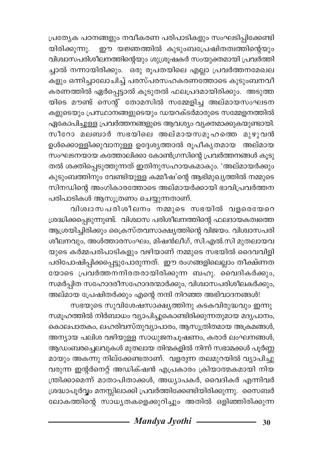പ്രത്യേക പഠനങ്ങളും നവീകരണ പരിപാടികളും സംഘടിപ്പിക്കേണ്ടി യിരിക്കുന്നു. ഈ യജ്ഞത്തിൽ കുടുംബപ്രേഷിതത്വത്തിന്റെയും വിശ്വാസപരിശീലനത്തിന്റെയും ശുശ്രൂഷകർ സംയുക്തമായി പ്രവർത്തി ച്ചാൽ നന്നായിരിക്കും. ഒരു രൂപതയിലെ എല്ലാ പ്രവർത്തനമേഖല കളും ഒന്നിച്ചാലോചിച്ച് പരസ്പരസഹകരണത്തോടെ കുടുംബനവീ കരണത്തിൽ ഏർപ്പെട്ടാൽ കൂടുതൽ ഫലപ്രദമായിരിക്കും. അടുത്ത യിടെ മൗണ്ട് സെന്റ് തോമസിൽ സമ്മേളിച്ച അല്മായസംഘടന .<br>കളുടെയും പ്രസ്ഥാനങ്ങളുടെയും ഡയറക്ടർമാരുടെ സമ്മേളനത്തിൽ ഏകോപിച്ചുള്ള പ്രവർത്തനങ്ങളുടെ ആവശ്യം വ്യക്തമാക്കുകയുണ്ടായി. .<br>സീറോ മലബാർ സഭയിലെ അല്മായസമൂഹത്തെ മുഴുവൻ ഉൾക്കൊള്ളിക്കുവാനുള്ള ഉദ്ദേശ്യത്താൽ രൂപീകൃതമായ അല്മായ സംഘടനയായ കത്തോലിക്കാ കോൺഗ്രസിന്റെ പ്രവർത്തനങ്ങൾ കൂടു തൽ ശക്തിപ്പെടുത്തുന്നത് ഇതിനുസഹായകമാകും. 'അല്മായർക്കും കുടുംബത്തിനും വേണ്ടിയുള്ള കമ്മീഷ'ന്റെ ആഭിമുഖ്യത്തിൽ നമ്മുടെ സിനഡിന്റെ അംഗികാരത്തോടെ അല്മായർക്കായി ഭാവിപ്രവർത്തന പരിപാടികൾ ആസൂത്രണം ചെയ്യുന്നതാണ്.

വിശ്വാസപരിശീലനം നമ്മുടെ സഭയിൽ വളരെയേറെ ശ്രദ്ധിക്കപ്പെടുന്നുണ്ട്. വിശ്വാസ പരിശീലനത്തിന്റെ ഫലദായകത്വത്തെ ആശ്രയിച്ചിരിക്കും ക്രൈസ്തവസാക്ഷ്യത്തിന്റെ വിജയം. വിശ്വാസപരി ശീലനവും, അൾത്താരസംഘം, മിഷൻലീഗ്, സി.എൽ.സി മുതലായവ യുടെ കർമ്മപരിപാടികളും വഴിയാണ് നമ്മുടെ സഭയിൽ ദൈവവിളി പരിപോഷിപ്പിക്കപ്പെട്ടുപോരുന്നത്. ഈ രംഗങ്ങളിലെല്ലാം തീക്ഷ്ണത യോടെ പ്രവർത്തനനിരതരായിരിക്കുന്ന ബഹു. വൈദികർക്കും, സമർപ്പിത സഹോദരീസഹോദരന്മാർക്കും, വിശ്വാസപരിശീലകർക്കും, അല്മായ പ്രേഷിതർക്കും എന്റെ നന്ദി നിറഞ്ഞ അഭിവാദനങ്ങൾ!

സഭയുടെ സുവിശേഷസാക്ഷ്യത്തിനു കടകവിരുദ്ധവും ഇന്നു സമൂഹത്തിൽ നിർബാധം വ്യാപിച്ചുകൊണ്ടിരിക്കുന്നതുമായ മദ്യപാനം, കൊലപാതകം, ലഹരിവസ്തുവ്യാപാരം, ആസൂത്രിതമായ അക്രമങ്ങൾ, അന്യായ പലിശ വഴിയുള്ള സാധുജനചൂഷണം, കരാർ ലംഘനങ്ങൾ, ആഡംബരച്ചെലവുകൾ മുതലായ തിന്മകളിൽ നിന്ന് സഭാമക്കൾ പൂർണ്ണ മായും അകന്നു നില്ക്കേണ്ടതാണ്. വളരുന്ന തലമുറയിൽ വ്യാപിച്ചു വരുന്ന ഇന്റർനെറ്റ് അഡിക്ഷൻ എപ്രകാരം ക്രിയാത്മകമായി നിയ ന്ത്രിക്കാമെന്ന് മാതാപിതാക്കൾ, അധ്യാപകർ, വൈദികർ എന്നിവർ .<br>ശ്രദ്ധാപൂർവ്വം മനസ്സിലാക്കി പ്രവർത്തിക്കേണ്ടിയിരിക്കുന്നു. സൈബർ ലോകത്തിന്റെ സാധ്യതകളെക്കുറിച്ചും അതിൽ ഒളിഞ്ഞിരിക്കുന്ന

Mandya Jyothi -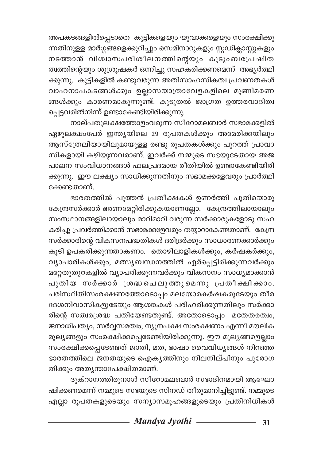അപകടങ്ങളിൽപ്പെടാതെ കുട്ടികളെയും യുവാക്കളെയും സംരക്ഷിക്കു ന്നതിനുള്ള മാർഗ്ഗങ്ങളെക്കുറിച്ചും സെമിനാറുകളും സ്റ്റഡിക്ലാസ്സുകളും നടത്താൻ വിശ<mark>്</mark>വാസപരിശീലനത്തിന്റെയും കുടുംബപ്രേഷിത ത്വത്തിന്റെയും ശുശ്രൂഷകർ ഒന്നിച്ചു സഹകരിക്കണമെന്ന് അഭ്യർത്ഥി ക്കുന്നു. കുട്ടികളിൽ കണ്ടുവരുന്ന അതിസാഹസികത്വ പ്രവണതകൾ വാഹനാപകടങ്ങൾക്കും ഉല്ലാസയാത്രാവേളകളിലെ മുങ്ങിമരണ ങ്ങൾക്കും കാരണമാകുന്നുണ്ട്. കൂടുതൽ ജാഗ്രത ഉത്തരവാദിത്വ പ്പെട്ടവരിൽനിന്ന് ഉണ്ടാകേണ്ടിയിരിക്കുന്നു.

നാല്പതുലക്ഷത്തോളംവരുന്ന സീറോമലബാർ സഭാമക്കളിൽ ഏഴുലക്ഷംപേർ ഇന്ത്യയിലെ 29 രൂപതകൾക്കും അമേരിക്കയിലും ആസ്ത്രേലിയായിലുമായുള്ള രണ്ടു രൂപതകൾക്കും പുറത്ത് പ്രാവാ സികളായി കഴിയുന്നവരാണ്. ഇവർക്ക് നമ്മുടെ സഭയുടേതായ അജ പാലന സംവിധാനങ്ങൾ ഫലപ്രദമായ രീതിയിൽ ഉണ്ടാകേണ്ടിയിരി ക്കുന്നു. ഈ ലക്ഷ്യം സാധിക്കുന്നതിനും സഭാമക്കളേവരും പ്രാർത്ഥി ക്കേണ്ടതാണ്.

ഭാരതത്തിൽ പുത്തൻ പ്രതീക്ഷകൾ ഉണർത്തി പുതിയൊരു കേന്ദ്രസർക്കാർ ഭരണമേറ്റിരിക്കുകയാണല്ലോ. കേന്ദ്രത്തിലായാലും സംസ്ഥാനങ്ങളിലായാലും മാറിമാറി വരുന്ന സർക്കാരുകളോടു സഹ കരിച്ചു പ്രവർത്തിക്കാൻ സഭാമക്കളേവരും തയ്യാറാകേണ്ടതാണ്. കേന്ദ്ര സർക്കാരിന്റെ വികസനപദ്ധതികൾ ദരിദ്രർക്കും സാധാരണക്കാർക്കും കൂടി ഉപകരിക്കുന്നതാകണം. തൊഴിലാളികൾക്കും, കർഷകർക്കും, വ്യാപാരികൾക്കും, മത്സ്യബന്ധനത്തിൽ ഏർപ്പെട്ടിരിക്കുന്നവർക്കും മറ്റേതുതുറകളിൽ വ്യാപരിക്കുന്നവർക്കും വികസനം സാധ്യമാക്കാൻ പുതിയ സർക്കാർ ശ്രദ്ധചെലുത്തുമെന്നു പ്രതീക്ഷിക്കാം. പരിസ്ഥിതിസംരക്ഷണത്തോടൊപ്പം മലയോരകർഷകരുടേയും തീര ദേശനിവാസികളുടേയും ആശങ്കകൾ പരിഹരിക്കുന്നതിലും സർക്കാ രിന്റെ സത്വരശ്രദ്ധ പതിയേണ്ടതുണ്ട്. അതോടൊപ്പം മതേതരത്വം, ജനാധിപത്യം, സർവ്വസമത്വം, ന്യൂനപക്ഷ സംരക്ഷണം എന്നീ മൗലിക മൂല്യങ്ങളും സംരക്ഷിക്കപ്പെടേണ്ടിയിരിക്കുന്നു. ഈ മൂല്യങ്ങളെല്ലാം സംരക്ഷിക്കപ്പെടേണ്ടത് ജാതി, മത, ഭാഷാ വൈവിധ്യങ്ങൾ നിറഞ്ഞ ഭാരതത്തിലെ ജനതയുടെ ഐക്യത്തിനും നിലനില്പിനും പുരോഗ തിക്കും അതൃന്താപേക്ഷിതമാണ്.

ദുക്റാനത്തിരുനാൾ സീറോമലബാർ സഭാദിനമായി ആഘോ ഷിക്കണമെന്ന് നമ്മുടെ സഭയുടെ സിനഡ് തീരുമാനിച്ചിട്ടുണ്ട്. നമ്മുടെ എല്ലാ രൂപതകളുടെയും സന്യാസമൂഹങ്ങളുടെയും പ്രതിനിധികൾ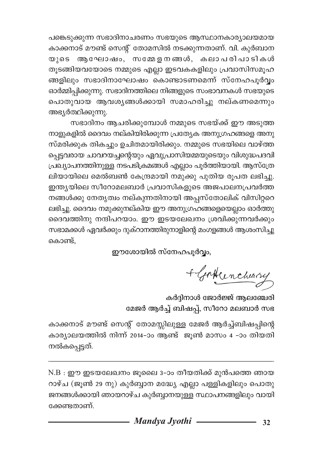പങ്കെടുക്കുന്ന സഭാദിനാചരണം സഭയുടെ ആസ്ഥാനകാര്യാലയമായ കാക്കനാട് മൗണ്ട് സെന്റ് തോമസിൽ നടക്കുന്നതാണ്. വി. കുർബാന .<br>യുടെ ആഘോഷം, സമ്മേളനങ്ങൾ, കലാപരിപാടികൾ തൂടങ്ങിയവയോടെ നമ്മുടെ എല്ലാ ഇടവകകളിലും പ്രവാസിസമൂഹ ങ്ങളിലും സഭാദിനാഘോഷം കൊണ്ടാടണമെന്ന് സ്നേഹപൂർവ്വം ഓർമ്മിപ്പിക്കുന്നു. സഭാദിനത്തിലെ നിങ്ങളുടെ സംഭാവനകൾ സഭയുടെ പൊതുവായ ആവശ്യങ്ങൾക്കായി സമാഹരിച്ചു നല്കണമെന്നും അഭ്യർത്ഥിക്കുന്നു.

സഭാദിനം ആചരിക്കുമ്പോൾ നമ്മുടെ സഭയ്ക്ക് ഈ അടുത്ത നാളുകളിൽ ദൈവം നല്കിയിരിക്കുന്ന പ്രത്യേക അനുഗ്രഹങ്ങളെ അനു സ്മരിക്കുക തികച്ചും ഉചിതമായിരിക്കും. നമ്മുടെ സഭയിലെ വാഴ്ത്ത പ്പെട്ടവരായ ചാവറയച്ചന്റെയും ഏവുപ്രാസിയമ്മയുടെയും വിശുദ്ധപദവി പ്രഖ്യാപനത്തിനുള്ള നടപടിക്രമങ്ങൾ എല്ലാം പൂർത്തിയായി. ആസ്ത്രേ .<br>ലിയായിലെ മെൽബൺ കേന്ദ്രമായി നമുക്കു പുതിയ രൂപത ലഭിച്ചു. ഇന്ത്യയിലെ സീറോമലബാർ പ്രവാസികളുടെ അജപാലനപ്രവർത്ത നങ്ങൾക്കു നേതൃത്വം നല്കുന്നതിനായി അപ്പസ്തോലിക് വിസിറ്ററെ ലഭിച്ചു. ദൈവം നമുക്കുനല്കിയ ഈ അനുഗ്രഹങ്ങളെയെല്ലാം ഓർത്തു ദൈവത്തിനു നന്ദിപറയാം. ഈ ഇടയലേഖനം ശ്രവിക്കുന്നവർക്കും സഭാമക്കൾ ഏവർക്കും ദുക്റാനത്തിരുനാളിന്റെ മംഗളങ്ങൾ ആശംസിച്ചു കൊണ്ട്.

ഈശോയിൽ സ്നേഹപൂർവ്വം,

+ Gorte enchancy

കർദ്ദിനാൾ ജോർജ്ജ് ആലഞ്ചേരി മേജർ ആർച്ച് ബിഷപ്പ്, സീറോ മലബാർ സഭ

കാക്കനാട് മൗണ്ട് സെന്റ് തോമസ്സിലുള്ള മേജർ ആർച്ച്ബിഷപ്പിന്റെ കാര്യാലയത്തിൽ നിന്ന് 2014–ാം ആണ്ട് ജൂൺ മാസം 4 –ാം തിയതി നൽകപ്പെട്ടത്.

 $N.B:$  ഈ ഇടയലേഖനം ജൂലൈ 3–ാം തീയതിക്ക് മുൻപത്തെ ഞായ റാഴ്ച (ജൂൺ 29 നു) കുർബ്ബാന മദ്ധ്യേ എല്ലാ പള്ളികളിലും പൊതു ജനങ്ങൾക്കായി ഞായറാഴ്ച കുർബ്ബാനയുള്ള സ്ഥാപനങ്ങളിലും വായി ക്കേണ്ടതാണ്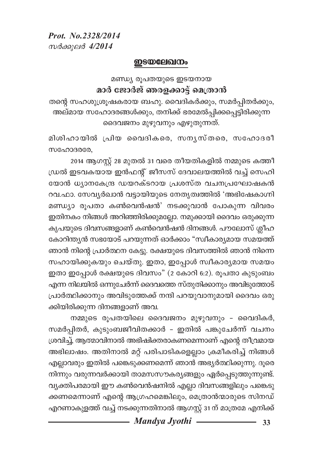#### *Prot. No.2328/2014 സർക്കുലർ 4/2014*

#### **ഇടയലേഖനം**

മണ്ഡ്യ രൂപതയുടെ ഇടയനായ മാർ ജോർജ് ഞരളക്കാട്ട് മെത്രാൻ

തന്റെ സഹശുശ്രൂഷകരായ ബഹു. വൈദികർക്കും, സമർപ്പിതർക്കും, അല്മായ സഹോദരങ്ങൾക്കും, തനിക്ക് ഭരമേൽപ്പിക്കപ്പെട്ടിരിക്കുന്ന ദൈവജനം മുഴുവനും എഴുതുന്നത്.

മിശിഹായിൽ പ്രിയ വൈദികരെ, സനൃസ്തരെ, സഹോദര<mark>ീ</mark> സഹോദരരേ.

2014 ആഗസ്റ്റ് 28 മുതൽ 31 വരെ തീയതികളിൽ നമ്മുടെ കത്തീ ്രധൽ ഇടവകയായ ഇൻഫന്റ് ജീസസ് ദേവാലയത്തിൽ വച്ച് സെഹി യോൻ ധ്യാനകേന്ദ്ര ഡയറക്ടറായ പ്രശസ്ത വചനപ്രഘോഷകൻ റവ.ഫാ. സേവ്യർഖാൻ വട്ടായിയുടെ നേതൃത്വത്തിൽ 'അഭിഷേകാഗ്നി മണ്ഡ്യാ രൂപതാ കൺവെൻഷൻ' നടക്കുവാൻ പോകുന്ന വിവര<mark>ം</mark> ഇതിനകം നിങ്ങൾ അറിഞ്ഞിരിക്കുമല്ലോ. നമുക്കായി ദൈ<mark>വം</mark> ഒരുക്കുന്ന കൃപയുടെ ദിവസങ്ങളാണ് കൺവെൻഷൻ ദിനങ്ങൾ. പൗലോസ് ശ്ലീഹ കോറിന്ത്യൻ സഭയോട് പറയുന്നത് ഓർക്കാം "സ്വീകാര്യമായ സമയത്ത് ഞാൻ നിന്റെ പ്രാർത്ഥന കേട്ടു. രക്ഷയുടെ ദിവസത്തിൽ ഞാൻ നിന്നെ സഹായിക്കുകയും ചെയ്തു. ഇതാ, ഇപ്പോൾ സ്ഥീകാര്യമായ സമയം ഇതാ ഇപ്പോൾ രക്ഷയുടെ ദിവസം" (2 കോറി 6:2). രൂപതാ കുടുംബം എന്ന നിലയിൽ ഒന്നുചേർന്ന് ദൈ<mark>വ</mark>ത്തെ സ്തുതിക്കാനും അവിടുത്തോട് പ്രാർത്ഥിക്കാനും അവിടുത്തേക്ക് നന്ദി പറയുവാനുമായി ദൈവം ഒരു ക്കിയിരിക്കുന്ന ദിനങ്ങളാണ് അവ.

നമ്മുടെ രൂപതയിലെ ദൈവജനം മുഴുവനും - വൈദികർ, സമർപ്പിതർ, കുടുംബജീവിതക്കാർ - ഇതിൽ പങ്കുചേർന്ന് വചനം ്രശവിച്ച്, ആത്മാവിനാൽ അഭിഷിക്തരാകണമെന്നാണ് എന്റെ തീ<mark>വ്ര</mark>മായ അഭിലാഷം. അതിനാൽ മറ്റ് പരിപാടികളെല്ലാം ക്രമീകരിച്ച് നിങ്ങൾ എല്ലാവരും ഇതിൽ പങ്കെടുക്കണമെന്ന് ഞാൻ അഭ്യർത്ഥിക്കുന്നു. ദൂര<mark>െ</mark> നിന്നും വരുന്നവർക്കായി താമസസൗകര്യങ്ങളും ഏർപ്പെടുത്തുന്നുണ്ട്. വ്യക്തിപരമായി ഈ കൺവെൻഷനിൽ എല്ലാ ദിവസങ്ങളിലു<mark>ം</mark> പങ്കെടു ക്കണമെന്നാണ് എന്റെ ആഗ്രഹമെങ്കിലും, മെത്രാൻന്മാരുടെ സിനഡ് എറണാകുളത്ത് വച്ച് നടക്കുന്നതിനാൽ ആഗസ്റ്റ് 31 ന് മാത്രമേ എനിക്ക<mark>്</mark>

*Mandya Jyothi* <u>233</u>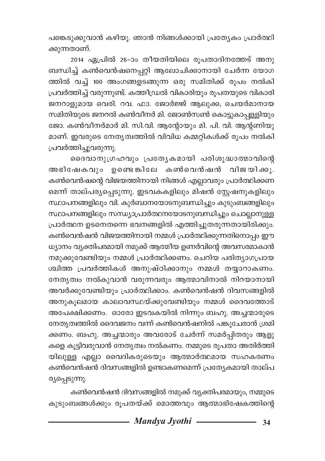പങ്കെടുക്കുവാൻ കഴിയൂ. ഞാൻ നിങ്ങൾക്കായി പ്രത്യേകം പ്രാർത്ഥി ക്കുന്നതാണ്.

2014 ഏപ്രിൽ 26-ാം തീയതിയിലെ രൂപതാദിനത്തേട് അനു ബന്ധിച്ച് കൺവെൻഷനെപ്പറ്റി ആലോചിക്കാനായി ചേർന്ന യോഗ ത്തിൽ വച്ച് 100 അംഗങ്ങളടങ്ങുന്ന ഒരു സമിതിക്ക് രൂപം നൽകി പ്രവർത്തിച്ച് വരുന്നുണ്ട്. കത്തീഡ്രൽ വികാരിയും രൂപതയുടെ വികാരി ജനറാളുമായ വെരി. റവ. ഫാ. ജോർജ്ജ് ആലുക്ക, ചെയർമാനായ സമിതിയുടെ ജനറൽ കൺവീനർ മി. ജോൺസൺ കൊട്ടുകാപ്പള്ളിയും ജോ. കൺവീനർമാർ മി. സി.വി. ആന്റോയും മി. പി. വി. ആന്റണിയു മാണ്. ഇവരുടെ നേതൃത്വത്തിൽ വിവിധ കമ്മറ്റികൾക്ക് രൂപം നൽകി പ്രവർത്തിച്ചുവരുന്നു.

ദൈവാനുഗ്രഹവും പ്രത്യേകമായി പരിശുദ്ധാത്മാവിന്റെ .<br>അഭിഷേകവും ഉണ്ടെങ്കിലേ കൺവെൻഷൻ വിജയിക്കു. കൺവെൻഷന്റെ വിജയത്തിനായി നിങ്ങൾ എല്ലാവരും പ്രാർത്ഥിക്കണ മെന്ന് താല്പര്യപ്പെടുന്നു. ഇടവകകളിലും മിഷൻ സ്റ്റേഷനുകളിലും സ്ഥാപനങ്ങളിലും വി. കുർബാനയോടനുബന്ധിച്ചും കുടുംബങ്ങളിലും സ്ഥാപനങ്ങളിലും സന്ധ്യാപ്രാർത്ഥനയോടനുബന്ധിച്ചും ചൊല്ലാനുള്ള പ്രാർത്ഥന ഉടനെതന്നെ ഭവനങ്ങളിൽ എത്തിച്ചുതരുന്നതായിരിക്കും. കൺവെൻഷൻ വിജയത്തിനായി നമ്മൾ പ്രാർത്ഥിക്കുന്നതിനൊപ്പം ഈ ധ്യാനം വ്യക്തിപരമായി നമുക്ക് ആത്മീയ ഉണർവിന്റെ അവസരമാകാൻ നമുക്കുവേണ്ടിയും നമ്മൾ പ്രാർത്ഥിക്കണം. ചെറിയ പരിത്യാഗപ്രായ ശ്ചിത്ത പ്രവർത്തികൾ അനുഷ്ഠിക്കാനും നമ്മൾ തയ്യാറാകണം. നേതൃത്വം നൽകുവാൻ വരുന്നവരും ആത്മാവിനാൽ നിറയാനായി അവർക്കുവേണ്ടിയും പ്രാർത്ഥിക്കാം. കൺവെൻഷൻ ദിവസങ്ങളിൽ അനുകൂലമായ കാലാവസ്ഥയ്ക്കുവേണ്ടിയും നമ്മൾ ദൈവത്തോട് അപേക്ഷിക്കണം. ഓരോ ഇടവകയിൽ നിന്നും ബഹു. അച്ചന്മാരുടെ നേതൃത്വത്തിൽ ദൈവജനം വന്ന് കൺവെൻഷനിൽ പങ്കുചേരാൻ ശ്രമി ക്കണം. ബഹു. അച്ചന്മാരും അവരോട് ചേർന്ന് സമർപ്പിതരും ആളു കളെ കൂട്ടിവരുവാൻ നേതൃത്വം നൽകണം. നമ്മുടെ രൂപതാ അതിർത്തി യിലുള്ള എല്ലാ വൈദികരുടെയും ആത്മാർത്ഥമായ സഹകരണം കൺവെൻഷൻ ദിവസങ്ങളിൽ ഉണ്ടാകണമെന്ന് പ്രത്യേകമായി താല്പ ര്യപ്പെടുന്നു.

കൺവെൻഷൻ ദിവസങ്ങളിൽ നമുക്ക് വ്യക്തിപരമായും, നമ്മുടെ കുടുംബങ്ങൾക്കും രൂപതയ്ക്ക് മൊത്തവും ആത്മാഭിഷേകത്തിന്റെ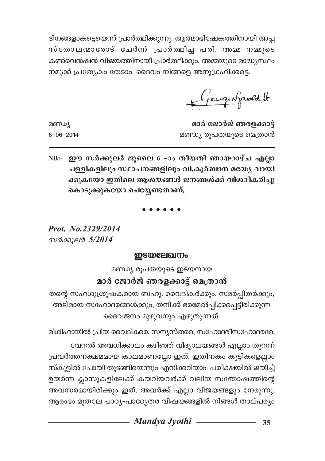ദിനങ്ങളാകട്ടെയെന്ന് പ്രാർത്ഥിക്കുന്നു. ആത്മാഭിഷേകത്തിനായി അപ്പ സ്തോലന്മാരോട് ചേർന്ന് പ്രാർത്ഥിച്ച പരി. അമ്മ നമ്മൂടെ കൺവെൻഷൻ വിജയത്തിനായി പ്രാർത്ഥിക്കും. അമ്മയുടെ മാദ്ധ്യസ്ഥം നമുക്ക് പ്രത്യേകം തേടാം. ദൈവം നിങ്ങളെ അനുഗ്രഹിക്കട്ടെ.

George Neuveldelt

മണ്ഡ്യ **മാർ ജോർജ് ഞരളക്കാ**ട്ട് 6˛06˛2014 afiy cq]-X-bpsS sa{Xm≥

NB:- ഈ സർക്കുലർ ജൂലൈ 6 −ാം തീയതി ഞായറാഴ്ച എല്ലാ പള്ളികളിലും സ്ഥാപനങ്ങളിലും വി.കുർബാന മദ്ധ്യേ വായി ക്കുകയോ ഇതിലെ ആശയങ്ങൾ ജനങ്ങൾക്ക് വിശദീകരിച്<del>ച</del> കൊടുക്കുകയോ ചെയ്യേണ്ടതാണ്.

○○○○○○

*Prot. No.2329/2014 സർക്കുലർ 5/2014* 

**ഇടയലേഖനം** 

മണ്ഡ്യ രൂപതയുടെ ഇടയനായ മാർ ജോർജ് ഞരളക്കാട്ട് മെത്രാൻ

തന്റെ സഹശുശ്രൂഷകരായ ബഹു. വൈദികർക്കും, സമർപ്പിതർക്കും, അല്മായ സഹോദരങ്ങൾക്കും, തനിക്ക് ഭരമേൽപ്പിക്കപ്പെട്ടിരിക്കുന്ന ദൈവജനം മുഴുവനും എഴുതുന്നത്.

മിശിഹായിൽ പ്രിയ വൈദികരെ, സന്യസ്തരെ, സഹോദരീസഹോദരരേ, വേനൽ അവധിക്കാലം കഴിഞ്ഞ് വിദ്യാലയങ്ങൾ എല്ലാം തുറന്ന് {പവർത്തനക്ഷമമായ കാലമാണല്ലോ ഇത്. ഇതിനകം കുട്ടികളെല്ലാം സ്കൂളിൽ പോയി തുടങ്ങിയെന്നും എനിക്കറിയാം. പരീക്ഷയിൽ ജയിച്ച് ഉയർന്ന ക്ലാസുകളിലേക്ക് കയറിയവർക്ക് വലിയ സന്തോഷത്തിന്റെ അവസരമായിരിക്കും ഇത്. അവർക്ക് എല്ലാ വിജയങ്ങളും നേരുന്നു. ആരംഭം മുതലേ പാഠ്യ-പാഠ്യേത<mark>ര വിഷയങ്ങളി</mark>ൽ നിങ്ങൾ താല്പര്യം

*Mandya Jyothi* — 35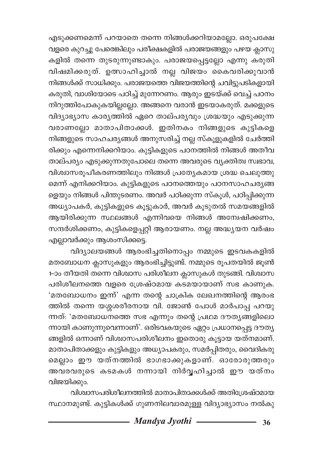എടുക്കണമെന്ന് പറയാതെ തന്നെ നിങ്ങൾക്കറിയാമല്ലോ. ഒരുപക്ഷേ വളരെ കുറച്ചു പേരെങ്കിലും പരീക്ഷകളിൽ പരാജയങ്ങളും പഴയ ക്ലാസു കളിൽ തന്നെ തുടരുന്നുണ്ടാകും. പരാജയപ്പെട്ടല്ലോ എന്നു കരുതി വിഷമിക്കരുത്. ഉത്സാഹിച്ചാൽ നല്ല വിജയം കൈവരിക്കുവാൻ നിങ്ങൾക്ക് സാധിക്കും. പരാജയത്തെ വിജയത്തിന്റെ ചവിട്ടുപടികളായി കരുതി, വാശിയോടെ പഠിച്ച് മുന്നേറണം. ആരും ഇടയ്ക്ക് വെച്ച് പഠനം നിറുത്തിപോകുകയില്ലല്ലോ. അങ്ങനെ വരാൻ ഇടയാകരുത്. മക്കളുടെ വിദ്യാഭ്യാസ കാര്യത്തിൽ ഏറെ താല്പര്യവും ശ്രദ്ധയും എടുക്കുന്ന വരാണല്ലോ മാതാപിതാക്കൾ. ഇതിനകം നിങ്ങളുടെ കുട്ടികളെ നിങ്ങളുടെ സാഹചര്യങ്ങൾ അനുസരിച്ച് നല്ല സ്കൂളുകളിൽ ചേർത്തി രിക്കും എന്നെനിക്കറിയാം. കുട്ടികളുടെ പഠനത്തിൽ നിങ്ങൾ അതീവ താല്പര്യം എടുക്കുന്നതുപോലെ തന്നെ അവരുടെ വ്യക്തിത്വ സ്വഭാവ, വിശ്വാസരൂപീകരണത്തിലും നിങ്ങൾ പ്രത്യേകമായ ശ്രദ്ധ ചെലുത്തു മെന്ന് എനിക്കറിയാം. കുട്ടികളുടെ പഠനത്തെയും പഠനസാഹചര്യങ്ങ ളെയും നിങ്ങൾ പിന്തുടരണം. അവർ പഠിക്കുന്ന സ്കൂൾ, പഠിപ്പിക്കുന്ന അധ്യാപകർ, കുട്ടികളുടെ കൂട്ടുകാർ, അവർ കൂടുതൽ സമയങ്ങളിൽ ആയിരിക്കുന്ന സ്ഥലങ്ങൾ എന്നിവയെ നിങ്ങൾ അന്വേഷിക്കണം, സന്ദർശിക്കണം, കുട്ടികളെപ്പറ്റി ആരായണം. നല്ല അദ്ധ്യയന വർഷം എല്ലാവർക്കും ആശംസിക്കട്ടെ.

വിദ്യാലയങ്ങൾ ആരംഭിച്ചതിനൊപ്പം നമ്മുടെ ഇടവകകളിൽ മതബോധന ക്ലാസുകളും ആരംഭിച്ചിട്ടുണ്ട്. നമ്മുടെ രൂപതയിൽ ജൂൺ 1-ാം തീയതി തന്നെ വിശ്വാസ പരിശീലന ക്ലാസുകൾ തുടങ്ങി. വിശ്വാസ പരിശീലനത്തെ വളരെ ശ്രേഷ്ഠമായ കടമയായാണ് സഭ കാണുക. 'മതബോധനം ഇന്ന്' എന്ന തന്റെ ചാക്രിക ലേഖനത്തിന്റെ ആരംഭ ത്തിൽ തന്നെ യശ്ശശരീരനായ വി. ജോൺ പോൾ മാർപാപ്പ പറയു ന്നത്: 'മതബോധനത്തെ സഭ എന്നും തന്റെ പ്രഥമ ദൗതൃങ്ങളിലൊ ന്നായി കാണുന്നുവെന്നാണ്'. ഒരിടവകയുടെ ഏറ്റം പ്രധാനപ്പെട്ട ദൗത്യ ങ്ങളിൽ ഒന്നാണ് വിശ്വാസപരിശീലനം ഇതൊരു കൂട്ടായ യത്നമാണ്. മാതാപിതാക്കളും കുട്ടികളും അധ്യാപകരും, സമർപ്പിതരും, വൈദികരു മെല്ലാം ഈ യത്നത്തിൽ ഭാഗഭാക്കുകളാണ്. ഓരോരുത്തരും അവരവരുടെ കടമകൾ നന്നായി നിർവ്വഹിച്ചാൽ ഈ യത്നം വിജയിക്കും.

വിശ്വാസപരിശീലനത്തിൽ മാതാപിതാക്കൾക്ക് അതിശ്രേഷ്ഠമായ സ്ഥാനമുണ്ട്. കുട്ടികൾക്ക് ഗുണനിലവാരമുള്ള വിദ്യാഭ്യാസം നൽകു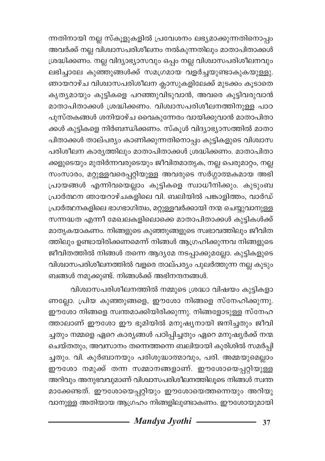ന്നതിനായി നല്ല സ്കൂളുകളിൽ പ്രവേശനം ലഭ്യമാക്കുന്നതിനൊപ്പം അവർക്ക് നല്ല വിശ്വാസപരിശീലനം നൽകുന്നതിലും മാതാപിതാക്കൾ (ശദ്ധിക്കണം. നല്ല വിദ്യാഭ്യാസവും ഒപ്പം നല്ല വിശ്വാസപരിശീലനവും ലഭിച്ചാലേ കുഞ്ഞുങ്ങൾക്ക് സമഗ്രമായ വളർച്ചയുണ്ടാകുകയുള്ളു. ഞായറാഴ്ച വിശ്വാസപരിശീലന ക്ലാസുകളിലേക്ക് മുടക്കം കൂടാതെ കൃത്യമായും കുട്ടികളെ പറഞ്ഞുവിടുവാൻ, അവരെ കൂട്ടിവരുവാൻ മാതാപിതാക്കൾ ശ്രദ്ധിക്കണം. വിശ്വാസപരിശീലനത്തിനുള്ള പാഠ പുസ്തകങ്ങൾ ശനിയാഴ്ച വൈകുന്നേരം വായിക്കുവാൻ മാതാപിതാ ക്കൾ കുട്ടികളെ നിർബന്ധിക്കണം. സ്കൂൾ വിദ്യാഭ്യാസത്തിൽ മാതാ പിതാക്കൾ താല്പര്യം കാണിക്കുന്നതിനൊപ്പം കുട്ടികളുടെ വിശ<mark>്</mark>വാസ പരിശീലന കാര്യത്തിലും മാതാപിതാക്കൾ ശ്രദ്ധിക്കണം. മാതാപിതാ ക്കളുടെയും മുതിർന്നവരുടെയും ജീവിതമാതൃക, നല്ല പെരുമാറ്റം, നല്ല സംസാരം, മറ്റുള്ളവരെപ്പറ്റിയുള്ള അവരുടെ സർഗ്ഗാത്മകമായ അഭി പ്രായങ്ങൾ എന്നിവയെല്ലാം കുട്ടികളെ സ്വാധീനിക്കും. കുടുംബ (പാർത്ഥന ഞായറാഴ്ചകളിലെ വി. ബലിയിൽ പങ്കാളിത്തം, വാർഡ്  ${ }$ പ്രാർത്ഥനകളിലെ ഭാഗഭാഗിത്വം, മറ്റുള്ളവർക്കായി നന്മ ചെയ്യുവാനുള്ള സന്നദ്ധത എന്നീ മേഖലകളിലൊക്കെ മാതാപിതാക്കൾ കുട്ടികൾക്ക് മാതൃകയാകണം. നിങ്ങളുടെ കുഞ്ഞുങ്ങളുടെ സ്വഭാവത്തിലും ജീവിത ത്തിലും ഉണ്ടായിരിക്കണമെന്ന് നിങ്ങൾ ആഗ്രഹിക്കുന്നവ നിങ്ങളുടെ ജീവിതത്തിൽ നിങ്ങൾ തന്നെ ആദ്യമേ നടപ്പാക്കുമല്ലോ. കുട്ടികളുടെ വിശ്വാസപരിശീലനത്തിൽ വളരെ താല്പര്യം പുലർത്തുന്ന നല്ല കുടും ബങ്ങൾ നമുക്കുണ്ട്. നിങ്ങൾക്ക് അഭിനന്ദനങ്ങൾ.

വിശ്വാസപരിശീലനത്തിൽ നമ്മുടെ ശ്രദ്ധാ വിഷയം കുട്ടികളാ ണല്ലോ. പ്രിയ കുഞ്ഞുങ്ങളെ, ഈശോ നിങ്ങളെ സ്നേഹിക്കുന്നു. ഈശോ നിങ്ങളെ സ്വന്തമാക്കിയിരിക്കുന്നു. നിങ്ങളോടുള്ള സ്നേഹ ത്താലാണ് ഈശോ ഈ ഭൂമിയിൽ മനുഷ്യനായി ജനിച്ചതും ജീവി ച്ചതും നമ്മളെ ഏറെ കാര്യങ്ങൾ പഠിപ്പിച്ചതും ഏറെ മനുഷ്യർക്ക് നന്മ ചെയ്തതും, അവസാനം തന്നെത്തന്നെ ബലിയായി കുരിശിൽ സമർപ്പി ച്ചതും. വി. കുർബാനയും പരിശുദ്ധാത്മാവും, പരി. അമ്മയുമെല്ലാം ഈശോ നമുക്ക് തന്ന സമ്മാനങ്ങളാണ്. ഈശോയെപ്പറ്റിയുള്ള അറിവും അനുഭവവുമാണ് വിശ്വാസപരിശീലനത്തിലൂടെ നിങ്ങൾ സ്വന്ത മാക്കേണ്ടത്. ഈശോയെപ്പറ്റിയും ഈശോയെത്തന്നെയും അറിയ<mark>ു</mark> വാനുള്ള അതിയായ ആഗ്രഹം നിങ്ങളിലുണ്ടാകണം. ഈശോയുമായി

*Mandya Jyothi* **37**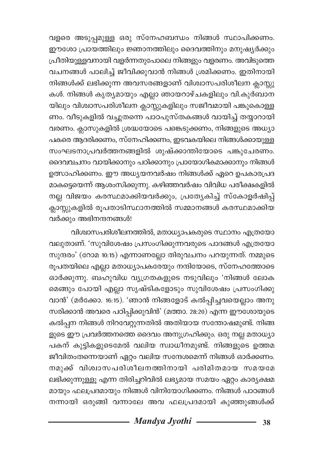വളരെ അടുപ്പമുള്ള ഒരു സ്നേഹബന്ധം നിങ്ങൾ സ്ഥാപിക്കണം. ഈശോ പ്രായത്തിലും ജ്ഞാനത്തിലും ദൈവത്തിനും മനുഷ്യർക്കും പ്രീതിയുള്ളവനായി വളർന്നതുപോലെ നിങ്ങളും വളരണം. അവിടുത്തെ വചനങ്ങൾ പാലിച്ച് ജീവിക്കുവാൻ നിങ്ങൾ ശ്രമിക്കണം. ഇതിനായി നിങ്ങൾക്ക് ലഭിക്കുന്ന അവസരങ്ങളാണ് വിശ്വാസപരിശീലന ക്ലാസ്സു കൾ. നിങ്ങൾ കൃത്യമായും എല്ലാ ഞായറാഴ്ചകളിലും വി.കുർബാന യിലും വിശ്വാസപരിശീലന ക്ലാസ്സുകളിലും സജീവമായി പങ്കുകൊള്ള ണം. വീടുകളിൽ വച്ചുതന്നെ പാഠപുസ്തകങ്ങൾ വായിച്ച് തയ്യാറായി വരണം. ക്ലാസുകളിൽ ശ്രദ്ധയോടെ പങ്കെടുക്കണം, നിങ്ങളുടെ അധ്യാ പകരെ ആദരിക്കണം, സ്നേഹിക്കണം, ഇടവകയിലെ നിങ്ങൾക്കായുള്ള സംഘടനാപ്രവർത്തനങ്ങളിൽ ശുഷ്ക്കാന്തിയോടെ പങ്കുചേരണം. ദൈവവചനം വായിക്കാനും പഠിക്കാനും പ്രായോഗികമാക്കാനും നിങ്ങൾ ഉത്സാഹിക്കണം. ഈ അധ്യയനവർഷം നിങ്ങൾക്ക് ഏറെ ഉപകാരപ്രദ മാകട്ടെയെന്ന് ആശംസിക്കുന്നു. കഴിഞ്ഞവർഷം വിവിധ പരീക്ഷകളിൽ നല്ല വിജയം കരസ്ഥമാക്കിയവർക്കും, പ്രത്യേകിച്ച് സ്കോളർഷിപ്പ് ക്ലാസ്സുകളിൽ രൂപതാടിസ്ഥാനത്തിൽ സമ്മാനങ്ങൾ കരസ്ഥമാക്കിയ വർക്കും അഭിനന്ദനങ്ങൾ!

വിശ്വാസപരിശീലനത്തിൽ, മതാധ്യാപകരുടെ സ്ഥാനം എത്രയോ വലുതാണ്. 'സുവിശേഷം പ്രസംഗിക്കുന്നവരുടെ പാദങ്ങൾ എത്രയോ സുന്ദരം' (റോമ 10:15) എന്നാണല്ലോ തിരുവചനം പറയുന്നത്. നമ്മുടെ രൂപതയിലെ എല്ലാ മതാധ്യാപകരേയും നന്ദിയോടെ, സ്നേഹത്തോടെ ഓർക്കുന്നു. ബഹുവിധ വ്യഗ്രതകളുടെ നടുവിലും 'നിങ്ങൾ ലോക മെങ്ങും പോയി എല്ലാ സൃഷ്ടികളോടും സുവിശേഷം പ്രസംഗിക്കു വാൻ' (മർക്കോ. 16:15). 'ഞാൻ നിങ്ങളോട് കൽപ്പിച്ചവയെല്ലാം അനു സരിക്കാൻ അവരെ പഠിപ്പിക്കുവിൻ' (മത്താ. 28:20) എന്ന ഈശോയുടെ കൽപ്പന നിങ്ങൾ നിറവേറ്റുന്നതിൽ അതിയായ സന്തോഷമുണ്ട്. നിങ്ങ ളുടെ ഈ പ്രവർത്തനത്തെ ദൈവം അനുഗ്രഹിക്കും. ഒരു നല്ല മതാധ്യാ പകന് കുട്ടികളുടെമേൽ വലിയ സ്വാധീനമുണ്ട്. നിങ്ങളുടെ ഉത്തമ ജീവിതംതന്നെയാണ് ഏറ്റം വലിയ സന്ദേശമെന്ന് നിങ്ങൾ ഓർക്കണം. നമുക്ക് വിശ്വാസപരിശീലനത്തിനായി പരിമിതമായ സമയമേ ലഭിക്കുന്നുള്ളൂ എന്ന തിരിച്ചറിവിൽ ലഭ്യമായ സമയം ഏറ്റം കാര്യക്ഷമ മായും ഫലപ്രദമായും നിങ്ങൾ വിനിയോഗിക്കണം. നിങ്ങൾ പാഠങ്ങൾ നന്നായി ഒരുങ്ങി വന്നാലേ അവ ഫലപ്രദമായി കുഞ്ഞുങ്ങൾക്ക്

Mandya Jyothi -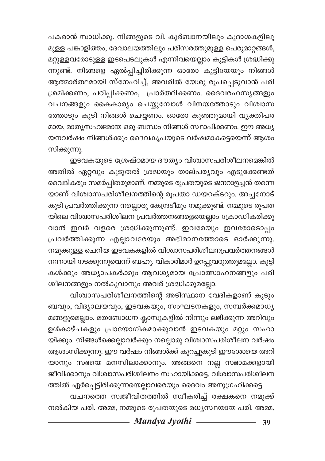പകരാൻ സാധിക്കൂ. നിങ്ങളുടെ വി. കുർബാനയിലും കൂദാശകളിലു മുള്ള പങ്കാളിത്തം, ദേ<mark>വാല</mark>യത്തിലും പരിസരത്തുമുള്ള പെരുമാറ്റങ്ങൾ, മറ്റുള്ളവരോടുള്ള ഇടപെടലുകൾ എന്നിവയെല്ലാം കുട്ടികൾ ശ്രദ്ധിക്കു ന്നുണ്ട്. നിങ്ങളെ ഏൽപ്പിച്ചിരിക്കുന്ന ഓരോ കുട്ടിയേയും നിങ്ങൾ ആത്മാർത്ഥമായി സ്നേഹിച്ച്, അവരിൽ യേശു രൂപപ്പെടുവാൻ പരി ശ്രമിക്കണം, പഠിപ്പിക്കണം, പ്രാർത്ഥിക്കണം. ദൈവരഹസ്യങ്ങളും വചനങ്ങളും കൈകാര്യം ചെയ്യുമ്പോൾ വിനയത്തോടും വിശ്വാസ ത്തോടും കൂടി നിങ്ങൾ ചെയ്യണം. ഓരോ കുഞ്ഞുമായി വ്യക്തിപര മായ, മാതൃസഹജമായ ഒരു ബന്ധം നിങ്ങൾ സ്ഥാപിക്കണം. ഈ അധ്യ യനവർഷം നിങ്ങൾക്കും ദൈവകൃപയുടെ വർഷമാകട്ടെയെന്ന് ആശം സിക്കുന്നു.

ഇടവകയുടെ ശ്രേഷ്ഠമായ ദൗത്യം വിശ്വാസപരിശീലനമെങ്കിൽ അതിൽ ഏറ്റവും കൂടുതൽ ശ്രദ്ധയും താല്പര്യവും എടുക്കേണ്ടത് വൈദികരും സമർപ്പിതരുമാണ്. നമ്മുടെ രൂപതയുടെ ജനറാളച്ചൻ തന്നെ യാണ് വിശ്വാസപരിശീലനത്തിന്റെ രൂപതാ ഡയറക്ടറും. അച്ചനോട് കൂടി പ്രവർത്തിക്കുന്ന നല്ലൊരു കേന്ദ്രടീമും നമുക്കുണ്ട്. നമ്മുടെ രൂപത യിലെ വിശ്വാസപരിശീലന പ്രവർത്തനങ്ങളെയെല്ലാം ക്രോഡീകരിക്കു വാൻ ഇവർ വളരെ ശ്രദ്ധിക്കുന്നുണ്ട്. ഇവരേയും ഇവരോടൊപ്പം പ്രവർത്തിക്കുന്ന എല്ലാവരേയും അഭിമാനത്തോടെ ഓർക്കുന്നു. നമുക്കുള്ള ചെറിയ ഇടവകകളിൽ വിശ്വാസപരിശീലനപ്രവർത്തനങ്ങൾ നന്നായി നടക്കുന്നുവെന്ന് ബഹു. വികാരിമാർ ഉറപ്പുവരുത്തുമല്ലോ. കുട്ടി കൾക്കും അധ്യാപകർക്കും ആവശ്യമായ പ്രോത്സാഹനങ്ങളും പരി ശീലനങ്ങളും നൽകുവാനും അവർ ശ്രദ്ധിക്കുമല്ലോ.

വിശ്വാസപരിശീലനത്തിന്റെ അടിസ്ഥാന വേദികളാണ് കുടും ബവും, വിദ്യാലയവും, ഇടവകയും, സംഘടനകളും, സമ്പർക്കമാധ്യ മങ്ങളുമെല്ലാം. മതബോധന ക്ലാസുകളിൽ നിന്നും ലഭിക്കുന്ന അറിവും ഉൾകാഴ്ചകളും പ്രായോഗികമാക്കുവാൻ ഇടവകയും മറ്റും സഹാ യിക്കും. നിങ്ങൾക്കെല്ലാവർക്കും നല്ലൊരു വിശ്വാസപരിശീലന വർഷം ആശംസിക്കുന്നു. ഈ വർഷം നിങ്ങൾക്ക് കുറച്ചുകൂടി ഈശോയെ അറി യാനും സഭയെ മനസിലാക്കാനും, അങ്ങനെ നല്ല സഭാമക്കളായി ജീവിക്കാനും വിശ്വാസപരിശീലനം സഹായിക്കട്ടെ. വിശ്വാസപരിശീലന ത്തിൽ ഏർപ്പെട്ടിരിക്കുന്നയെല്ലാവരെയും ദൈവം അനുഗ്രഹിക്കട്ടെ.

വചനത്തെ സ്വജീവിതത്തിൽ സ്വീകരിച്ച് രക്ഷകനെ നമുക്ക് നൽകിയ പരി. അമ്മ, നമ്മുടെ രൂപതയുടെ മധ്യസ്ഥയായ പരി. അമ്മ,

> - Mandya Jyothi -39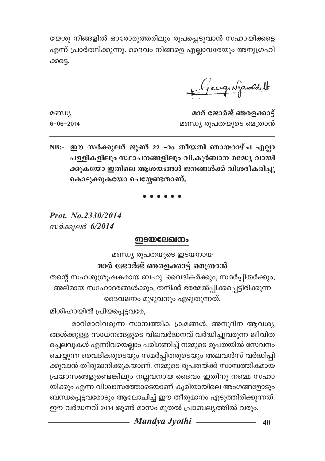യേശു നിങ്ങളിൽ ഓരോരുത്തരിലും രൂപപ്പെടുവാൻ സഹായിക്കട്ടെ എന്ന് പ്രാർത്ഥിക്കുന്നു. ദൈവം നിങ്ങളെ എല്ലാവരേയും അനുഗ്രഹി ക്കടെ.

George Djandelette

മണ്ഡ്യ **മാർ ജോർജ് ഞരളക്കാ**ട്ട് 6−06−2014 **amused afix the set of the set of the set of the set of the set of the set of the set of the set of t** 

NB:- ഈ സർക്കുലർ ജൂൺ 22 −ാം തീയതി ഞായറാഴ്ച എല്ലാ പള്ളികളിലും സ്ഥാപനങ്ങളിലും വി.കുർബാന മദ്ധ്യേ വായി ക്കുകയോ ഇതിലെ ആശയങ്ങൾ ജനങ്ങൾക്ക് വിശദീകരിച്<del>ച</del> കൊടുക്കുകയോ ചെയ്യേണ്ടതാണ്.

○○○○○○

*Prot. No.2330/2014 സർക്കുലർ 6/2014* 

#### **MSWEEDIMO**

മണ്ഡ്യ രൂപതയുടെ ഇടയനായ മാർ ജോർജ് ഞരളക്കാട്ട് മെത്രാൻ

തന്റെ സഹശുശ്രൂഷകരായ ബഹു. വൈദികർക്കും, സമർപ്പിതർക്കും, അല്മായ സഹോദരങ്ങൾക്കും, തനിക്ക് ഭരമേൽപ്പിക്കപ്പെട്ടിരിക്കുന്ന ദൈവജനം മുഴുവനും എഴുതുന്നത്.

മിശിഹായിൽ പ്രിയപ്പെട്ടവരേ,

മാറിമാറിവരുന്ന സാമ്പത്തിക ക്രമങ്ങൾ, അനുദിന ആവശ്യ ങ്ങൾക്കുള്ള സാധനങ്ങളുടെ വിലവർദ്ധനവ് വർദ്ധിച്ചുവരുന്ന ജീവിത ച്ചെലവുകൾ എന്നിവയെല്ലാം പരിഗണിച്ച് നമ്മുടെ രൂപതയിൽ സേവനം ചെയ്യുന്ന വൈദികരുടെയും സമർപ്പിതരുടെയും അലവൻസ് വർദ്ധിപ്പി ക്കുവാൻ തീരുമാനിക്കുകയാണ്. നമ്മുടെ രൂപതയ്ക്ക് സാമ്പത്തികമായ (പയാസങ്ങളുണ്ടെങ്കിലും നല്ലവനായ ദൈവം ഇതിനു നമ്മെ സഹാ യിക്കും എന്ന വിശ്വാസത്തോടെയാണ് കൂരിയായിലെ അംഗങ്ങളോടും ബന്ധപ്പെട്ടവരോടും ആലോചിച്ച് ഈ തീരുമാനം എടുത്തിരിക്കുന്നത്. ഈ വർദ്ധനവ് 2014 ജൂൺ മാസം മുതൽ പ്രാബല്യത്തിൽ വരും.

*<u>Mandya Jyothi</u>* — 40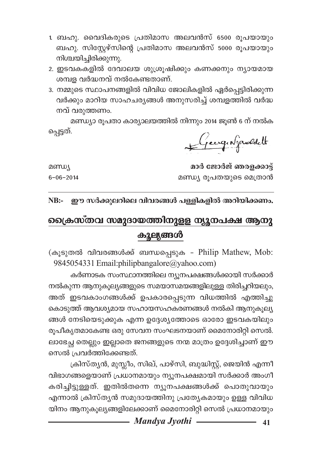- 1. ബഹു. വൈദികരുടെ പ്രതിമാസ അലവൻസ് 6500 രൂപയായും ബഹു. സിസ്കേഴ്സിന്റെ പ്രതിമാസ അലവൻസ് 5000 രൂപയായും നിശ്ചയിച്ചിരിക്കുന്നു.
- 2. ഇടവകകളിൽ ദേവാലയ ശുശ്രൂഷിക്കും കണക്കനും നൃായമായ ശമ്പള വർദ്ധനവ് നൽകേണ്ടതാണ്.
- 3. നമ്മുടെ സ്ഥാപനങ്ങളിൽ വിവിധ ജോലികളിൽ ഏർപെടിരിക്കുന്ന .<br>വർക്കും മാറിയ സാഹചര്യങ്ങൾ അനുസരിച്ച് ശമ്പളത്തിൽ വർദ്ധ നവ് വരുത്തണം.

മണ്ഡ്യാ രൂപതാ കാര്യാലയത്തിൽ നിന്നും 2014 ജൂൺ 6 ന് നൽക പെട്ടത്.

George Naveldelt

മണ്ഡ്യ **മാർ ജോർജ് ഞരളക്കാ**ട്ട് 6−06−2014 **am∪ൃ രൂപതയുടെ മെത്രാൻ** 

NB:- ഈ സർക്കുലറിലെ വിവരങ്ങൾ പള്ളികളിൽ അറിയിക്കണം.

### ക്രൈസ്തവ സമുദായത്തിനുള്ള ന്യൂനപക്ഷ ആനു കൂല്യങ്ങൾ

(കൂടുതൽ വിവരങ്ങൾക്ക് ബന്ധപ്പെടുക - Philip Mathew, Mob: 9845054331 Email:philipbangalore@yahoo.com)

കർണാടക സംസ്ഥാനത്തിലെ ന്യൂനപക്ഷങ്ങൾക്കായി സർക്കാർ  $\omega$ ൻകുന്ന ആനുകൂല്യങ്ങളുടെ സമയാസമയങ്ങളിലുള്ള തിരിച്ചറിയലും, അത് ഇടവകാംഗങ്ങൾക്ക് ഉപകാരപ്പെടുന്ന വിധത്തിൽ എത്തിച്ചു കൊടുത്ത് ആവശ്യമായ സഹായസഹകരണങ്ങൾ നൽകി ആനുകൂല്യ ങ്ങൾ നേടിയെടുക്കുക എന്ന ഉദ്ദേശ്യത്തോടെ ഓരോ ഇടവകയിലും രൂപീകൃതമാകേണ്ട ഒരു സേവന സംഘടനയാണ് മൈനോരിറ്റി സെൽ. ലാഭേച്ഛ തെല്ലും ഇല്ലാതെ ജനങ്ങളുടെ നന്മ മാത്രം ഉദ്ദേശിച്ചാണ് ഈ സെൽ പ്രവർത്തിക്കേണ്ടത്.

ക്രിസ്തൃൻ, മുസ്ലീം, സിഖ്, പാഴ്സി, ബുദ്ധിസ്റ്റ്, ജെയിൻ എന്നീ വിഭാഗങ്ങളെയാണ് പ്രധാനമായും ന്യൂനപക്ഷമായി സർക്കാർ അംഗീ കരിച്ചിട്ടുള്ളത്. ഇതിൽതന്നെ ന്യൂനപക്ഷങ്ങൾക്ക് പൊതുവായും എന്നാൽ ക്രിസ്തൃൻ സമുദായത്തിനു പ്രത്യേകമായും ഉള്ള വിവിധ യിനം ആനുകൂല്യങ്ങളിലേക്കാണ് മൈനോരിറ്റി സെൽ പ്രധാനമായും

*Mandya Jyothi* — 41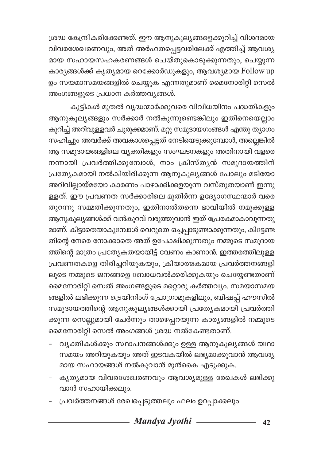ശ്രദ്ധ കേന്ദ്രീകരിക്കേണ്ടത്. ഈ ആനുകൂല്യങ്ങളെക്കുറിച്ച് വിശദമായ വിവരശേഖരണവും, അത് അർഹതപ്പെട്ടവരിലേക്ക് എത്തിച്ച് ആവശ്യ മായ സഹായസഹകരണങ്ങൾ ചെയ്തുകൊടുക്കുന്നതും, ചെയ്യുന്ന കാര്യങ്ങൾക്ക് കൃത്യമായ റെക്കോർഡുകളും, ആവശ്യമായ Follow up ഉം സയമാസമയങ്ങളിൽ ചെയ്യുക എന്നതുമാണ് മൈനോരിറ്റി സെൽ അംഗങ്ങളുടെ പ്രധാന കർത്തവ്യങ്ങൾ.

കുട്ടികൾ മുതൽ വൃദ്ധന്മാർക്കുവരെ വിവിധയിനം പദ്ധതികളും ആനുകൂല്യങ്ങളും സർക്കാർ നൽകുന്നുണ്ടെങ്കിലും ഇതിനെയെല്ലാം കുറിച്ച് അറിവുള്ളവർ ചുരുക്കമാണ്. മറ്റു സമുദായഗംങ്ങൾ എന്തു ത്യാഗം സഹിച്ചും അവർക്ക് അവകാശപ്പെട്ടത് നേടിയെടുക്കുമ്പോൾ, അല്ലെങ്കിൽ ആ സമുദായങ്ങളിലെ വ്യക്തികളും സംഘടനകളും അതിനായി വളരെ നന്നായി പ്രവർത്തിക്കുമ്പോൾ, നാം ക്രിസ്തൃൻ സമുദായത്തിന് പ്രത്യേകമായി നൽകിയിരിക്കുന്ന ആനുകൂല്യങ്ങൾ പോലും മടിയോ അറിവില്ലായ്മയോ കാരണം പാഴാക്കിക്കളയുന്ന വസ്തുതയാണ് ഇന്നു ള്ളത്. ഈ പ്രവണത സർക്കാരിലെ മുതിർന്ന ഉദ്യോഗസ്ഥന്മാർ വരെ തുറന്നു സമ്മതിക്കുന്നതും, ഇതിനാൽതന്നെ ഭാവിയിൽ നമുക്കുള്ള ആനുകൂല്യങ്ങൾക്ക് വൻകുറവ് വരുത്തുവാൻ ഇത് പ്രേരകമാകാവുന്നതു മാണ്. കിട്ടാതെയാകുമ്പോൾ വെറുതെ ഒച്ചപ്പാടുണ്ടാക്കുന്നതും, കിട്ടേണ്ട തിന്റെ നേരെ നോക്കാതെ അത് ഉപേക്ഷിക്കുന്നതും നമ്മുടെ സമുദായ ത്തിന്റെ മാത്രം പ്രത്യേകതയായിട്ട് വേണം കാണാൻ. ഇത്തരത്തിലുള്ള പ്രവണതകളെ തിരിച്ചറിയുകയും, ക്രിയാത്മകമായ പ്രവർത്തനങ്ങളി ലൂടെ നമ്മുടെ ജനങ്ങളെ ബോധവൽക്കരിക്കുകയും ചെയ്യേണ്ടതാണ് മൈനോരിറ്റി സെൽ അംഗങ്ങളുടെ മറ്റൊരു കർത്തവ്യം. സമയാസമയ ങ്ങളിൽ ലഭിക്കുന്ന ട്രെയിനിംഗ് പ്രോഗ്രാമുകളിലും, ബിഷപ്പ് ഹൗസിൽ സമുദായത്തിന്റെ ആനുകൂല്യങ്ങൾക്കായി പ്രത്യേകമായി പ്രവർത്തി ക്കുന്ന സെല്ലുമായി ചേർന്നും താഴെപ്പറയുന്ന കാര്യങ്ങളിൽ നമ്മുടെ മൈനോരിറ്റി സെൽ അംഗങ്ങൾ ശ്രദ്ധ നൽകേണ്ടതാണ്.

- വ്യക്തികൾക്കും സ്ഥാപനങ്ങൾക്കും ഉള്ള ആനുകൂല്യങ്ങൾ യഥാ സമയം അറിയുകയും അത് ഇടവകയിൽ ലഭ്യമാക്കുവാൻ ആവശ്യ മായ സഹായങ്ങൾ നൽകുവാൻ മുൻകൈ എടുക്കുക.
- കൃത്യമായ വിവരശേഖരണവും ആവശ്യമുള്ള രേഖകൾ ലഭിക്കു വാൻ സഹായിക്കലും.
- പ്രവർത്തനങ്ങൾ രേഖപ്പെടുത്തലും ഫലം ഉറപ്പാക്കലും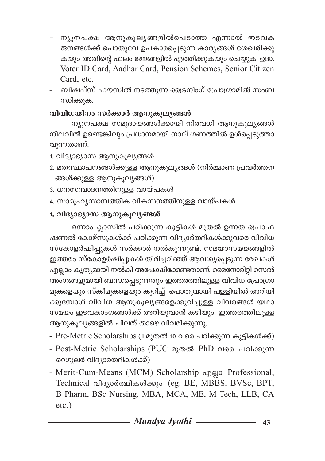- ന്യൂനപക്ഷ ആനുകൂല്യങ്ങളിൽപെടാത്ത എന്നാൽ ഇടവക ജനങ്ങൾക്ക് പൊതുവേ ഉപകാരപ്പെടുന്ന കാര്യങ്ങൾ ശേഖരിക്കു .<br>കയും അതിന്റെ ഫലം ജനങ്ങളിൽ എത്തിക്കുകയും ചെയ്യുക. ഉദാ. Voter ID Card, Aadhar Card, Pension Schemes, Senior Citizen Card. etc.
- ബിഷപ്സ് ഹൗസിൽ നടത്തുന്ന ട്രൈനിംഗ് പ്രോഗ്രാമിൽ സംബ ന്ധിക്കുക.

### വിവിധയിനം സർക്കാർ ആനുകുല്യങ്ങൾ

ന്യുനപക്ഷ സമുദായങ്ങൾക്കായി നിരവധി ആനുകുല്യങ്ങൾ നിലവിൽ ഉണ്ടെങ്കിലും പ്രധാനമായി നാല് ഗണത്തിൽ ഉൾപ്പെടുത്താ വുന്നതാണ്.

- 1. വിദ്യാഭ്യാസ ആനുകൂല്യങ്ങൾ
- 2. മതസ്ഥാപനങ്ങൾക്കുള്ള ആനുകൂല്യങ്ങൾ (നിർമ്മാണ പ്രവർത്തന ങ്ങൾക്കുള്ള ആനുകൂല്യങ്ങൾ)
- 3. ധനസമ്പാദനത്തിനുള്ള വായ്പകൾ
- 4. സാമൂഹ്യസാമ്പത്തിക വികസനത്തിനുള്ള വായ്പകൾ

### 1. വിദ്യാഭ്യാസ ആനുകൂല്യങ്ങൾ

ഒന്നാം ക്ലാസിൽ പഠിക്കുന്ന കുട്ടികൾ മുതൽ ഉന്നത പ്രൊഫ ഷണൽ കോഴ്സുകൾക്ക് പഠിക്കുന്ന വിദ്യാർത്ഥികൾക്കുവരെ വിവിധ സ്കോളർഷിപ്പുകൾ സർക്കാർ നൽകുന്നുണ്ട്. സമയാസമയങ്ങളിൽ ഇത്തരം സ്കോളർഷിപ്പുകൾ തിരിച്ചറിഞ്ഞ് ആവശ്യപ്പെടുന്ന രേഖകൾ എല്ലാം കൃത്യമായി നൽകി അപേക്ഷിക്കേണ്ടതാണ്. മൈനോരിറ്റി സെൽ അംഗങ്ങളുമായി ബന്ധപ്പെടുന്നതും ഇത്തരത്തിലുള്ള വിവിധ പ്രോഗ്രാ മുകളെയും സ്കീമുകളെയും കുറിച്ച് പൊതുവായി പള്ളിയിൽ അറിയി ക്കുമ്പോൾ വിവിധ ആനുകൂല്യങ്ങളെക്കുറിച്ചുള്ള വിവരങ്ങൾ യഥാ സമയം ഇടവകാംഗങ്ങൾക്ക് അറിയുവാൻ കഴിയും. ഇത്തരത്തിലുള്ള ആനുകൂല്യങ്ങളിൽ ചിലത് താഴെ വിവരിക്കുന്നു.

- Pre-Metric Scholarships (1 മുതൽ 10 വരെ പഠിക്കുന്ന കുട്ടികൾക്ക്)
- Post-Metric Scholarships (PUC മുതൽ PhD വരെ പഠിക്കുന്ന റെഗുലർ വിദ്യാർത്ഥികൾക്ക്)
- Merit-Cum-Means (MCM) Scholarship എല്ലാ Professional, Technical വിദ്യാർത്ഥികൾക്കും (eg. BE, MBBS, BVSc, BPT, B Pharm, BSc Nursing, MBA, MCA, ME, M Tech, LLB, CA  $etc.$ )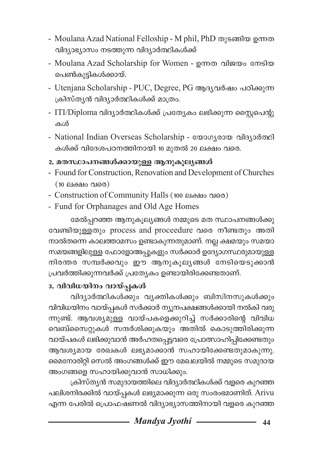- Moulana Azad National Felloship M phil, PhD തുടങ്ങിയ ഉന്നത വിദ്യാഭ്യാസം നടത്തുന്ന വിദ്യാർത്ഥികൾക്ക്
- Moulana Azad Scholarship for Women ഉന്നത വിജയം നേടിയ പെൺകുട്ടികൾക്കായ്.
- Utenjana Scholarship PUC, Degree, PG ആദ്യവർഷം പഠിക്കുന്ന ക്രിസ്തൃൻ വിദ്യാർത്ഥികൾക്ക് മാത്രം.
- ITI/Diploma വിദ്യാർത്ഥികൾക്ക് പ്രത്യേകം ലഭിക്കുന്ന സ്കൈപെന്റു കൾ
- National Indian Overseas Scholarship യോഗൃരായ വിദ്യാർത്ഥി കൾക്ക് വിദേശപഠനത്തിനായി 10 മുതൽ 20 ലക്ഷം വരെ.

### 2. മതസ്ഥാപനങ്ങൾക്കായുള്ള ആനുകൂല്യങ്ങൾ

- Found for Construction, Renovation and Development of Churches  $(10 \nightharpoonup \text{L} \oplus \text{L} \oplus \text{L} \oplus \text{L} \oplus \text{L} \oplus \text{L} \oplus \text{L} \oplus \text{L} \oplus \text{L} \oplus \text{L} \oplus \text{L} \oplus \text{L} \oplus \text{L} \oplus \text{L} \oplus \text{L} \oplus \text{L} \oplus \text{L} \oplus \text{L} \oplus \text{L} \oplus \text{L} \oplus \text{L} \oplus \text{L} \oplus \text{L} \oplus \text{L} \oplus \text{L} \oplus \text{L} \oplus \text$
- Construction of Community Halls (100 ലക്ഷം വരെ)
- Fund for Orphanages and Old Age Homes

മേൽപ്പറഞ്ഞ ആനുകൂല്യങ്ങൾ നമ്മുടെ മത സ്ഥാപനങ്ങൾക്കു വേണ്ടിയുള്ളതും process and proceedure വരെ നീണ്ടതും അതി നാൽതന്നെ കാലത്താമസം ഉണ്ടാകുന്നതുമാണ്. നല്ല ക്ഷമയും സമയാ സമയങ്ങളിലുള്ള ഫോളോഅപ്പുകളും സർക്കാർ ഉദ്യോഗസ്ഥരുമായുള്ള നിരന്തര സമ്പർക്കവും ഈ ആനുകൂല്യങ്ങൾ നേടിയെടുക്കാൻ പ്രവർത്തിക്കുന്നവർക്ക് പ്രത്യേകം ഉണ്ടായിരിക്കേണ്ടതാണ്.

### 3. വിവിധയിനം വായ്പകൾ

വിദ്യാർത്ഥികൾക്കും വ്യക്തികൾക്കും ബിസിനസുകൾക്കും വിവിധയിനം വായ്പ്പകൾ സർക്കാർ ന്യൂനപക്ഷങ്ങൾക്കായി നൽകി വരു ന്നുണ്ട്. ആവശ്യമുള്ള വായ്പകളെക്കുറിച്ച് സർക്കാരിന്റെ വിവിധ വെബ്സൈറ്റുകൾ സന്ദർശിക്കുകയും അതിൽ കൊടുത്തിരിക്കുന്ന വായ്പകൾ ലഭിക്കുവാൻ അർഹതപ്പെട്ടവരെ പ്രോത്സാഹിപ്പിക്കേണ്ടതും ആവശ്യമായ രേഖകൾ ലഭ്യമാക്കാൻ സഹായിക്കേണ്ടതുമാകുന്നു. മൈനോരിറ്റി സെൽ അംഗങ്ങൾക്ക് ഈ മേഖലയിൽ നമ്മുടെ സമുദായ അംഗങ്ങളെ സഹായിക്കുവാൻ സാധിക്കും.

ക്രിസ്തൃൻ സമുദായത്തിലെ വിദ്യാർത്ഥികൾക്ക് വളരെ കുറഞ്ഞ പലിശനിരക്കിൽ വായ്പ്പകൾ ലഭ്യമാക്കുന്ന ഒരു സംരംഭമാണിത്. Arivu എന്ന പേരിൽ പ്രൊഫഷണൽ വിദ്യാഭ്യാസത്തിനായി വളരെ കുറഞ്ഞ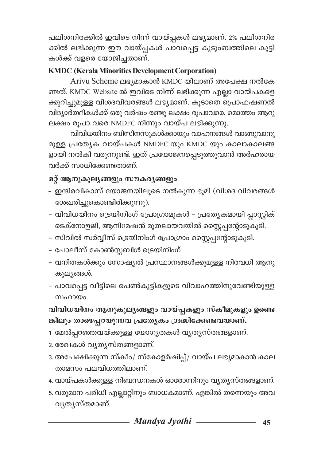പലിശനിരക്കിൽ ഇവിടെ നിന്ന് വായ്പ്പകൾ ലഭ്യമാണ്. 2% പലിശനിര .<br>ക്കിൽ ലഭിക്കുന്ന ഈ വായ്പ്പകൾ പാവപ്പെട്ട കുടുംബത്തിലെ കുട്ടി കൾക്ക് വളരെ യോജിച്ചതാണ്.

### **KMDC** (Kerala Minorities Development Corporation)

Arivu Scheme ലഭ്യമാകാൻ KMDC യിലാണ് അപേക്ഷ നൽകേ ണ്ടത്. KMDC Website ൽ ഇവിടെ നിന്ന് ലഭിക്കുന്ന എല്ലാ വായ്പകളെ .<br>ക്കുറിച്ചുമുള്ള വിശദവിവരങ്ങൾ ലഭ്യമാണ്. കൂടാതെ പ്രൊഫഷണൽ വിദ്യാർത്ഥികൾക്ക് ഒരു വർഷം രണ്ടു ലക്ഷം രൂപാവരെ, മൊത്തം ആറു ലക്ഷം രൂപാ വരെ NMDFC നിന്നും വായ്പ ലഭിക്കുന്നു.

വിവിധയിനം ബിസിനസുകൾക്കായും വാഹനങ്ങൾ വാങ്ങുവാനു മുള്ള പ്രത്യേക വായ്പകൾ NMDFC യും KMDC യും കാലാകാലങ്ങ ളായി നൽകി വരുന്നുണ്ട്. ഇത് പ്രയോജനപ്പെടുത്തുവാൻ അർഹരായ വർക്ക് സാധിക്കേണ്ടതാണ്.

### മറ്റ് ആനുകൂല്യങ്ങളും സൗകര്യങ്ങളും

- ഇന്ദിരവികാസ് യോജനയിലൂടെ നൽകുന്ന ഭൂമി (വിശദ വിവരങ്ങൾ ശേഖരിച്ചുകൊണ്ടിരിക്കുന്നു).
- വിവിധയിനം ട്രെയിനിംഗ് പ്രോഗ്രാമുകൾ പ്രത്യേകമായി പ്ലാസ്റ്റിക് ടെക്നോളജി, ആനിമേഷൻ മുതലായവയിൽ സ്റ്റൈപ്പന്റോടുകൂടി.
- സിവിൽ സർവ്വീസ് ട്രെയിനിംഗ് പ്രോഗ്രാം സ്റ്റൈപ്പന്റോടുകൂടി.
- പോലീസ് കോൺസ്റ്റബിൾ ട്രെയിനിംഗ്
- വനിതകൾക്കും സോഷ്യൽ പ്രസ്ഥാനങ്ങൾക്കുമുള്ള നിരവധി ആനു കൂല്യങ്ങൾ.
- പാവപ്പെട്ട വീട്ടിലെ പെൺകുട്ടികളുടെ വിവാഹത്തിനുവേണ്ടിയുള്ള സഹായം.

### വിവിധയിനം ആനുകൂല്യങ്ങളും വായ്പ്പകളും സ്കീമുകളും ഉണ്ടെ ങ്കിലും താഴെപ്പറയുന്നവ പ്രത്യേകം ശ്രദ്ധിക്കേണ്ടവയാണ്.

- 1 മേൽപ്പറഞ്ഞവയ്ക്കുള്ള യോഗൃതകൾ വ്യതൃസ്തങ്ങളാണ്.
- 2. രേഖകൾ വൃതൃസ്തങ്ങളാണ്.
- 3. അപേക്ഷിക്കുന്ന സ്കീം/ സ്കോളർഷിപ്പ്/ വായ്പ ലഭ്യമാകാൻ കാല താമസം പലവിധത്തിലാണ്.
- 4. വായ്പകൾക്കുള്ള നിബന്ധനകൾ ഓരോന്നിനും വൃതൃസ്തങ്ങളാണ്.
- 5. വരുമാന പരിധി എല്ലാറ്റിനും ബാധകമാണ്. എങ്കിൽ തന്നെയും അ<mark>വ</mark> വൃതൃസ്തമാണ്.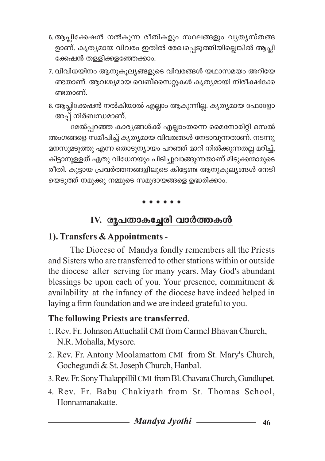- 6. ആപ്പിക്കേഷൻ നൽകുന്ന രീതികളും സ്ഥലങ്ങളും വ്യത്യസ്തങ്ങ ളാണ്. കൃത്യമായ വിവരം ഇതിൽ രേഖപ്പെടുത്തിയില്ലെങ്കിൽ ആപ്പി ക്കേഷൻ തള്ളിക്കളഞ്ഞേക്കാം.
- 7. വിവിധയിനം ആനുകുല്യങ്ങളുടെ വിവരങ്ങൾ യഥാസമയം അറിയേ ണ്ടതാണ്. ആവശ്യമായ വെബ്സൈറ്റുകൾ കൃത്യമായി നിരീക്ഷിക്കേ ണ്ടതാണ്.
- 8. ആപ്ലിക്കേഷൻ നൽകിയാൽ എല്ലാം ആകുന്നില്ല. കൃത്യമായ ഫോളോ അപ്പ് നിർബന്ധമാണ്.

മേൽപ്പറഞ്ഞ കാര്യങ്ങൾക്ക് എല്ലാംതന്നെ മൈനോരിറ്റി സെൽ അംഗങ്ങളെ സമീപിച്ച് കൃത്യമായ വിവരങ്ങൾ നേടാവുന്നതാണ്. നടന്നു മനസുമടുത്തു എന്ന തൊടുന്യായം പറഞ്ഞ് മാറി നിൽക്കുന്നതല്ല മറിച്ച്, കിട്ടാനുള്ളത് ഏതു വിധേനയും പിടിച്ചുവാങ്ങുന്നതാണ് മിടുക്കന്മാരുടെ രീതി. കുട്ടായ പ്രവർത്തനങ്ങളിലുടെ കിട്ടേണ്ട ആനുകുല്യങ്ങൾ നേടി യെടുത്ത് നമുക്കു നമ്മുടെ സമുദായങ്ങളെ ഉദ്ധരിക്കാം.

#### . . . . . .

### IV. രൂപതാകച്ചേരി വാർത്തകൾ

### 1). Transfers & Appointments -

The Diocese of Mandya fondly remembers all the Priests and Sisters who are transferred to other stations within or outside the diocese after serving for many years. May God's abundant blessings be upon each of you. Your presence, commitment  $\&$ availability at the infancy of the diocese have indeed helped in laying a firm foundation and we are indeed grateful to you.

### The following Priests are transferred.

- 1. Rev. Fr. Johnson Attuchalil CMI from Carmel Bhavan Church, N.R. Mohalla, Mysore.
- 2. Rev. Fr. Antony Moolamattom CMI from St. Mary's Church, Gochegundi & St. Joseph Church, Hanbal.
- 3. Rev. Fr. Sony Thalappillil CMI from Bl. Chavara Church, Gundlupet.
- 4. Rev. Fr. Babu Chakiyath from St. Thomas School, Honnamanakatte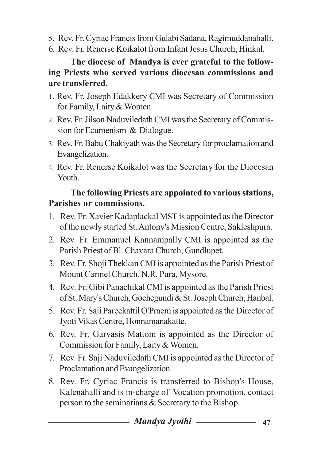- 5. Rev. Fr. Cyriac Francis from Gulabi Sadana, Ragimuddanahalli.
- 6. Rev. Fr. Renerse Koikalot from Infant Jesus Church, Hinkal.

### **The diocese of Mandya is ever grateful to the following Priests who served various diocesan commissions and are transferred.**

- 1. Rev. Fr. Joseph Edakkery CMI was Secretary of Commission for Family, Laity & Women.
- 2. Rev. Fr. Jilson Naduviledath CMI was the Secretary of Commission for Ecumenism & Dialogue.
- 3. Rev. Fr. Babu Chakiyath was the Secretary for proclamation and Evangelization.
- 4. Rev. Fr. Renerse Koikalot was the Secretary for the Diocesan **Youth**

### **The following Priests are appointed to various stations, Parishes or commissions.**

- 1. Rev. Fr. Xavier Kadaplackal MST is appointed as the Director of the newly started St. Antony's Mission Centre, Sakleshpura.
- 2. Rev. Fr. Emmanuel Kannampally CMI is appointed as the Parish Priest of Bl. Chavara Church, Gundlupet.
- 3. Rev. Fr. Shoji Thekkan CMI is appointed as the Parish Priest of Mount Carmel Church, N.R. Pura, Mysore.
- 4. Rev. Fr. Gibi Panachikal CMI is appointed as the Parish Priest of St. Mary's Church, Gochegundi & St. Joseph Church, Hanbal.
- 5. Rev. Fr. Saji Pareckattil O'Praem is appointed as the Director of Jyoti Vikas Centre, Honnamanakatte.
- 6. Rev. Fr. Garvasis Mattom is appointed as the Director of Commission for Family, Laity & Women.
- 7. Rev. Fr. Saji Naduviledath CMI is appointed as the Director of Proclamation and Evangelization.
- 8. Rev. Fr. Cyriac Francis is transferred to Bishop's House, Kalenahalli and is in-charge of Vocation promotion, contact person to the seminarians & Secretary to the Bishop.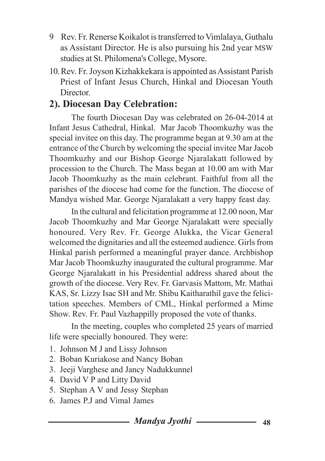- 9 Rev. Fr. Renerse Koikalot is transferred to Vimlalaya, Guthalu as Assistant Director. He is also pursuing his 2nd year MSW studies at St. Philomena's College, Mysore.
- 10. Rev. Fr. Joyson Kizhakkekara is appointed as Assistant Parish Priest of Infant Jesus Church, Hinkal and Diocesan Youth **Director**

### **2). Diocesan Day Celebration:**

The fourth Diocesan Day was celebrated on 26-04-2014 at Infant Jesus Cathedral, Hinkal. Mar Jacob Thoomkuzhy was the special invitee on this day. The programme began at 9.30 am at the entrance of the Church by welcoming the special invitee Mar Jacob Thoomkuzhy and our Bishop George Njaralakatt followed by procession to the Church. The Mass began at 10.00 am with Mar Jacob Thoomkuzhy as the main celebrant. Faithful from all the parishes of the diocese had come for the function. The diocese of Mandya wished Mar. George Njaralakatt a very happy feast day.

In the cultural and felicitation programme at 12.00 noon, Mar Jacob Thoomkuzhy and Mar George Njaralakatt were specially honoured. Very Rev. Fr. George Alukka, the Vicar General welcomed the dignitaries and all the esteemed audience. Girls from Hinkal parish performed a meaningful prayer dance. Archbishop Mar Jacob Thoomkuzhy inaugurated the cultural programme. Mar George Njaralakatt in his Presidential address shared about the growth of the diocese. Very Rev. Fr. Garvasis Mattom, Mr. Mathai KAS, Sr. Lizzy Isac SH and Mr. Shibu Kaitharathil gave the felicitation speeches. Members of CML, Hinkal performed a Mime Show. Rev. Fr. Paul Vazhappilly proposed the vote of thanks.

In the meeting, couples who completed 25 years of married life were specially honoured. They were:

- 1. Johnson M J and Lissy Johnson
- 2. Boban Kuriakose and Nancy Boban
- 3. Jeeji Varghese and Jancy Nadukkunnel
- 4. David V P and Litty David
- 5. Stephan A V and Jessy Stephan
- 6. James P.J and Vimal James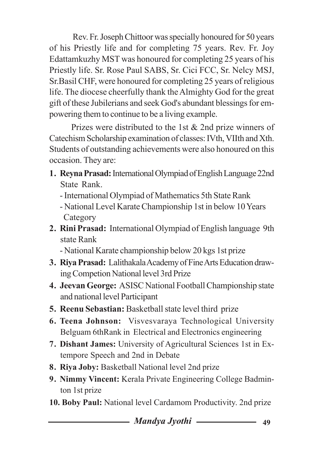Rev. Fr. Joseph Chittoor was specially honoured for 50 years of his Priestly life and for completing 75 years. Rev. Fr. Joy Edattamkuzhy MST was honoured for completing 25 years of his Priestly life. Sr. Rose Paul SABS, Sr. Cici FCC, Sr. Nelcy MSJ, Sr.Basil CHF, were honoured for completing 25 years of religious life. The diocese cheerfully thank the Almighty God for the great gift of these Jubilerians and seek God's abundant blessings for empowering them to continue to be a living example.

Prizes were distributed to the 1st & 2nd prize winners of Catechism Scholarship examination of classes: IVth, VIIth and Xth. Students of outstanding achievements were also honoured on this occasion. They are:

- **1. Reyna Prasad:** International Olympiad of English Language 22nd State Rank.
	- International Olympiad of Mathematics 5th State Rank
	- National Level Karate Championship 1st in below 10 Years Category
- **2. Rini Prasad:** International Olympiad of English language 9th state Rank

- National Karate championship below 20 kgs 1st prize

- **3. Riya Prasad:** Lalithakala Academy of Fine Arts Education drawing Competion National level 3rd Prize
- **4. Jeevan George:** ASISC National Football Championship state and national level Participant
- **5. Reenu Sebastian:** Basketball state level third prize
- **6. Teena Johnson:** Visvesvaraya Technological University Belguam 6thRank in Electrical and Electronics engineering
- **7. Dishant James:** University of Agricultural Sciences 1st in Extempore Speech and 2nd in Debate
- **8. Riya Joby:** Basketball National level 2nd prize
- **9. Nimmy Vincent:** Kerala Private Engineering College Badminton 1st prize
- **10. Boby Paul:** National level Cardamom Productivity. 2nd prize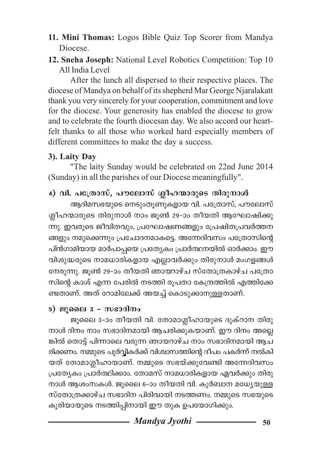- **11. Mini Thomas:** Logos Bible Quiz Top Scorer from Mandya Diocese.
- **12. Sneha Joseph:** National Level Robotics Competition: Top 10 All India Level

After the lunch all dispersed to their respective places. The diocese of Mandya on behalf of its shepherd Mar George Njaralakatt thank you very sincerely for your cooperation, commitment and love for the diocese. Your generosity has enabled the diocese to grow and to celebrate the fourth diocesan day. We also accord our heartfelt thanks to all those who worked hard especially members of different committees to make the day a success.

### **3). Laity Day**

"The laity Sunday would be celebrated on 22nd June 2014 (Sunday) in all the parishes of our Diocese meaningfully".

### 4) വി. പത്രോസ്, പൗലോസ് ശ്ലീഹന്മാരുടെ തിരുനാൾ

ആദിമസഭയുടെ നെടുംതൂണുകളായ വി. പത്രോസ്, പൗലോസ് ശ്ലീഹന്മാരുടെ തിരുനാൾ നാം ജൂൺ 29-ാം തീയതി ആഘോഷിക്കു ന്നു. ഇവരുടെ ജീവിതവും, പ്രഘോഷണങ്ങളും പ്രേഷിതപ്രവർത്തന ങ്ങളും നമുക്കെന്നും പ്രചോദനമാകട്ടെ. അന്നേദിവസം പത്രോസിന്റെ പിൻഗാമിയായ മാർപാപ്പയെ പ്രത്യേകം പ്രാർത്ഥനയിൽ ഓർക്കാം. ഈ വിശുദ്ധരുടെ നാമധാരികളായ എല്ലാവർക്കും തിരുനാൾ മംഗളങ്ങൾ നേരുന്നു. ജുൺ 29-ാം തീയതി ഞായറാഴ്ച സ്തോത്രകാഴ്ച പത്രോ സിന്റെ കാശ് എന്ന പേരിൽ നടത്തി രുപതാ കേന്ദ്രത്തിൽ എത്തിക്കേ ണ്ടതാണ്. അത് റോമിലേക്ക് അയച്ച് കൊടുക്കാനുള്ളതാണ്.

### 5) ജുലൈ 3 – സഭാദിനം

ജൂലൈ 3-ാം തീയതി വി. തോമാശ്ലീഹായുടെ ദുക്റാന തിരു നാൾ ദിനം നാം സഭാദിനമായി ആചരിക്കുകയാണ്. ഈ ദിനം അല്ലെ ങ്കിൽ തൊട്ട് പിന്നാലെ വരുന്ന ഞായറാഴ്ച നാം സഭാദിനമായി ആച രിക്കണം. നമ്മുടെ പുർവ്വികർക്ക് വിശ്വാസത്തിന്റെ ദീപം പകർന്ന് നൽകി യത് തോമാശ്ലീഹായാണ്. നമ്മുടെ സഭയ്ക്കുവേണ്ടി അന്നേദിവസം പ്രത്യേകം പ്രാർത്ഥിക്കാം. തോമസ് നാമധാരികളായ ഏവർക്കും തിരു നാൾ ആശംസകൾ. ജൂലൈ 6–ാം തീയതി വി. കുർബാന മധ്യേയുള്ള സ്തോത്രക്കാഴ്ച സഭാദിന പിരിവായി നടത്തണം. നമ്മുടെ സഭയുടെ കൂരിയായുടെ നടത്തിപ്പിനായി ഈ തുക ഉപയോഗിക്കും.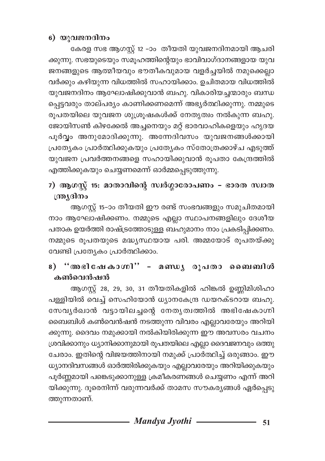### 6) യുവജനദിനം

കേരള സഭ ആഗസ്റ്റ് 12 –ാം തീയതി യുവജനദിനമായി ആചരി ക്കുന്നു. സഭയുടെയും സമൂഹത്തിന്റെയും ഭാ<mark>വിവാ</mark>ഗ്ദാനങ്ങളായ യുവ ജനങ്ങളുടെ ആത്മീയവും ഭൗതീകവുമായ വളർച്ചയിൽ നമുക്കെല്ലാ വർക്കും കഴിയുന്ന വിധത്തിൽ സഹായിക്കാം. ഉചിതമായ വിധത്തിൽ യുവജനദിനം ആഘോഷിക്കുവാൻ ബഹു. വികാരിയച്ചന്മാരും ബന്ധ പ്പെട്ടവരും താല്പര്യം കാണിക്കണമെന്ന് അഭ്യർത്ഥിക്കുന്നു. നമ്മുടെ രൂപതയിലെ യുവജന ശുശ്രൂഷകൾക്ക് നേതൃത്വം നൽകുന്ന ബഹു. ജോയിസൺ കിഴക്കേൽ അച്ചനെയും മറ്റ് ഭാരവാഹികളെയും ഹൃദയ പൂർവ്വം അനുമോദിക്കുന്നു. അന്നേദിവസം യുവജനങ്ങൾക്കായി പ്രത്യേകം പ്രാർത്ഥിക്കുകയും പ്രത്യേകം സ്തോത്രക്കാഴ്ച എടുത്ത് യുവജന പ്രവർത്തനങ്ങളെ സഹായിക്കുവാൻ രൂപതാ കേന്ദ്രത്തിൽ എത്തിക്കുകയും ചെയ്യണമെന്ന് ഓർമ്മപ്പെടുത്തുന്നു.

### 7) ആഗസ്റ്റ് 15: മാതാവിന്റെ സ്ഥർഗ്ഗാരോപണം – ഭാരത സ്വാത ന്ത്ര്യദിനം

ആഗസ്റ്റ് 15–ാം തീയതി ഈ രണ്ട് സംഭവങ്ങളും സമുചിതമായി നാം ആഘോഷിക്കണം. നമ്മുടെ എല്ലാ സ്ഥാപനങ്ങളിലും ദേശീയ പതാക ഉയർത്തി രാഷ്ട്രത്തോടുള്ള ബഹുമാനം നാം പ്രകടിപ്പിക്കണം. നമ്മുടെ രൂപതയുടെ മദ്ധ്യസ്ഥയായ പരി. അമ്മയോട് രൂപതയ്ക്കു വേണ്ടി പ്രത്യേകം പ്രാർത്ഥിക്കാം.

### 8) "അഭിഷേകാഗ്നി" - മണ്ഡ്യ രൂപതാ ബൈബിൾ കൺവെൻഷൻ

ആഗസ്റ്റ് 28, 29, 30, 31 തീയതികളിൽ ഹിങ്കൽ ഉണ്ണിമിശിഹാ പള്ളിയിൽ വെച്ച് സെഹിയോൻ ധ്യാനകേന്ദ്ര ഡയറക്ടറായ ബഹു. സേവൃർഖാൻ വട്ടായിലച്ചന്റെ നേതൃത്വത്തിൽ അഭിഷേകാഗ്നി ബൈബിൾ കൺവെൻഷൻ നടത്തുന്ന വിവരം എല്ലാവരേയും അറിയി ക്കുന്നു. ദൈവം നമുക്കായി നൽകിയിരിക്കുന്ന ഈ അവസരം വചനം ശ്രവിക്കാനും ധ്യാനിക്കാനുമായി രൂപതയിലെ എല്ലാ ദൈവജനവും ഒത്തു ചേരാം. ഇതിന്റെ വിജയത്തിനായി നമുക്ക് പ്രാർത്ഥിച്ച് ഒരുങ്ങാം. ഈ ധ്യാനദിവസങ്ങൾ ഓർത്തിരിക്കുകയും എല്ലാവരേയും അറിയിക്കുകയും പൂർണ്ണമായി പങ്കെടുക്കാനുള്ള ക്രമീകരണങ്ങൾ ചെയ്യണം എന്ന് അറി യിക്കുന്നു. ദൂരെനിന്ന് വരുന്നവർക്ക് താമസ സൗകര്യങ്ങൾ ഏർപ്പെടു ത്തുന്നതാണ്.

> Mandya Jyothi -51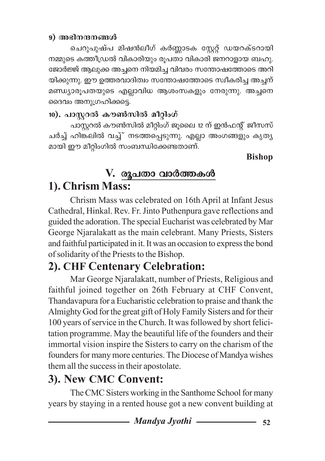### 9) അഭിനന്ദനങ്ങൾ

ചെറുപുഷ്പ മിഷൻലീഗ് കർണ്ണാടക സ്കേറ്റ് ഡയറക്ടറായി നമ്മുടെ കത്തീഡ്രൽ വികാരിയും രുപതാ വികാരി ജനറാളായ ബഹു. ജോർജ്ജ് ആലുക്ക അച്ചനെ നിയമിച്ച വിവരം സന്തോഷത്തോടെ അറി യിക്കുന്നു. ഈ ഉത്തരവാദിത്വം സന്തോഷത്തോടെ സ്വീകരിച്ച അച്ചന് മണ്ഡ്യാരൂപതയുടെ എല്ലാവിധ ആശംസകളും നേരുന്നു. അച്ചനെ ദൈവം അനുഗ്രഹിക്കട്ടെ.

### 10). പാസ്കറൽ കൗൺസിൽ മീറ്റിംഗ്

പാസ്റ്ററൽ കൗൺസിൽ മീറ്റിംഗ് ജൂലൈ 12 ന് ഇൻഫന്റ് ജീസസ് ചർച്ച് ഹിങ്കലിൽ വച്ച്` നടത്തപ്പെടുന്നു. എല്ലാ അംഗങ്ങളും കൃത്യ മായി ഈ മീറ്റിംഗിൽ സംബന്ധിക്കേണ്ടതാണ്.

### **Bishop**

# V. രൂപതാ വാർത്തകൾ

### 1). Chrism Mass:

Chrism Mass was celebrated on 16th April at Infant Jesus Cathedral, Hinkal. Rev. Fr. Jinto Puthenpura gave reflections and guided the adoration. The special Eucharist was celebrated by Mar George Njaralakatt as the main celebrant. Many Priests, Sisters and faithful participated in it. It was an occasion to express the bond of solidarity of the Priests to the Bishop.

### 2). CHF Centenary Celebration:

Mar George Njaralakatt, number of Priests, Religious and faithful joined together on 26th February at CHF Convent, Thandavapura for a Eucharistic celebration to praise and thank the Almighty God for the great gift of Holy Family Sisters and for their 100 years of service in the Church. It was followed by short felicitation programme. May the beautiful life of the founders and their immortal vision inspire the Sisters to carry on the charism of the founders for many more centuries. The Diocese of Mandya wishes them all the success in their apostolate.

### 3). New CMC Convent:

The CMC Sisters working in the Santhome School for many years by staying in a rented house got a new convent building at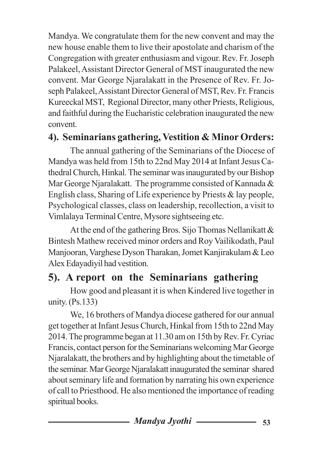Mandya. We congratulate them for the new convent and may the new house enable them to live their apostolate and charism of the Congregation with greater enthusiasm and vigour. Rev. Fr. Joseph Palakeel, Assistant Director General of MST inaugurated the new convent. Mar George Njaralakatt in the Presence of Rev. Fr. Joseph Palakeel, Assistant Director General of MST, Rev. Fr. Francis Kureeckal MST, Regional Director, many other Priests, Religious, and faithful during the Eucharistic celebration inaugurated the new convent.

### **4). Seminarians gathering, Vestition & Minor Orders:**

The annual gathering of the Seminarians of the Diocese of Mandya was held from 15th to 22nd May 2014 at Infant Jesus Cathedral Church, Hinkal. The seminar was inaugurated by our Bishop Mar George Njaralakatt. The programme consisted of Kannada & English class, Sharing of Life experience by Priests & lay people, Psychological classes, class on leadership, recollection, a visit to Vimlalaya Terminal Centre, Mysore sightseeing etc.

At the end of the gathering Bros. Sijo Thomas Nellanikatt & Bintesh Mathew received minor orders and Roy Vailikodath, Paul Manjooran, Varghese Dyson Tharakan, Jomet Kanjirakulam & Leo Alex Edayadiyil had vestition.

### **5). A report on the Seminarians gathering**

How good and pleasant it is when Kindered live together in unity. (Ps.133)

We, 16 brothers of Mandya diocese gathered for our annual get together at Infant Jesus Church, Hinkal from 15th to 22nd May 2014. The programme began at 11.30 am on 15th by Rev. Fr. Cyriac Francis, contact person for the Seminarians welcoming Mar George Njaralakatt, the brothers and by highlighting about the timetable of the seminar. Mar George Njaralakatt inaugurated the seminar shared about seminary life and formation by narrating his own experience of call to Priesthood. He also mentioned the importance of reading spiritual books.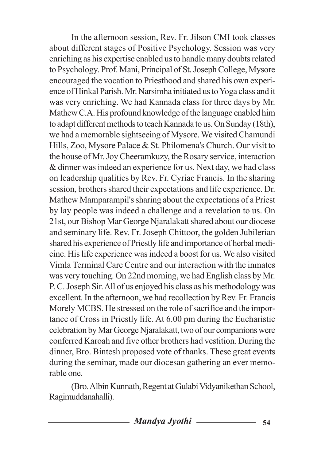In the afternoon session, Rev. Fr. Jilson CMI took classes about different stages of Positive Psychology. Session was very enriching as his expertise enabled us to handle many doubts related to Psychology. Prof. Mani, Principal of St. Joseph College, Mysore encouraged the vocation to Priesthood and shared his own experience of Hinkal Parish. Mr. Narsimha initiated us to Yoga class and it was very enriching. We had Kannada class for three days by Mr. Mathew C.A. His profound knowledge of the language enabled him to adapt different methods to teach Kannada to us. On Sunday (18th), we had a memorable sightseeing of Mysore. We visited Chamundi Hills, Zoo, Mysore Palace & St. Philomena's Church. Our visit to the house of Mr. Joy Cheeramkuzy, the Rosary service, interaction & dinner was indeed an experience for us. Next day, we had class on leadership qualities by Rev. Fr. Cyriac Francis. In the sharing session, brothers shared their expectations and life experience. Dr. Mathew Mamparampil's sharing about the expectations of a Priest by lay people was indeed a challenge and a revelation to us. On 21st, our Bishop Mar George Njaralakatt shared about our diocese and seminary life. Rev. Fr. Joseph Chittoor, the golden Jubilerian shared his experience of Priestly life and importance of herbal medicine. His life experience was indeed a boost for us. We also visited Vimla Terminal Care Centre and our interaction with the inmates was very touching. On 22nd morning, we had English class by Mr. P. C. Joseph Sir. All of us enjoyed his class as his methodology was excellent. In the afternoon, we had recollection by Rev. Fr. Francis Morely MCBS. He stressed on the role of sacrifice and the importance of Cross in Priestly life. At 6.00 pm during the Eucharistic celebration by Mar George Njaralakatt, two of our companions were conferred Karoah and five other brothers had vestition. During the dinner, Bro. Bintesh proposed vote of thanks. These great events during the seminar, made our diocesan gathering an ever memorable one.

(Bro. Albin Kunnath, Regent at Gulabi Vidyanikethan School, Ragimuddanahalli).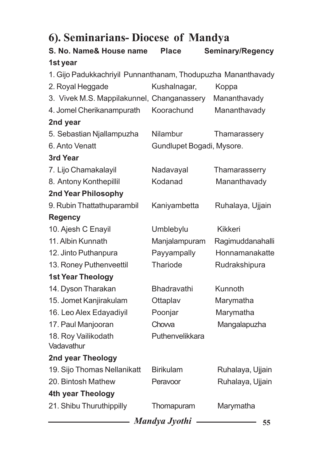| 6). Seminarians-Diocese of Mandya                            |                           |                  |  |  |
|--------------------------------------------------------------|---------------------------|------------------|--|--|
| S. No. Name& House name                                      | <b>Place</b>              | Seminary/Regency |  |  |
| 1st year                                                     |                           |                  |  |  |
| 1. Gijo Padukkachriyil Punnanthanam, Thodupuzha Mananthavady |                           |                  |  |  |
| 2. Royal Heggade                                             | Kushalnagar,              | Koppa            |  |  |
| 3. Vivek M.S. Mappilakunnel, Changanassery                   |                           | Mananthavady     |  |  |
| 4. Jomel Cherikanampurath                                    | Koorachund                | Mananthavady     |  |  |
| 2nd year                                                     |                           |                  |  |  |
| 5. Sebastian Njallampuzha                                    | Nilambur                  | Thamarassery     |  |  |
| 6. Anto Venatt                                               | Gundlupet Bogadi, Mysore. |                  |  |  |
| 3rd Year                                                     |                           |                  |  |  |
| 7. Lijo Chamakalayil                                         | Nadavayal                 | Thamarasserry    |  |  |
| 8. Antony Konthepillil                                       | Kodanad                   | Mananthavady     |  |  |
| 2nd Year Philosophy                                          |                           |                  |  |  |
| 9. Rubin Thattathuparambil                                   | Kaniyambetta              | Ruhalaya, Ujjain |  |  |
| <b>Regency</b>                                               |                           |                  |  |  |
| 10. Ajesh C Enayil                                           | Umblebylu                 | Kikkeri          |  |  |
| 11. Albin Kunnath                                            | Manjalampuram             | Ragimuddanahalli |  |  |
| 12. Jinto Puthanpura                                         | Payyampally               | Honnamanakatte   |  |  |
| 13. Roney Puthenveettil                                      | Thariode                  | Rudrakshipura    |  |  |
| <b>1st Year Theology</b>                                     |                           |                  |  |  |
| 14. Dyson Tharakan                                           | Bhadravathi               | Kunnoth          |  |  |
| 15. Jomet Kanjirakulam                                       | Ottaplav                  | Marymatha        |  |  |
| 16. Leo Alex Edayadiyil                                      | Poonjar                   | Marymatha        |  |  |
| 17. Paul Manjooran                                           | Chowa                     | Mangalapuzha     |  |  |
| 18. Roy Vailikodath<br>Vadavathur                            | Puthenvelikkara           |                  |  |  |
| 2nd year Theology                                            |                           |                  |  |  |
| 19. Sijo Thomas Nellanikatt                                  | <b>Birikulam</b>          | Ruhalaya, Ujjain |  |  |
| 20. Bintosh Mathew                                           | Peravoor                  | Ruhalaya, Ujjain |  |  |
| 4th year Theology                                            |                           |                  |  |  |
| 21. Shibu Thuruthippilly                                     | Thomapuram                | Marymatha        |  |  |
| — Mandya Jyothi<br>55                                        |                           |                  |  |  |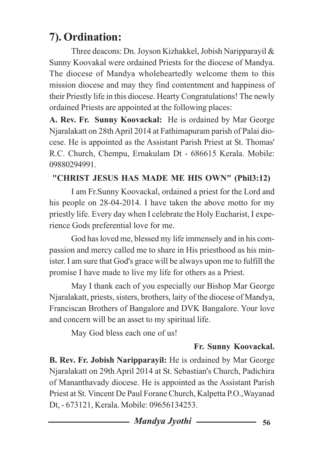## **7). Ordination:**

Three deacons: Dn. Joyson Kizhakkel, Jobish Naripparayil & Sunny Koovakal were ordained Priests for the diocese of Mandya. The diocese of Mandya wholeheartedly welcome them to this mission diocese and may they find contentment and happiness of their Priestly life in this diocese. Hearty Congratulations! The newly ordained Priests are appointed at the following places:

**A. Rev. Fr. Sunny Koovackal:** He is ordained by Mar George Njaralakatt on 28th April 2014 at Fathimapuram parish of Palai diocese. He is appointed as the Assistant Parish Priest at St. Thomas' R.C. Church, Chempu, Ernakulam Dt - 686615 Kerala. Mobile: 09880294991.

### **"CHRIST JESUS HAS MADE ME HIS OWN" (Phil3:12)**

I am Fr.Sunny Koovackal, ordained a priest for the Lord and his people on 28-04-2014. I have taken the above motto for my priestly life. Every day when I celebrate the Holy Eucharist, I experience Gods preferential love for me.

God has loved me, blessed my life immensely and in his compassion and mercy called me to share in His priesthood as his minister. I am sure that God's grace will be always upon me to fulfill the promise I have made to live my life for others as a Priest.

May I thank each of you especially our Bishop Mar George Njaralakatt, priests, sisters, brothers, laity of the diocese of Mandya, Franciscan Brothers of Bangalore and DVK Bangalore. Your love and concern will be an asset to my spiritual life.

May God bless each one of us!

### **Fr. Sunny Koovackal.**

**B. Rev. Fr. Jobish Naripparayil:** He is ordained by Mar George Njaralakatt on 29th April 2014 at St. Sebastian's Church, Padichira of Mananthavady diocese. He is appointed as the Assistant Parish Priest at St. Vincent De Paul Forane Church, Kalpetta P.O.,Wayanad Dt, - 673121, Kerala. Mobile: 09656134253.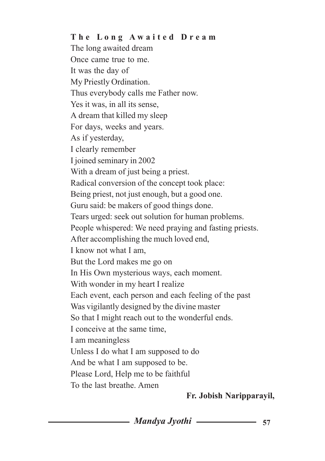### **T h e L o n g A w a i t e d D r e a m**

The long awaited dream Once came true to me. It was the day of My Priestly Ordination. Thus everybody calls me Father now. Yes it was, in all its sense, A dream that killed my sleep For days, weeks and years. As if yesterday, I clearly remember I joined seminary in 2002 With a dream of just being a priest. Radical conversion of the concept took place: Being priest, not just enough, but a good one. Guru said: be makers of good things done. Tears urged: seek out solution for human problems. People whispered: We need praying and fasting priests. After accomplishing the much loved end, I know not what I am, But the Lord makes me go on In His Own mysterious ways, each moment. With wonder in my heart I realize Each event, each person and each feeling of the past Was vigilantly designed by the divine master So that I might reach out to the wonderful ends. I conceive at the same time, I am meaningless Unless I do what I am supposed to do And be what I am supposed to be. Please Lord, Help me to be faithful To the last breathe. Amen

#### **Fr. Jobish Naripparayil,**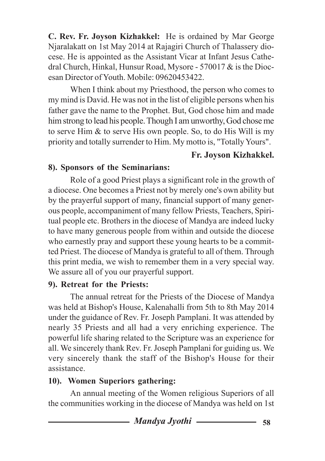**C. Rev. Fr. Joyson Kizhakkel:** He is ordained by Mar George Njaralakatt on 1st May 2014 at Rajagiri Church of Thalassery diocese. He is appointed as the Assistant Vicar at Infant Jesus Cathedral Church, Hinkal, Hunsur Road, Mysore - 570017 & is the Diocesan Director of Youth. Mobile: 09620453422.

When I think about my Priesthood, the person who comes to my mind is David. He was not in the list of eligible persons when his father gave the name to the Prophet. But, God chose him and made him strong to lead his people. Though I am unworthy, God chose me to serve Him & to serve His own people. So, to do His Will is my priority and totally surrender to Him. My motto is, "Totally Yours".

### **Fr. Joyson Kizhakkel.**

### **8). Sponsors of the Seminarians:**

Role of a good Priest plays a significant role in the growth of a diocese. One becomes a Priest not by merely one's own ability but by the prayerful support of many, financial support of many generous people, accompaniment of many fellow Priests, Teachers, Spiritual people etc. Brothers in the diocese of Mandya are indeed lucky to have many generous people from within and outside the diocese who earnestly pray and support these young hearts to be a committed Priest. The diocese of Mandya is grateful to all of them. Through this print media, we wish to remember them in a very special way. We assure all of you our prayerful support.

### **9). Retreat for the Priests:**

The annual retreat for the Priests of the Diocese of Mandya was held at Bishop's House, Kalenahalli from 5th to 8th May 2014 under the guidance of Rev. Fr. Joseph Pamplani. It was attended by nearly 35 Priests and all had a very enriching experience. The powerful life sharing related to the Scripture was an experience for all. We sincerely thank Rev. Fr. Joseph Pamplani for guiding us. We very sincerely thank the staff of the Bishop's House for their assistance.

### **10). Women Superiors gathering:**

An annual meeting of the Women religious Superiors of all the communities working in the diocese of Mandya was held on 1st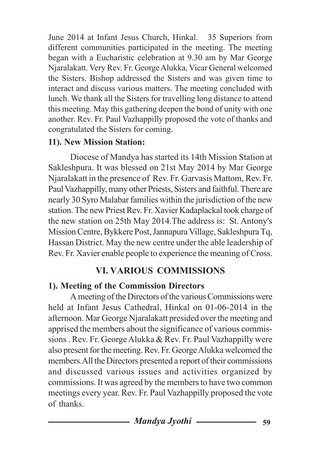June 2014 at Infant Jesus Church, Hinkal. 35 Superiors from different communities participated in the meeting. The meeting began with a Eucharistic celebration at 9.30 am by Mar George Njaralakatt. Very Rev. Fr. George Alukka, Vicar General welcomed the Sisters. Bishop addressed the Sisters and was given time to interact and discuss various matters. The meeting concluded with lunch. We thank all the Sisters for travelling long distance to attend this meeting. May this gathering deepen the bond of unity with one another. Rev. Fr. Paul Vazhappilly proposed the vote of thanks and congratulated the Sisters for coming.

### **11). New Mission Station:**

Diocese of Mandya has started its 14th Mission Station at Sakleshpura. It was blessed on 21st May 2014 by Mar George Njaralakatt in the presence of Rev. Fr. Garvasis Mattom, Rev. Fr. Paul Vazhappilly, many other Priests, Sisters and faithful. There are nearly 30 Syro Malabar families within the jurisdiction of the new station. The new Priest Rev. Fr. Xavier Kadaplackal took charge of the new station on 25th May 2014.The address is: St. Antony's Mission Centre, Bykkere Post, Jannapura Village, Sakleshpura Tq, Hassan District. May the new centre under the able leadership of Rev. Fr. Xavier enable people to experience the meaning of Cross.

### **VI. VARIOUS COMMISSIONS**

### **1). Meeting of the Commission Directors**

A meeting of the Directors of the various Commissions were held at Infant Jesus Cathedral, Hinkal on 01-06-2014 in the afternoon. Mar George Njaralakatt presided over the meeting and apprised the members about the significance of various commissions . Rev. Fr. George Alukka & Rev. Fr. Paul Vazhappilly were also present for the meeting. Rev. Fr. George Alukka welcomed the members.All the Directors presented a report of their commissions and discussed various issues and activities organized by commissions. It was agreed by the members to have two common meetings every year. Rev. Fr. Paul Vazhappilly proposed the vote of thanks.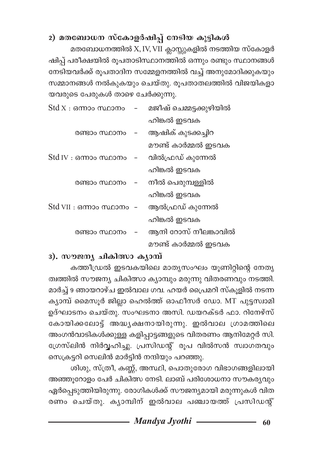### 2) മതബോധന സ്കോളർഷിപ്പ് നേടിയ കുട്ടികൾ

മതബോധനത്തിൽ X, IV, VII ക്ലാസ്സുകളിൽ നടത്തിയ സ്കോളർ ഷിപ്പ് പരീക്ഷയിൽ രൂപതാടിസ്ഥാനത്തിൽ ഒന്നും രണ്ടും സ്ഥാനങ്ങൾ നേടിയവർക്ക് രൂപതാദിന സമ്മേളനത്തിൽ വച്ച് അനുമോദിക്കുകയും സമ്മാനങ്ങൾ നൽകുകയും ചെയ്തു. രൂപതാതലത്തിൽ വിജയികളാ യവരുടെ പേരുകൾ താഴെ ചേർക്കുന്നു.

| $StdX :$ ഒന്നാം സ്ഥാനം     | മജീഷ് ചെമ്മട്ടക്കുഴിയിൽ |
|----------------------------|-------------------------|
|                            | ഹിങ്കൽ ഇടവക             |
| രണ്ടാം സ്ഥാനം              | ആഷിക് കുടക്കച്ചിറ       |
|                            | മൗണ്ട് കാർമ്മൽ ഇടവക     |
| Std IV : ഒന്നാം സ്ഥാനം     | വിൽഫ്രഡ് കുന്നേൽ        |
|                            | ഹിങ്കൽ ഇടവക             |
| രണ്ടാം സ്ഥാനം              | നീൽ പെരുമ്പള്ളിൽ        |
|                            | ഹിങ്കൽ ഇടവക             |
| Std VII : ഒന്നാം സ്ഥാനം  – | ആൽഫ്രഡ് കുന്നേൽ         |
|                            | ഹിങ്കൽ ഇടവക             |
| രണ്ടാം സ്ഥാനം              | ആനി റോസ് നീലങ്കാവിൽ     |
|                            | മൗണ്ട് കാർമ്മൽ ഇടവക     |

### 3). സൗജന്യ ചികിത്സാ കൃാ<mark>ന്</mark>

കത്തീഡ്രൽ ഇടവകയിലെ മാതൃസംഘം യൂണിറ്റിന്റെ നേതൃ ത്വത്തിൽ സൗജന്യ ചികിത്സാ ക്യാമ്പും മരുന്നു വിതരണവും നടത്തി. മാർച്ച് 9 ഞായറാഴ്ച ഇൽവാല ഗവ. ഹയർ പ്രൈമറി സ്കൂളിൽ നടന്ന ക്യാമ്പ് മൈസൂർ ജില്ലാ ഹെൽത്ത് ഓഫീസർ ഡോ. MT പുട്ടസ്വാമി ഉദ്ഘാടനം ചെയ്തു. സംഘടനാ അസി. ഡയറക്ടർ ഫാ. റിനേഴ്സ് കോയിക്കലോട്ട് അദ്ധ്യക്ഷനായിരുന്നു. ഇൽവാല ഗ്രാമത്തിലെ അംഗൻവാടികൾക്കുള്ള കളിപ്പാട്ടങ്ങളുടെ വിതരണം ആനിമേറ്റർ സി. ഗ്രേസ്ലിൻ നിർവ്വഹിച്ചു. പ്രസിഡന്റ് രൂപ വിൽസൻ സ്വാഗതവും സെക്രട്ടറി സെലിൻ മാർട്ടിൻ നന്ദിയും പറഞ്ഞു.

ശിശു, സ്ത്രീ, കണ്ണ്, അസ്ഥി, പൊതുരോഗ വിഭാഗങ്ങളിലായി അഞ്ഞുറോളം പേർ ചികിത്സ നേടി. ലാബ് പരിശോധനാ സൗകര്യവും ഏർപ്പെടുത്തിയിരുന്നു. രോഗികൾക്ക് സൗജന്യമായി മരുന്നുകൾ വിത രണം ചെയ്തു. കൃാമ്പിന് ഇൽവാല പഞ്ചായത്ത് പ്രസിഡന്റ്

60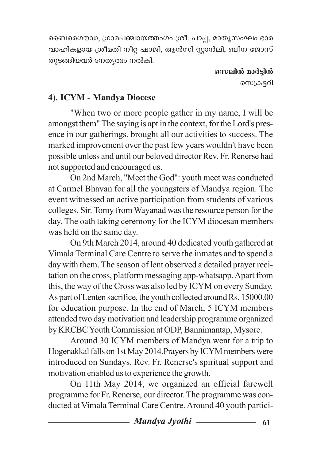ബൈരെഗൗഡ, ഗ്രാമപഞ്ചായത്തംഗം ശ്രീ. പാപ്പ, മാതൃസംഘം ഭാര വാഹികളായ ശ്രീമതി നീറ്റ ഷാജി, ആൻസി സ്ലാൻലി, ബീന ജോസ് തുടങ്ങിയവർ നേത്യത്വം നൽകി.

> sസലിൻ മാർടിൻ സെക്രട്ടറി

### **4). ICYM - Mandya Diocese**

"When two or more people gather in my name, I will be amongst them" The saying is apt in the context, for the Lord's presence in our gatherings, brought all our activities to success. The marked improvement over the past few years wouldn't have been possible unless and until our beloved director Rev. Fr. Renerse had not supported and encouraged us.

On 2nd March, "Meet the God": youth meet was conducted at Carmel Bhavan for all the youngsters of Mandya region. The event witnessed an active participation from students of various colleges. Sir. Tomy from Wayanad was the resource person for the day. The oath taking ceremony for the ICYM diocesan members was held on the same day.

On 9th March 2014, around 40 dedicated youth gathered at Vimala Terminal Care Centre to serve the inmates and to spend a day with them. The season of lent observed a detailed prayer recitation on the cross, platform messaging app-whatsapp. Apart from this, the way of the Cross was also led by ICYM on every Sunday. As part of Lenten sacrifice, the youth collected around Rs. 15000.00 for education purpose. In the end of March, 5 ICYM members attended two day motivation and leadership programme organized by KRCBC Youth Commission at ODP, Bannimantap, Mysore.

Around 30 ICYM members of Mandya went for a trip to Hogenakkal falls on 1st May 2014.Prayers by ICYM members were introduced on Sundays. Rev. Fr. Renerse's spiritual support and motivation enabled us to experience the growth.

On 11th May 2014, we organized an official farewell programme for Fr. Renerse, our director. The programme was conducted at Vimala Terminal Care Centre. Around 40 youth partici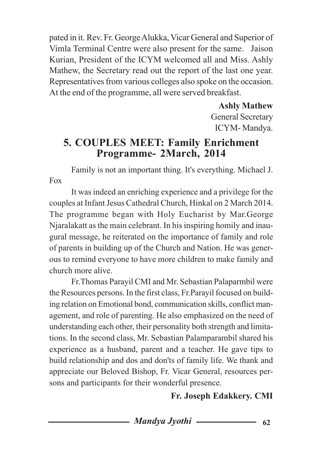pated in it. Rev. Fr. George Alukka, Vicar General and Superior of Vimla Terminal Centre were also present for the same. Jaison Kurian, President of the ICYM welcomed all and Miss. Ashly Mathew, the Secretary read out the report of the last one year. Representatives from various colleges also spoke on the occasion. At the end of the programme, all were served breakfast.

> **Ashly Mathew** General Secretary ICYM- Mandya.

### **5. COUPLES MEET: Family Enrichment Programme- 2March, 2014**

Family is not an important thing. It's everything. Michael J. Fox

It was indeed an enriching experience and a privilege for the couples at Infant Jesus Cathedral Church, Hinkal on 2 March 2014. The programme began with Holy Eucharist by Mar.George Njaralakatt as the main celebrant. In his inspiring homily and inaugural message, he reiterated on the importance of family and role of parents in building up of the Church and Nation. He was generous to remind everyone to have more children to make family and church more alive.

Fr.Thomas Parayil CMI and Mr. Sebastian Palaparmbil were the Resources persons. In the first class, Fr.Parayil focused on building relation on Emotional bond, communication skills, conflict management, and role of parenting. He also emphasized on the need of understanding each other, their personality both strength and limitations. In the second class, Mr. Sebastian Palamparambil shared his experience as a husband, parent and a teacher. He gave tips to build relationship and dos and don'ts of family life. We thank and appreciate our Beloved Bishop, Fr. Vicar General, resources persons and participants for their wonderful presence.

### **Fr. Joseph Edakkery. CMI**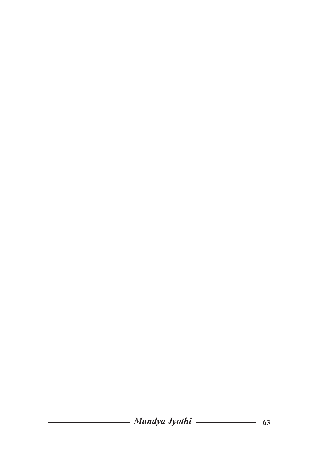**Mandya Jyothi 63**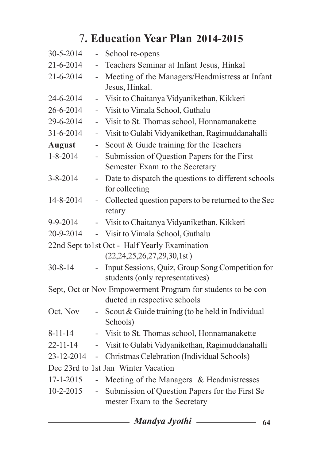### 7**. Education Year Plan 2014-2015**

| 30-5-2014<br>School re-opens<br>-<br>21-6-2014<br>Teachers Seminar at Infant Jesus, Hinkal<br>$\overline{a}$<br>21-6-2014<br>$\overline{\phantom{0}}$<br>Jesus, Hinkal.<br>Visit to Chaitanya Vidyanikethan, Kikkeri<br>24-6-2014<br>$\overline{a}$<br>Visit to Vimala School, Guthalu<br>26-6-2014<br>$\overline{\phantom{0}}$<br>29-6-2014<br>Visit to St. Thomas school, Honnamanakette<br>$\frac{1}{2}$<br>Visit to Gulabi Vidyanikethan, Ragimuddanahalli<br>31-6-2014<br>$\overline{\phantom{0}}$<br>Scout & Guide training for the Teachers<br><b>August</b><br>L,<br>$1 - 8 - 2014$<br>Submission of Question Papers for the First<br>$\overline{a}$<br>Semester Exam to the Secretary<br>$3 - 8 - 2014$<br>$\overline{\phantom{0}}$<br>for collecting<br>14-8-2014<br>$\overline{\phantom{0}}$<br>retary<br>9-9-2014<br>Visit to Chaitanya Vidyanikethan, Kikkeri<br>$\overline{\phantom{0}}$<br>20-9-2014<br>Visit to Vimala School, Guthalu<br>$\blacksquare$<br>22nd Sept to1st Oct - Half Yearly Examination<br>(22, 24, 25, 26, 27, 29, 30, 1st)<br>$30 - 8 - 14$<br>students (only representatives)<br>Sept, Oct or Nov Empowerment Program for students to be con<br>ducted in respective schools<br>Scout & Guide training (to be held in Individual<br>Oct, Nov<br>Schools)<br>$8 - 11 - 14$<br>Visit to St. Thomas school, Honnamanakette<br>$\overline{\phantom{0}}$<br>$22 - 11 - 14$<br>Visit to Gulabi Vidyanikethan, Ragimuddanahalli<br>-<br>23-12-2014<br>Christmas Celebration (Individual Schools)<br>$\overline{a}$<br>Dec 23rd to 1st Jan Winter Vacation<br>Meeting of the Managers & Headmistresses<br>$17 - 1 - 2015$<br>Submission of Question Papers for the First Se<br>$10 - 2 - 2015$<br>$\overline{\phantom{0}}$ |  |                                                     |
|---------------------------------------------------------------------------------------------------------------------------------------------------------------------------------------------------------------------------------------------------------------------------------------------------------------------------------------------------------------------------------------------------------------------------------------------------------------------------------------------------------------------------------------------------------------------------------------------------------------------------------------------------------------------------------------------------------------------------------------------------------------------------------------------------------------------------------------------------------------------------------------------------------------------------------------------------------------------------------------------------------------------------------------------------------------------------------------------------------------------------------------------------------------------------------------------------------------------------------------------------------------------------------------------------------------------------------------------------------------------------------------------------------------------------------------------------------------------------------------------------------------------------------------------------------------------------------------------------------------------------------------------------------------------------------------------------------------------------------------------------------|--|-----------------------------------------------------|
|                                                                                                                                                                                                                                                                                                                                                                                                                                                                                                                                                                                                                                                                                                                                                                                                                                                                                                                                                                                                                                                                                                                                                                                                                                                                                                                                                                                                                                                                                                                                                                                                                                                                                                                                                         |  |                                                     |
|                                                                                                                                                                                                                                                                                                                                                                                                                                                                                                                                                                                                                                                                                                                                                                                                                                                                                                                                                                                                                                                                                                                                                                                                                                                                                                                                                                                                                                                                                                                                                                                                                                                                                                                                                         |  |                                                     |
|                                                                                                                                                                                                                                                                                                                                                                                                                                                                                                                                                                                                                                                                                                                                                                                                                                                                                                                                                                                                                                                                                                                                                                                                                                                                                                                                                                                                                                                                                                                                                                                                                                                                                                                                                         |  | Meeting of the Managers/Headmistress at Infant      |
|                                                                                                                                                                                                                                                                                                                                                                                                                                                                                                                                                                                                                                                                                                                                                                                                                                                                                                                                                                                                                                                                                                                                                                                                                                                                                                                                                                                                                                                                                                                                                                                                                                                                                                                                                         |  |                                                     |
|                                                                                                                                                                                                                                                                                                                                                                                                                                                                                                                                                                                                                                                                                                                                                                                                                                                                                                                                                                                                                                                                                                                                                                                                                                                                                                                                                                                                                                                                                                                                                                                                                                                                                                                                                         |  |                                                     |
|                                                                                                                                                                                                                                                                                                                                                                                                                                                                                                                                                                                                                                                                                                                                                                                                                                                                                                                                                                                                                                                                                                                                                                                                                                                                                                                                                                                                                                                                                                                                                                                                                                                                                                                                                         |  |                                                     |
|                                                                                                                                                                                                                                                                                                                                                                                                                                                                                                                                                                                                                                                                                                                                                                                                                                                                                                                                                                                                                                                                                                                                                                                                                                                                                                                                                                                                                                                                                                                                                                                                                                                                                                                                                         |  |                                                     |
|                                                                                                                                                                                                                                                                                                                                                                                                                                                                                                                                                                                                                                                                                                                                                                                                                                                                                                                                                                                                                                                                                                                                                                                                                                                                                                                                                                                                                                                                                                                                                                                                                                                                                                                                                         |  |                                                     |
|                                                                                                                                                                                                                                                                                                                                                                                                                                                                                                                                                                                                                                                                                                                                                                                                                                                                                                                                                                                                                                                                                                                                                                                                                                                                                                                                                                                                                                                                                                                                                                                                                                                                                                                                                         |  |                                                     |
|                                                                                                                                                                                                                                                                                                                                                                                                                                                                                                                                                                                                                                                                                                                                                                                                                                                                                                                                                                                                                                                                                                                                                                                                                                                                                                                                                                                                                                                                                                                                                                                                                                                                                                                                                         |  | Date to dispatch the questions to different schools |
|                                                                                                                                                                                                                                                                                                                                                                                                                                                                                                                                                                                                                                                                                                                                                                                                                                                                                                                                                                                                                                                                                                                                                                                                                                                                                                                                                                                                                                                                                                                                                                                                                                                                                                                                                         |  | Collected question papers to be returned to the Sec |
|                                                                                                                                                                                                                                                                                                                                                                                                                                                                                                                                                                                                                                                                                                                                                                                                                                                                                                                                                                                                                                                                                                                                                                                                                                                                                                                                                                                                                                                                                                                                                                                                                                                                                                                                                         |  |                                                     |
|                                                                                                                                                                                                                                                                                                                                                                                                                                                                                                                                                                                                                                                                                                                                                                                                                                                                                                                                                                                                                                                                                                                                                                                                                                                                                                                                                                                                                                                                                                                                                                                                                                                                                                                                                         |  |                                                     |
|                                                                                                                                                                                                                                                                                                                                                                                                                                                                                                                                                                                                                                                                                                                                                                                                                                                                                                                                                                                                                                                                                                                                                                                                                                                                                                                                                                                                                                                                                                                                                                                                                                                                                                                                                         |  |                                                     |
|                                                                                                                                                                                                                                                                                                                                                                                                                                                                                                                                                                                                                                                                                                                                                                                                                                                                                                                                                                                                                                                                                                                                                                                                                                                                                                                                                                                                                                                                                                                                                                                                                                                                                                                                                         |  | Input Sessions, Quiz, Group Song Competition for    |
|                                                                                                                                                                                                                                                                                                                                                                                                                                                                                                                                                                                                                                                                                                                                                                                                                                                                                                                                                                                                                                                                                                                                                                                                                                                                                                                                                                                                                                                                                                                                                                                                                                                                                                                                                         |  |                                                     |
|                                                                                                                                                                                                                                                                                                                                                                                                                                                                                                                                                                                                                                                                                                                                                                                                                                                                                                                                                                                                                                                                                                                                                                                                                                                                                                                                                                                                                                                                                                                                                                                                                                                                                                                                                         |  |                                                     |
|                                                                                                                                                                                                                                                                                                                                                                                                                                                                                                                                                                                                                                                                                                                                                                                                                                                                                                                                                                                                                                                                                                                                                                                                                                                                                                                                                                                                                                                                                                                                                                                                                                                                                                                                                         |  |                                                     |
|                                                                                                                                                                                                                                                                                                                                                                                                                                                                                                                                                                                                                                                                                                                                                                                                                                                                                                                                                                                                                                                                                                                                                                                                                                                                                                                                                                                                                                                                                                                                                                                                                                                                                                                                                         |  |                                                     |
|                                                                                                                                                                                                                                                                                                                                                                                                                                                                                                                                                                                                                                                                                                                                                                                                                                                                                                                                                                                                                                                                                                                                                                                                                                                                                                                                                                                                                                                                                                                                                                                                                                                                                                                                                         |  |                                                     |
|                                                                                                                                                                                                                                                                                                                                                                                                                                                                                                                                                                                                                                                                                                                                                                                                                                                                                                                                                                                                                                                                                                                                                                                                                                                                                                                                                                                                                                                                                                                                                                                                                                                                                                                                                         |  |                                                     |
|                                                                                                                                                                                                                                                                                                                                                                                                                                                                                                                                                                                                                                                                                                                                                                                                                                                                                                                                                                                                                                                                                                                                                                                                                                                                                                                                                                                                                                                                                                                                                                                                                                                                                                                                                         |  |                                                     |
|                                                                                                                                                                                                                                                                                                                                                                                                                                                                                                                                                                                                                                                                                                                                                                                                                                                                                                                                                                                                                                                                                                                                                                                                                                                                                                                                                                                                                                                                                                                                                                                                                                                                                                                                                         |  | mester Exam to the Secretary                        |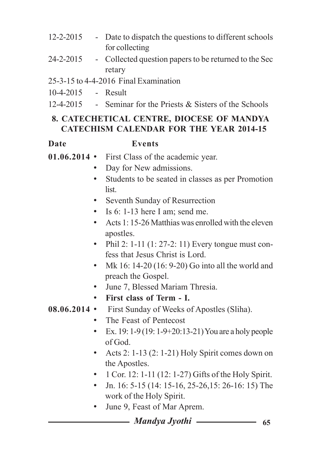- 12-2-2015 Date to dispatch the questions to different schools for collecting
- 24-2-2015 Collected question papers to be returned to the Sec retary

25-3-15 to 4-4-2016 Final Examination

- 10-4-2015 Result
- 12-4-2015 Seminar for the Priests  $\&$  Sisters of the Schools

### **8. CATECHETICAL CENTRE, DIOCESE OF MANDYA CATECHISM CALENDAR FOR THE YEAR 2014-15**

#### **Date Events**

- **01.06.2014** First Class of the academic year.
	- Day for New admissions.
	- Students to be seated in classes as per Promotion list.
	- Seventh Sunday of Resurrection
	- Is 6: 1-13 here I am; send me.
	- Acts 1: 15-26 Matthias was enrolled with the eleven apostles.
	- Phil 2: 1-11  $(1: 27-2: 11)$  Every tongue must confess that Jesus Christ is Lord.
	- Mk 16: 14-20 (16: 9-20) Go into all the world and preach the Gospel.
	- June 7, Blessed Mariam Thresia.
	- **First class of Term I.**

### **08.06.2014** • First Sunday of Weeks of Apostles (Sliha).

- The Feast of Pentecost
- Ex. 19: 1-9 (19: 1-9+20:13-21) You are a holy people of God.
- Acts 2: 1-13 (2: 1-21) Holy Spirit comes down on the Apostles.
- 1 Cor. 12: 1-11 (12: 1-27) Gifts of the Holy Spirit.
- Jn. 16: 5-15 (14: 15-16, 25-26, 15: 26-16: 15) The work of the Holy Spirit.
- June 9, Feast of Mar Aprem.

### *Mandya Jyothi* - 65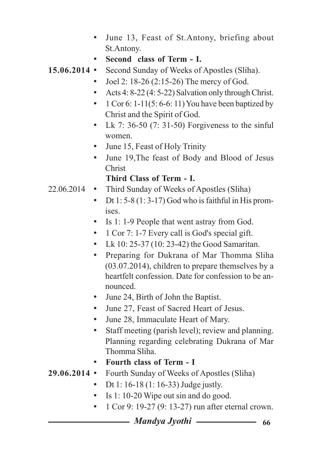- June 13, Feast of St.Antony, briefing about St.Antony.
- **Second class of Term I.**
- **15.06.2014** Second Sunday of Weeks of Apostles (Sliha).
	- Joel 2:  $18-26$  (2:15-26) The mercy of God.
	- Acts 4: 8-22 (4: 5-22) Salvation only through Christ.
	- 1 Cor 6: 1-11(5: 6-6: 11) You have been baptized by Christ and the Spirit of God.
	- Lk 7: 36-50 (7: 31-50) Forgiveness to the sinful women.
	- June 15, Feast of Holy Trinity
	- June 19,The feast of Body and Blood of Jesus Christ

### **Third Class of Term - I.**

- 22.06.2014 Third Sunday of Weeks of Apostles (Sliha)
	- Dt 1:  $5-8$  (1:  $3-17$ ) God who is faithful in His promises.
	- Is 1:1-9 People that went astray from God.
	- 1 Cor 7: 1-7 Every call is God's special gift.
	- Lk 10: 25-37 (10: 23-42) the Good Samaritan.
	- Preparing for Dukrana of Mar Thomma Sliha (03.07.2014), children to prepare themselves by a heartfelt confession. Date for confession to be announced.
	- June 24, Birth of John the Baptist.
	- June 27, Feast of Sacred Heart of Jesus.
	- June 28, Immaculate Heart of Mary.
	- Staff meeting (parish level); review and planning. Planning regarding celebrating Dukrana of Mar Thomma Sliha.
	- **Fourth class of Term I**
- **29.06.2014** Fourth Sunday of Weeks of Apostles (Sliha)
	- Dt 1: 16-18 (1: 16-33) Judge justly.
	- Is 1:10-20 Wipe out sin and do good.
	- 1 Cor 9: 19-27 (9: 13-27) run after eternal crown.

#### - *Mandya Jyothi* — 66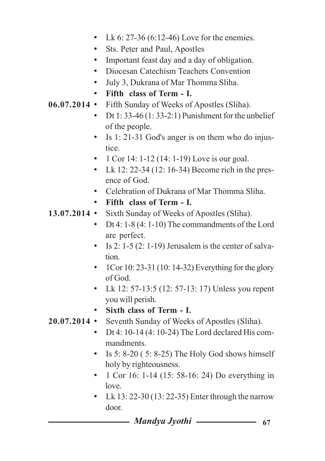- Lk  $6: 27-36 (6:12-46)$  Love for the enemies.
- Sts. Peter and Paul, Apostles
- Important feast day and a day of obligation.
- Diocesan Catechism Teachers Convention
- July 3, Dukrana of Mar Thomma Sliha.
- **Fifth class of Term I.**
- **06.07.2014** Fifth Sunday of Weeks of Apostles (Sliha).
	- Dt  $1: 33-46$  ( $1: 33-2:1$ ) Punishment for the unbelief of the people.
	- Is 1: 21-31 God's anger is on them who do injustice.
	- 1 Cor 14: 1-12 (14: 1-19) Love is our goal.
	- Lk 12: 22-34 (12: 16-34) Become rich in the presence of God.
	- Celebration of Dukrana of Mar Thomma Sliha.
	- **Fifth class of Term I.**
- **13.07.2014** Sixth Sunday of Weeks of Apostles (Sliha).
	- Dt 4: 1-8 (4: 1-10) The commandments of the Lord are perfect.
	- Is 2: 1-5 (2: 1-19) Jerusalem is the center of salvation.
	- 1Cor 10:  $23-31$  (10: 14-32) Everything for the glory of God.
	- Lk 12: 57-13:5 (12: 57-13: 17) Unless you repent you will perish.
	- **Sixth class of Term I.**
- **20.07.2014** Seventh Sunday of Weeks of Apostles (Sliha).
	- Dt 4: 10-14 (4: 10-24) The Lord declared His commandments.
	- Is  $5: 8-20$  (5: 8-25) The Holy God shows himself holy by righteousness.
	- 1 Cor 16: 1-14 (15: 58-16: 24) Do everything in love.
	- Lk 13:  $22-30$  (13:  $22-35$ ) Enter through the narrow door.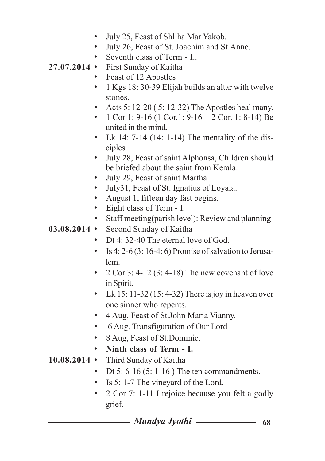- July 25, Feast of Shliha Mar Yakob.
- July 26, Feast of St. Joachim and St.Anne.
- Seventh class of Term I..
- **27.07.2014** First Sunday of Kaitha
	- Feast of 12 Apostles
	- 1 Kgs 18: 30-39 Elijah builds an altar with twelve stones.
	- Acts 5:  $12-20$  (5:  $12-32$ ) The Apostles heal many.
	- 1 Cor 1:  $9-16$  (1 Cor.1:  $9-16 + 2$  Cor. 1: 8-14) Be united in the mind.
	- Lk 14: 7-14 (14: 1-14) The mentality of the disciples.
	- July 28, Feast of saint Alphonsa, Children should be briefed about the saint from Kerala.
	- July 29, Feast of saint Martha
	- July31, Feast of St. Ignatius of Loyala.
	- August 1, fifteen day fast begins.
	- Eight class of Term I.
	- Staff meeting(parish level): Review and planning
- **03.08.2014** Second Sunday of Kaitha
	- Dt 4: 32-40 The eternal love of God.
	- Is  $4: 2-6(3: 16-4: 6)$  Promise of salvation to Jerusalem.
	- 2 Cor 3: 4-12 (3: 4-18) The new covenant of love in Spirit.
	- Lk 15: 11-32 (15: 4-32) There is joy in heaven over one sinner who repents.
	- 4 Aug, Feast of St.John Maria Vianny.
	- 6 Aug, Transfiguration of Our Lord
	- 8 Aug, Feast of St. Dominic.
	- **Ninth class of Term I.**
- **10.08.2014** Third Sunday of Kaitha
	- Dt 5:  $6-16$  (5:  $1-16$ ) The ten commandments.
	- Is 5: 1-7 The vineyard of the Lord.
	- 2 Cor 7: 1-11 I rejoice because you felt a godly grief.
		- *Mandya Jyothi* 68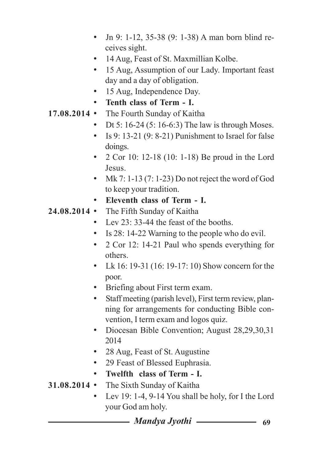- Jn 9: 1-12, 35-38 (9: 1-38) A man born blind receives sight.
- 14 Aug, Feast of St. Maxmillian Kolbe.
- 15 Aug, Assumption of our Lady. Important feast day and a day of obligation.
- 15 Aug, Independence Day.
- **Tenth class of Term I.**
- **17.08.2014** The Fourth Sunday of Kaitha
	- Dt 5: 16-24 (5: 16-6:3) The law is through Moses.
	- Is  $9: 13-21$   $(9: 8-21)$  Punishment to Israel for false doings.
	- 2 Cor 10: 12-18 (10: 1-18) Be proud in the Lord Jesus.
	- Mk 7: 1-13 (7: 1-23) Do not reject the word of God to keep your tradition.
	- **Eleventh class of Term I.**
- **24.08.2014** The Fifth Sunday of Kaitha
	- Lev  $23 \cdot 33-44$  the feast of the booths.
	- Is 28: 14-22 Warning to the people who do evil.
	- 2 Cor 12: 14-21 Paul who spends everything for others.
	- Lk 16: 19-31 (16: 19-17: 10) Show concern for the poor.
	- Briefing about First term exam.
	- Staff meeting (parish level), First term review, planning for arrangements for conducting Bible convention, I term exam and logos quiz.
	- Diocesan Bible Convention; August 28,29,30,31 2014
	- 28 Aug, Feast of St. Augustine
	- 29 Feast of Blessed Euphrasia.
	- **Twelfth class of Term I.**
- **31.08.2014** The Sixth Sunday of Kaitha
	- Lev 19: 1-4, 9-14 You shall be holy, for I the Lord your God am holy.

### — *Mandya Jyothi* — 69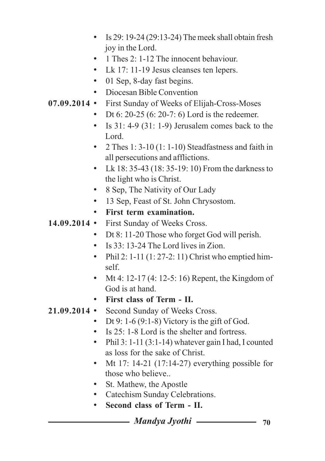- Is  $29: 19-24 (29:13-24)$  The meek shall obtain fresh joy in the Lord.
- 1 Thes 2: 1-12 The innocent behaviour.
- Lk 17: 11-19 Jesus cleanses ten lepers.
- 01 Sep, 8-day fast begins.
- Diocesan Bible Convention
- **07.09.2014** First Sunday of Weeks of Elijah-Cross-Moses
	- Dt  $6: 20-25$   $(6: 20-7: 6)$  Lord is the redeemer.
	- Is 31: 4-9 (31: 1-9) Jerusalem comes back to the Lord.
	- 2 Thes 1: 3-10 (1: 1-10) Steadfastness and faith in all persecutions and afflictions.
	- Lk 18: 35-43 (18: 35-19: 10) From the darkness to the light who is Christ.
	- 8 Sep, The Nativity of Our Lady
	- 13 Sep, Feast of St. John Chrysostom.
	- **First term examination.**
- **14.09.2014** First Sunday of Weeks Cross.
	- Dt 8: 11-20 Those who forget God will perish.
	- Is 33: 13-24 The Lord lives in Zion.
	- Phil 2:  $1-11$   $(1: 27-2: 11)$  Christ who emptied himself.
	- Mt 4: 12-17 (4: 12-5: 16) Repent, the Kingdom of God is at hand.
	- **First class of Term II.**
- **21.09.2014** Second Sunday of Weeks Cross.
	- Dt 9: 1-6 (9:1-8) Victory is the gift of God.
	- Is 25: 1-8 Lord is the shelter and fortress.
	- Phil 3: 1-11  $(3:1-14)$  whatever gain I had, I counted as loss for the sake of Christ.
	- Mt 17: 14-21 (17:14-27) everything possible for those who believe..
	- St. Mathew, the Apostle
	- Catechism Sunday Celebrations.
	- **Second class of Term II.**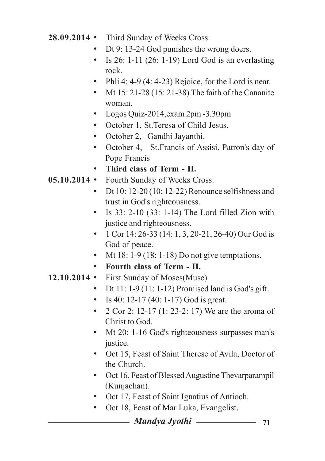- **28.09.2014** Third Sunday of Weeks Cross.
	- Dt 9: 13-24 God punishes the wrong doers.
	- Is  $26: 1-11$  (26: 1-19) Lord God is an everlasting rock.
	- Phli 4: 4-9 (4: 4-23) Rejoice, for the Lord is near.
	- Mt  $15: 21-28$  (15: 21-38) The faith of the Cananite woman.
	- Logos Quiz-2014,exam 2pm -3.30pm
	- October 1, St.Teresa of Child Jesus.
	- October 2, Gandhi Jayanthi.
	- October 4, St.Francis of Assisi. Patron's day of Pope Francis
	- **Third class of Term II.**
- **05.10.2014** Fourth Sunday of Weeks Cross.
	- Dt 10: 12-20 (10: 12-22) Renounce selfishness and trust in God's righteousness.
	- Is  $33: 2-10$   $(33: 1-14)$  The Lord filled Zion with justice and righteousness.
	- 1 Cor 14:  $26-33$  (14: 1, 3, 20-21, 26-40) Our God is God of peace.
	- Mt 18: 1-9 (18: 1-18) Do not give temptations.
	- **Fourth class of Term II.**
- **12.10.2014** First Sunday of Moses(Muse)
	- Dt 11: 1-9 (11: 1-12) Promised land is God's gift.
	- Is 40: 12-17 (40: 1-17) God is great.
	- 2 Cor 2: 12-17 (1: 23-2: 17) We are the aroma of Christ to God.
	- Mt 20: 1-16 God's righteousness surpasses man's justice.
	- Oct 15, Feast of Saint Therese of Avila, Doctor of the Church.
	- Oct 16, Feast of Blessed Augustine Thevarparampil (Kunjachan).
	- Oct 17, Feast of Saint Ignatius of Antioch.
	- Oct 18, Feast of Mar Luka, Evangelist.

### *Mandya Jyothi* — 71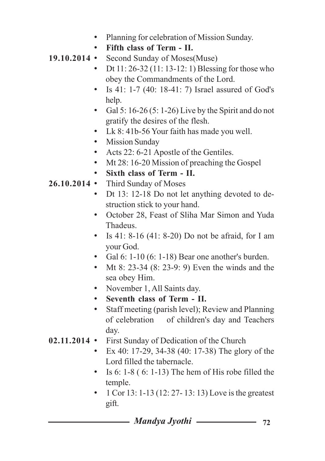- Planning for celebration of Mission Sunday.
- **Fifth class of Term II.**
- **19.10.2014** Second Sunday of Moses(Muse)
	- Dt 11:  $26-32$  (11: 13-12: 1) Blessing for those who obey the Commandments of the Lord.
	- Is 41: 1-7 (40: 18-41: 7) Israel assured of God's help.
	- Gal 5: 16-26 (5: 1-26) Live by the Spirit and do not gratify the desires of the flesh.
	- Lk 8: 41b-56 Your faith has made you well.
	- Mission Sunday
	- Acts 22: 6-21 Apostle of the Gentiles.
	- Mt 28: 16-20 Mission of preaching the Gospel
	- **Sixth class of Term II.**
- **26.10.2014** Third Sunday of Moses
	- Dt 13: 12-18 Do not let anything devoted to destruction stick to your hand.
	- October 28, Feast of Sliha Mar Simon and Yuda Thadeus.
	- Is 41: 8-16 (41: 8-20) Do not be afraid, for I am your God.
	- Gal 6: 1-10 (6: 1-18) Bear one another's burden.
	- Mt 8: 23-34 (8: 23-9: 9) Even the winds and the sea obey Him.
	- November 1, All Saints day.
	- **Seventh class of Term II.**
	- Staff meeting (parish level); Review and Planning of celebration of children's day and Teachers day.
- **02.11.2014** First Sunday of Dedication of the Church
	- Ex 40: 17-29, 34-38 (40: 17-38) The glory of the Lord filled the tabernacle.
	- Is  $6: 1-8$  (6: 1-13) The hem of His robe filled the temple.
	- 1 Cor 13: 1-13 (12: 27- 13: 13) Love is the greatest gift.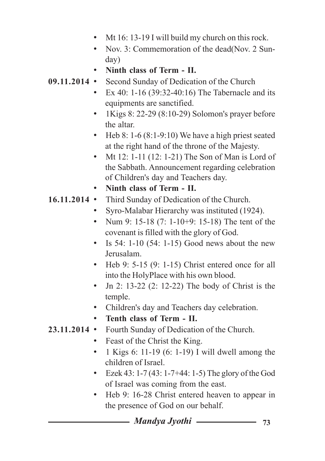- Mt 16: 13-19 I will build my church on this rock.
- Nov. 3: Commemoration of the dead(Nov. 2 Sunday)
- **Ninth class of Term II.**
- **09.11.2014** Second Sunday of Dedication of the Church
	- Ex 40: 1-16 (39:32-40:16) The Tabernacle and its equipments are sanctified.
	- 1Kigs 8: 22-29 (8:10-29) Solomon's prayer before the altar.
	- Heb 8: 1-6  $(8:1-9:10)$  We have a high priest seated at the right hand of the throne of the Majesty.
	- Mt  $12: 1-11$   $(12: 1-21)$  The Son of Man is Lord of the Sabbath. Announcement regarding celebration of Children's day and Teachers day.
	- **Ninth class of Term II.**
- **16.11.2014** Third Sunday of Dedication of the Church.
	- Syro-Malabar Hierarchy was instituted (1924).
	- Num 9: 15-18 (7: 1-10+9: 15-18) The tent of the covenant is filled with the glory of God.
	- Is  $54: 1-10$   $(54: 1-15)$  Good news about the new Jerusalam.
	- Heb 9: 5-15 (9: 1-15) Christ entered once for all into the HolyPlace with his own blood.
	- Jn 2: 13-22 (2: 12-22) The body of Christ is the temple.
	- Children's day and Teachers day celebration.
	- **Tenth class of Term II.**
- **23.11.2014** Fourth Sunday of Dedication of the Church.
	- Feast of the Christ the King.
	- 1 Kigs 6: 11-19 (6: 1-19) I will dwell among the children of Israel.
	- Ezek 43:  $1-7(43: 1-7+44: 1-5)$  The glory of the God of Israel was coming from the east.
	- Heb 9: 16-28 Christ entered heaven to appear in the presence of God on our behalf.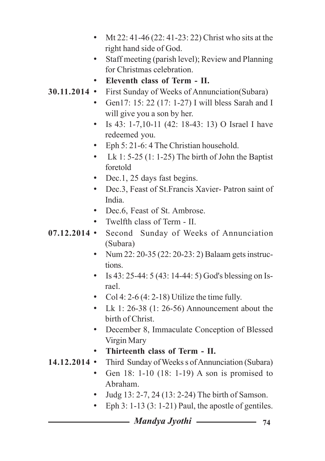- Mt 22: 41-46 (22: 41-23: 22) Christ who sits at the right hand side of God.
- Staff meeting (parish level); Review and Planning for Christmas celebration.
- **Eleventh class of Term II.**
- **30.11.2014** First Sunday of Weeks of Annunciation(Subara)
	- Gen17: 15: 22 (17: 1-27) I will bless Sarah and I will give you a son by her.
	- Is 43: 1-7,10-11 (42: 18-43: 13) O Israel I have redeemed you.
	- Eph 5: 21-6: 4 The Christian household.
	- Lk 1:  $5-25$  (1: 1-25) The birth of John the Baptist foretold
	- Dec.1, 25 days fast begins.
	- Dec.3, Feast of St.Francis Xavier- Patron saint of India.
	- Dec.6, Feast of St. Ambrose.
	- Twelfth class of Term II.
- **07.12.2014** Second Sunday of Weeks of Annunciation (Subara)
	- Num 22: 20-35 (22: 20-23: 2) Balaam gets instructions.
	- Is  $43: 25-44: 5 (43: 14-44: 5)$  God's blessing on Israel.
	- Col 4:  $2-6$  (4:  $2-18$ ) Utilize the time fully.
	- Lk 1: 26-38 (1: 26-56) Announcement about the birth of Christ.
	- December 8, Immaculate Conception of Blessed Virgin Mary
	- **Thirteenth class of Term II.**
- **14.12.2014** Third Sunday of Weeks s of Annunciation (Subara)
	- Gen  $18: 1-10$  (18: 1-19) A son is promised to Abraham.
	- Judg  $13: 2-7$ ,  $24(13: 2-24)$  The birth of Samson.
	- Eph 3: 1-13 (3: 1-21) Paul, the apostle of gentiles.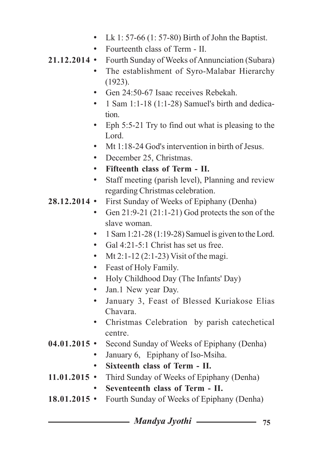- Lk 1: 57-66 (1: 57-80) Birth of John the Baptist.
- Fourteenth class of Term II
- **21.12.2014** Fourth Sunday of Weeks of Annunciation (Subara)
	- The establishment of Syro-Malabar Hierarchy (1923).
	- Gen 24:50-67 Isaac receives Rebekah.
	- 1 Sam 1:1-18 (1:1-28) Samuel's birth and dedication.
	- Eph 5:5-21 Try to find out what is pleasing to the Lord.
	- Mt 1:18-24 God's intervention in birth of Jesus.
	- December 25, Christmas.
	- **Fifteenth class of Term II.**
	- Staff meeting (parish level), Planning and review regarding Christmas celebration.
- **28.12.2014** First Sunday of Weeks of Epiphany (Denha)
	- Gen  $21:9-21$   $(21:1-21)$  God protects the son of the slave woman.
	- $\bullet$  1 Sam 1:21-28 (1:19-28) Samuel is given to the Lord.
	- Gal 4:21-5:1 Christ has set us free.
	- Mt 2:1-12 (2:1-23) Visit of the magi.
	- Feast of Holy Family.
	- Holy Childhood Day (The Infants' Day)
	- Jan.1 New year Day.
	- January 3, Feast of Blessed Kuriakose Elias Chavara.
	- Christmas Celebration by parish catechetical centre.
- **04.01.2015** Second Sunday of Weeks of Epiphany (Denha)
	- January 6, Epiphany of Iso-Msiha.
	- **Sixteenth class of Term II.**
- **11.01.2015** Third Sunday of Weeks of Epiphany (Denha)
	- **Seventeenth class of Term II.**
- **18.01.2015** Fourth Sunday of Weeks of Epiphany (Denha)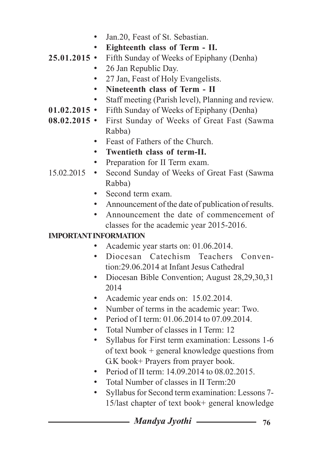- Jan 20 Feast of St. Sebastian.
- **Eighteenth class of Term II.**
- **25.01.2015** Fifth Sunday of Weeks of Epiphany (Denha)
	- 26 Jan Republic Day.
	- 27 Jan, Feast of Holy Evangelists.
	- **Nineteenth class of Term II**
	- Staff meeting (Parish level), Planning and review.
- **01.02.2015** Fifth Sunday of Weeks of Epiphany (Denha)
- **08.02.2015** First Sunday of Weeks of Great Fast (Sawma Rabba)
	- Feast of Fathers of the Church.
	- **Twentieth class of term-II.**
	- Preparation for II Term exam.
- 15.02.2015 Second Sunday of Weeks of Great Fast (Sawma Rabba)
	- Second term exam.
	- Announcement of the date of publication of results.
	- Announcement the date of commencement of classes for the academic year 2015-2016.

#### **IMPORTANT INFORMATION**

- Academic year starts on: 01.06.2014.
- Diocesan Catechism Teachers Convention:29.06.2014 at Infant Jesus Cathedral
- Diocesan Bible Convention; August 28,29,30,31 2014
- Academic year ends on: 15.02.2014.
- Number of terms in the academic year: Two.
- Period of I term: 01.06.2014 to 07.09.2014
- Total Number of classes in I Term: 12
- Syllabus for First term examination: Lessons 1-6 of text book + general knowledge questions from G.K book+ Prayers from prayer book.
- Period of II term: 14.09.2014 to 08.02.2015
- Total Number of classes in II Term:20
- Syllabus for Second term examination: Lessons 7- 15/last chapter of text book+ general knowledge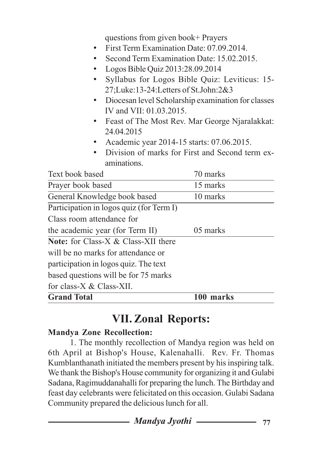| questions from given book+ Prayers                              |          |
|-----------------------------------------------------------------|----------|
|                                                                 |          |
| First Term Examination Date: 07.09.2014.                        |          |
| Second Term Examination Date: 15.02.2015.                       |          |
| Logos Bible Quiz 2013:28.09.2014                                |          |
| Syllabus for Logos Bible Quiz: Leviticus: 15-                   |          |
| 27; Luke: 13-24: Letters of St. John: 2&3                       |          |
| Diocesan level Scholarship examination for classes<br>$\bullet$ |          |
| IV and VII: 01.03.2015.                                         |          |
| Feast of The Most Rev. Mar George Njaralakkat:                  |          |
| 24.04.2015                                                      |          |
| Academic year 2014-15 starts: 07.06.2015.                       |          |
| Division of marks for First and Second term ex-                 |          |
| aminations.                                                     |          |
| Text book based                                                 | 70 marks |
| Prayer book based                                               | 15 marks |
| General Knowledge book based                                    | 10 marks |
| Participation in logos quiz (for Term I)                        |          |
| Class room attendance for                                       |          |
| the academic year (for Term II)                                 | 05 marks |
| <b>Note:</b> for Class-X & Class-XII there                      |          |

will be no marks for attendance or

participation in logos quiz. The text

based questions will be for 75 marks

for class-X & Class-XII.

**Grand Total 100 marks**

# **VII. Zonal Reports:**

## **Mandya Zone Recollection:**

1. The monthly recollection of Mandya region was held on 6th April at Bishop's House, Kalenahalli. Rev. Fr. Thomas Kumblanthanath initiated the members present by his inspiring talk. We thank the Bishop's House community for organizing it and Gulabi Sadana, Ragimuddanahalli for preparing the lunch. The Birthday and feast day celebrants were felicitated on this occasion. Gulabi Sadana Community prepared the delicious lunch for all.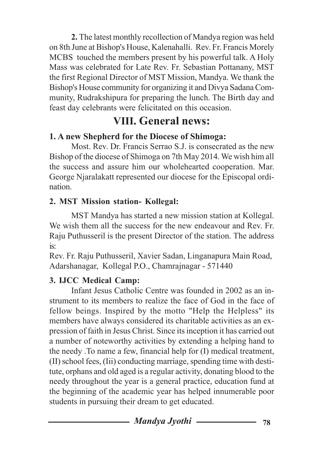**2.** The latest monthly recollection of Mandya region was held on 8th June at Bishop's House, Kalenahalli. Rev. Fr. Francis Morely MCBS touched the members present by his powerful talk. A Holy Mass was celebrated for Late Rev. Fr. Sebastian Pottanany, MST the first Regional Director of MST Mission, Mandya. We thank the Bishop's House community for organizing it and Divya Sadana Community, Rudrakshipura for preparing the lunch. The Birth day and feast day celebrants were felicitated on this occasion.

# **VIII. General news:**

### **1. A new Shepherd for the Diocese of Shimoga:**

Most. Rev. Dr. Francis Serrao S.J. is consecrated as the new Bishop of the diocese of Shimoga on 7th May 2014. We wish him all the success and assure him our wholehearted cooperation. Mar. George Njaralakatt represented our diocese for the Episcopal ordination.

# **2. MST Mission station- Kollegal:**

MST Mandya has started a new mission station at Kollegal. We wish them all the success for the new endeavour and Rev. Fr. Raju Puthusseril is the present Director of the station. The address is:

Rev. Fr. Raju Puthusseril, Xavier Sadan, Linganapura Main Road, Adarshanagar, Kollegal P.O., Chamrajnagar - 571440

# **3. IJCC Medical Camp:**

Infant Jesus Catholic Centre was founded in 2002 as an instrument to its members to realize the face of God in the face of fellow beings. Inspired by the motto "Help the Helpless" its members have always considered its charitable activities as an expression of faith in Jesus Christ. Since its inception it has carried out a number of noteworthy activities by extending a helping hand to the needy .To name a few, financial help for (I) medical treatment, (II) school fees, (Iii) conducting marriage, spending time with destitute, orphans and old aged is a regular activity, donating blood to the needy throughout the year is a general practice, education fund at the beginning of the academic year has helped innumerable poor students in pursuing their dream to get educated.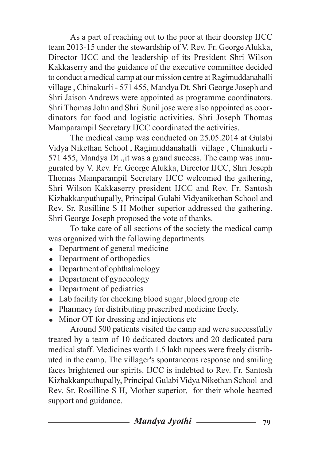As a part of reaching out to the poor at their doorstep IJCC team 2013-15 under the stewardship of V. Rev. Fr. George Alukka, Director IJCC and the leadership of its President Shri Wilson Kakkaserry and the guidance of the executive committee decided to conduct a medical camp at our mission centre at Ragimuddanahalli village , Chinakurli - 571 455, Mandya Dt. Shri George Joseph and Shri Jaison Andrews were appointed as programme coordinators. Shri Thomas John and Shri Sunil jose were also appointed as coordinators for food and logistic activities. Shri Joseph Thomas Mamparampil Secretary IJCC coordinated the activities.

The medical camp was conducted on 25.05.2014 at Gulabi Vidya Nikethan School , Ragimuddanahalli village , Chinakurli - 571 455, Mandya Dt .,it was a grand success. The camp was inaugurated by V. Rev. Fr. George Alukka, Director IJCC, Shri Joseph Thomas Mamparampil Secretary IJCC welcomed the gathering, Shri Wilson Kakkaserry president IJCC and Rev. Fr. Santosh Kizhakkanputhupally, Principal Gulabi Vidyanikethan School and Rev. Sr. Rosilline S H Mother superior addressed the gathering. Shri George Joseph proposed the vote of thanks.

To take care of all sections of the society the medical camp was organized with the following departments.

- Department of general medicine
- Department of orthopedics
- Department of ophthalmology
- Department of gynecology
- Department of pediatrics
- Lab facility for checking blood sugar, blood group etc
- Pharmacy for distributing prescribed medicine freely.
- Minor OT for dressing and injections etc

Around 500 patients visited the camp and were successfully treated by a team of 10 dedicated doctors and 20 dedicated para medical staff. Medicines worth 1.5 lakh rupees were freely distributed in the camp. The villager's spontaneous response and smiling faces brightened our spirits. IJCC is indebted to Rev. Fr. Santosh Kizhakkanputhupally, Principal Gulabi Vidya Nikethan School and Rev. Sr. Rosilline S H, Mother superior, for their whole hearted support and guidance.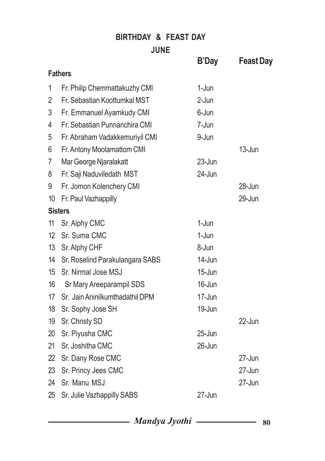#### **BIRTHDAY & FEAST DAY**

#### **JUNE**

|    |                                 | <b>B'Day</b> | <b>Feast Day</b> |
|----|---------------------------------|--------------|------------------|
|    | <b>Fathers</b>                  |              |                  |
| 1  | Fr. Philip Chemmattakuzhy CMI   | 1-Jun        |                  |
| 2  | Fr. Sebastian Koottumkal MST    | 2-Jun        |                  |
| 3  | Fr. Emmanuel Ayamkudy CMI       | 6-Jun        |                  |
| 4  | Fr. Sebastian Punnanchira CMI   | 7-Jun        |                  |
| 5  | Fr. Abraham Vadakkemuriyil CMI  | 9-Jun        |                  |
| 6  | Fr. Antony Moolamattom CMI      |              | 13-Jun           |
| 7  | Mar George Njaralakatt          | 23-Jun       |                  |
| 8  | Fr. Saji Naduviledath MST       | 24-Jun       |                  |
| 9  | Fr. Jomon Kolenchery CMI        |              | 28-Jun           |
| 10 | Fr. Paul Vazhappilly            |              | 29-Jun           |
|    | <b>Sisters</b>                  |              |                  |
| 11 | Sr. Alphy CMC                   | 1-Jun        |                  |
| 12 | Sr. Suma CMC                    | 1-Jun        |                  |
| 13 | Sr. Alphy CHF                   | 8-Jun        |                  |
| 14 | Sr. Roselind Parakulangara SABS | 14-Jun       |                  |
| 15 | Sr. Nirmal Jose MSJ             | 15-Jun       |                  |
| 16 | Sr Mary Areeparampil SDS        | 16-Jun       |                  |
| 17 | Sr. Jain Aninilkumthadathil DPM | 17-Jun       |                  |
| 18 | Sr. Sophy Jose SH               | 19-Jun       |                  |
| 19 | Sr. Christy SD                  |              | 22-Jun           |
| 20 | Sr. Piyusha CMC                 | 25-Jun       |                  |
| 21 | Sr. Joshitha CMC                | 26-Jun       |                  |
| 22 | Sr. Dany Rose CMC               |              | 27-Jun           |
| 23 | Sr. Princy Jees CMC             |              | 27-Jun           |
| 24 | Sr. Manu MSJ                    |              | 27-Jun           |
| 25 | Sr. Julie Vazhappilly SABS      | 27-Jun       |                  |

*Mandya Jyothi* **2008** 80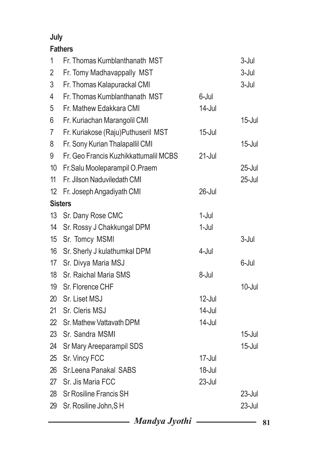### **July**

### **Fathers**

|                  | Mandya Jyothi                                             |            |                        |
|------------------|-----------------------------------------------------------|------------|------------------------|
| 29               | Sr. Rosiline John, SH                                     |            | 23-Jul                 |
| 28               | Sr Rosiline Francis SH                                    |            | $23$ -Jul              |
| 27               | Sr. Jis Maria FCC                                         | 23-Jul     |                        |
| 26               | Sr.Leena Panakal SABS                                     | $18 -$ Jul |                        |
| 25               | Sr. Vincy FCC                                             | $17 -$ Jul |                        |
| 24               | Sr Mary Areeparampil SDS                                  |            | $15 -$ Jul             |
| 23               | Sr. Sandra MSMI                                           |            | $15 -$ Jul             |
| 22               | Sr. Mathew Vattavath DPM                                  | $14$ -Jul  |                        |
| 21               | Sr. Cleris MSJ                                            | $14$ -Jul  |                        |
| 20               | Sr. Liset MSJ                                             | $12$ -Jul  |                        |
| 19               | Sr. Florence CHF                                          |            | $10 -$ Jul             |
| 18               | Sr. Raichal Maria SMS                                     | 8-Jul      |                        |
| 17 <sup>17</sup> | Sr. Divya Maria MSJ                                       |            | 6-Jul                  |
| 16               | Sr. Sherly J kulathumkal DPM                              | 4-Jul      |                        |
| 15               | Sr. Tomcy MSMI                                            |            | $3 -$ Jul              |
| 14               | Sr. Rossy J Chakkungal DPM                                | $1 -$ Jul  |                        |
| 13               | Sr. Dany Rose CMC                                         | $1-Jul$    |                        |
| <b>Sisters</b>   |                                                           |            |                        |
| 12               | Fr. Joseph Angadiyath CMI                                 | $26$ -Jul  |                        |
| 11               | Fr. Jilson Naduviledath CMI                               |            | $25 -$ Jul             |
| 10 <sup>1</sup>  | Fr.Salu Mooleparampil O.Praem                             |            | 25-Jul                 |
| 9                | Fr. Geo Francis Kuzhikkattumalil MCBS                     | $21 -$ Jul |                        |
| 8                | Fr. Sony Kurian Thalapallil CMI                           |            | 15-Jul                 |
| 7                | Fr. Kuriakose (Raju)Puthuseril MST                        | $15 -$ Jul |                        |
| 6                | Fr. Kuriachan Marangolil CMI                              |            | $15$ -Jul              |
| 5                | Fr. Mathew Edakkara CMI                                   | $14$ -Jul  |                        |
| 4                | Fr. Thomas Kumblanthanath MST                             | 6-Jul      |                        |
| 2<br>3           | Fr. Tomy Madhavappally MST<br>Fr. Thomas Kalapurackal CMI |            | $3 -$ Jul<br>$3 -$ Jul |
| $\mathbf{1}$     | Fr. Thomas Kumblanthanath MST                             |            | $3 -$ Jul              |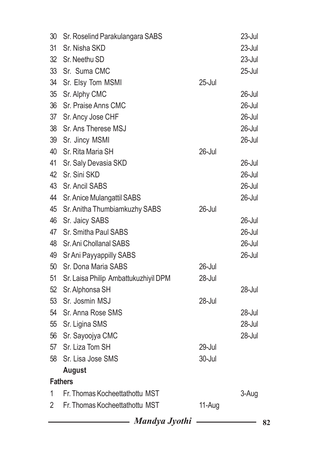|                | - Mandya Jyothi                      |            | 82               |
|----------------|--------------------------------------|------------|------------------|
| $\overline{2}$ | Fr. Thomas Kocheettathottu MST       | 11-Aug     |                  |
| 1              | Fr. Thomas Kocheettathottu MST       |            | 3-Aug            |
|                | <b>Fathers</b>                       |            |                  |
|                | August                               |            |                  |
| 58             | Sr. Lisa Jose SMS                    | 30-Jul     |                  |
| 57             | Sr. Liza Tom SH                      | 29-Jul     |                  |
| 56             | Sr. Sayoojya CMC                     |            | 28-Jul           |
| 55             | Sr. Ligina SMS                       |            | 28-Jul           |
| 54             | Sr. Anna Rose SMS                    |            | 28-Jul           |
| 53             | Sr. Josmin MSJ                       | $28 -$ Jul |                  |
| 52             | Sr. Alphonsa SH                      |            | 28-Jul           |
| 51             | Sr. Laisa Philip Ambattukuzhiyil DPM | $28 -$ Jul |                  |
| 50             | Sr. Dona Maria SABS                  | 26-Jul     |                  |
| 49             | Sr Ani Payyappilly SABS              |            | 26-Jul           |
| 48             | Sr. Ani Chollanal SABS               |            | 26-Jul           |
| 47             | Sr. Smitha Paul SABS                 |            | 26-Jul           |
| 46             | Sr. Jaicy SABS                       |            | 26-Jul           |
| 45             | Sr. Anitha Thumbiamkuzhy SABS        | $26$ -Jul  |                  |
| 44             | Sr. Anice Mulangattil SABS           |            | 26-Jul           |
| 43             | Sr. Ancil SABS                       |            | 26-Jul           |
| 42             | Sr. Sini SKD                         |            | $26$ -Jul        |
| 41             | Sr. Saly Devasia SKD                 |            | 26-Jul           |
| 40             | Sr. Rita Maria SH                    | $26$ -Jul  |                  |
| 39             | Sr. Jincy MSMI                       |            | 26-Jul           |
| 38             | Sr. Ans Therese MSJ                  |            | 26-Jul           |
| 37             | Sr. Ancy Jose CHF                    |            | 26-Jul           |
| 36             | Sr. Alphy CMC<br>Sr. Praise Anns CMC |            | 26-Jul<br>26-Jul |
| 34<br>35       | Sr. Elsy Tom MSMI                    | $25 -$ Jul |                  |
| 33             | Sr. Suma CMC                         |            | 25-Jul           |
| 32             | Sr. Neethu SD                        |            | $23$ -Jul        |
| 31             | Sr. Nisha SKD                        |            | $23 -$ Jul       |
| 30             | Sr. Roselind Parakulangara SABS      |            | 23-Jul           |
|                |                                      |            |                  |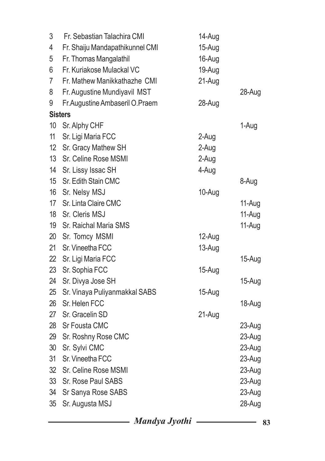| 3              | Fr. Sebastian Talachira CMI     | 14-Aug |        |
|----------------|---------------------------------|--------|--------|
| $\overline{4}$ | Fr. Shaiju Mandapathikunnel CMI | 15-Aug |        |
| 5              | Fr. Thomas Mangalathil          | 16-Aug |        |
| 6              | Fr. Kuriakose Mulackal VC       | 19-Aug |        |
| 7              | Fr. Mathew Manikkathazhe CMI    | 21-Aug |        |
| 8              | Fr. Augustine Mundiyavil MST    |        | 28-Aug |
| 9              | Fr.Augustine Ambaseril O.Praem  | 28-Aug |        |
| <b>Sisters</b> |                                 |        |        |
| 10             | Sr. Alphy CHF                   |        | 1-Aug  |
| 11             | Sr. Ligi Maria FCC              | 2-Aug  |        |
| 12             | Sr. Gracy Mathew SH             | 2-Aug  |        |
| 13             | Sr. Celine Rose MSMI            | 2-Aug  |        |
| 14             | Sr. Lissy Issac SH              | 4-Aug  |        |
| 15             | Sr. Edith Stain CMC             |        | 8-Aug  |
| 16             | Sr. Nelsy MSJ                   | 10-Aug |        |
| 17             | Sr. Linta Claire CMC            |        | 11-Aug |
| 18             | Sr. Cleris MSJ                  |        | 11-Aug |
| 19             | Sr. Raichal Maria SMS           |        | 11-Aug |
| 20             | Sr. Tomcy MSMI                  | 12-Aug |        |
| 21             | Sr. Vineetha FCC                | 13-Aug |        |
| 22             | Sr. Ligi Maria FCC              |        | 15-Aug |
| 23             | Sr. Sophia FCC                  | 15-Aug |        |
| 24             | Sr. Divya Jose SH               |        | 15-Aug |
| 25             | Sr. Vinaya Puliyanmakkal SABS   | 15-Aug |        |
| 26             | Sr. Helen FCC                   |        | 18-Aug |
| 27             | Sr. Gracelin SD                 | 21-Aug |        |
| 28             | Sr Fousta CMC                   |        | 23-Aug |
| 29             | Sr. Roshny Rose CMC             |        | 23-Aug |
| 30             | Sr. Sylvi CMC                   |        | 23-Aug |
| 31             | Sr. Vineetha FCC                |        | 23-Aug |
| 32             | Sr. Celine Rose MSMI            |        | 23-Aug |
| 33             | Sr. Rose Paul SABS              |        | 23-Aug |
| 34             | Sr Sanya Rose SABS              |        | 23-Aug |
| 35             | Sr. Augusta MSJ                 |        | 28-Aug |
|                | — Mandya Jyothi                 |        | 83     |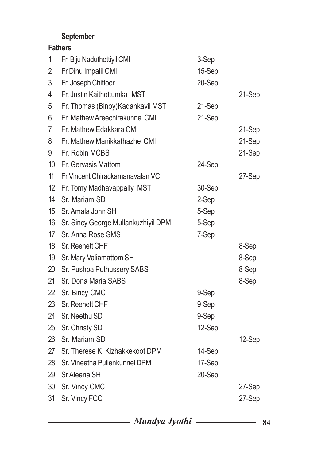#### **September**

| <b>Fathers</b> |                                     |        |        |
|----------------|-------------------------------------|--------|--------|
| 1              | Fr. Biju Naduthottiyil CMI          | 3-Sep  |        |
| 2              | Fr Dinu Impalil CMI                 | 15-Sep |        |
| 3              | Fr. Joseph Chittoor                 | 20-Sep |        |
| 4              | Fr. Justin Kaithottumkal MST        |        | 21-Sep |
| 5              | Fr. Thomas (Binoy) Kadankavil MST   | 21-Sep |        |
| 6              | Fr. Mathew Areechirakunnel CMI      | 21-Sep |        |
| 7              | Fr. Mathew Edakkara CMI             |        | 21-Sep |
| 8              | Fr. Mathew Manikkathazhe, CMI       |        | 21-Sep |
| 9              | Fr. Robin MCBS                      |        | 21-Sep |
| 10             | Fr. Gervasis Mattom                 | 24-Sep |        |
| 11             | Fr Vincent Chirackamanavalan VC     |        | 27-Sep |
| 12             | Fr. Tomy Madhavappally MST          | 30-Sep |        |
| 14             | Sr. Mariam SD                       | 2-Sep  |        |
| 15             | Sr. Amala John SH                   | 5-Sep  |        |
| 16             | Sr. Sincy George Mullankuzhiyil DPM | 5-Sep  |        |
| 17             | Sr. Anna Rose SMS                   | 7-Sep  |        |
| 18             | Sr. Reenett CHF                     |        | 8-Sep  |
| 19             | Sr. Mary Valiamattom SH             |        | 8-Sep  |
| 20             | Sr. Pushpa Puthussery SABS          |        | 8-Sep  |
| 21             | Sr. Dona Maria SABS                 |        | 8-Sep  |
| 22             | Sr. Bincy CMC                       | 9-Sep  |        |
| 23             | Sr. Reenett CHF                     | 9-Sep  |        |
| 24             | Sr. Neethu SD                       | 9-Sep  |        |
| 25             | Sr. Christy SD                      | 12-Sep |        |
| 26             | Sr. Mariam SD                       |        | 12-Sep |
| 27             | Sr. Therese K Kizhakkekoot DPM      | 14-Sep |        |
| 28             | Sr. Vineetha Pullenkunnel DPM       | 17-Sep |        |
| 29             | Sr Aleena SH                        | 20-Sep |        |
| 30             | Sr. Vincy CMC                       |        | 27-Sep |
| 31             | Sr. Vincy FCC                       |        | 27-Sep |

**Mandya Jyothi 1997 84**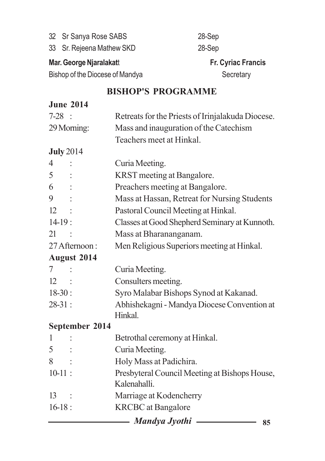| Bishop of the Diocese of Mandya | Secretary                 |  |
|---------------------------------|---------------------------|--|
| <b>Mar. George Njaralakatt</b>  | <b>Fr. Cyriac Francis</b> |  |
| 33 Sr. Rejeena Mathew SKD       | 28-Sep                    |  |
| 32 Sr Sanya Rose SABS           | 28-Sep                    |  |

# **June 2014** 7-28 : Retreats for the Priests of Irinjalakuda Diocese. 29 Morning: Mass and inauguration of the Catechism Teachers meet at Hinkal. **July** 2014 4 : Curia Meeting. 5 : KRST meeting at Bangalore. 6 : Preachers meeting at Bangalore. 9 : Mass at Hassan, Retreat for Nursing Students 12 : Pastoral Council Meeting at Hinkal. 14-19 : Classes at Good Shepherd Seminary at Kunnoth. 21 : Mass at Bharananganam. 27 Afternoon : Men Religious Superiors meeting at Hinkal. **August 2014** 7 : Curia Meeting. 12 : Consulters meeting. 18-30 : Syro Malabar Bishops Synod at Kakanad. 28-31 : Abhishekagni - Mandya Diocese Convention at Hinkal. **September 2014** 1 : Betrothal ceremony at Hinkal. 5 : Curia Meeting. 8 : Holy Mass at Padichira. 10-11 : Presbyteral Council Meeting at Bishops House, Kalenahalli. 13 : Marriage at Kodencherry 16-18 : KRCBC at Bangalore

*Mandya Jyothi* **85**

#### **BISHOP'S PROGRAMME**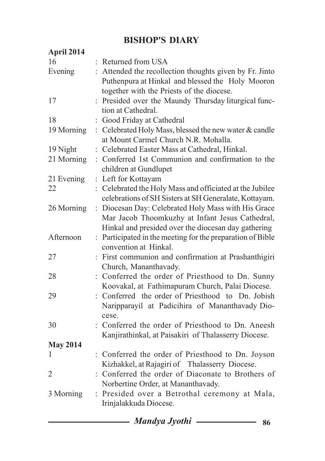### **BISHOP'S DIARY**

| April 2014      |                                                                                                                                                               |
|-----------------|---------------------------------------------------------------------------------------------------------------------------------------------------------------|
| 16              | : Returned from USA                                                                                                                                           |
| Evening         | : Attended the recollection thoughts given by Fr. Jinto<br>Puthenpura at Hinkal and blessed the Holy Mooron<br>together with the Priests of the diocese.      |
| 17              | Presided over the Maundy Thursday liturgical func-<br>tion at Cathedral.                                                                                      |
| 18              | Good Friday at Cathedral                                                                                                                                      |
| 19 Morning      | Celebrated Holy Mass, blessed the new water & candle<br>at Mount Carmel Church N.R. Mohalla.                                                                  |
| 19 Night        | Celebrated Easter Mass at Cathedral, Hinkal.                                                                                                                  |
| 21 Morning      | : Conferred 1st Communion and confirmation to the<br>children at Gundlupet                                                                                    |
| 21 Evening      | Left for Kottayam                                                                                                                                             |
| 22              | Celebrated the Holy Mass and officiated at the Jubilee<br>celebrations of SH Sisters at SH Generalate, Kottayam.                                              |
| 26 Morning      | : Diocesan Day: Celebrated Holy Mass with His Grace<br>Mar Jacob Thoomkuzhy at Infant Jesus Cathedral,<br>Hinkal and presided over the diocesan day gathering |
| Afternoon       | : Participated in the meeting for the preparation of Bible<br>convention at Hinkal.                                                                           |
| 27              | First communion and confirmation at Prashanthigiri<br>Church, Mananthavady.                                                                                   |
| 28              | Conferred the order of Priesthood to Dn. Sunny<br>Koovakal, at Fathimapuram Church, Palai Diocese.                                                            |
| 29              | Conferred the order of Priesthood to Dn. Jobish<br>Naripparayil at Padicihira of Mananthavady Dio-<br>cese.                                                   |
| 30              | : Conferred the order of Priesthood to Dn. Aneesh<br>Kanjirathinkal, at Paisakiri of Thalasserry Diocese.                                                     |
| <b>May 2014</b> |                                                                                                                                                               |
| 1               | Conferred the order of Priesthood to Dn. Joyson<br>Kizhakkel, at Rajagiri of Thalasserry Diocese.                                                             |
| $\overline{2}$  | Conferred the order of Diaconate to Brothers of<br>Norbertine Order, at Mananthavady.                                                                         |
| 3 Morning       | Presided over a Betrothal ceremony at Mala,<br>t.<br>Irinjalakkuda Diocese.                                                                                   |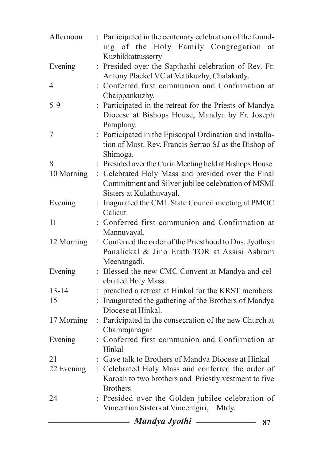| Afternoon  | Participated in the centenary celebration of the found-                                                         |
|------------|-----------------------------------------------------------------------------------------------------------------|
|            | of the Holy Family Congregation<br>$\frac{1}{2}$<br>at                                                          |
|            | Kuzhikkattusserry                                                                                               |
| Evening    | Presided over the Sapthathi celebration of Rev. Fr.                                                             |
|            | Antony Plackel VC at Vettikuzhy, Chalakudy.                                                                     |
| 4          | Conferred first communion and Confirmation at                                                                   |
|            | Chaippankuzhy.                                                                                                  |
| $5-9$      | Participated in the retreat for the Priests of Mandya<br>Diocese at Bishops House, Mandya by Fr. Joseph         |
|            | Pamplany.                                                                                                       |
| 7          | Participated in the Episcopal Ordination and installa-<br>tion of Most. Rev. Francis Serrao SJ as the Bishop of |
|            | Shimoga.                                                                                                        |
| 8          | Presided over the Curia Meeting held at Bishops House.                                                          |
| 10 Morning | Celebrated Holy Mass and presided over the Final                                                                |
|            | Commitment and Silver jubilee celebration of MSMI                                                               |
|            | Sisters at Kulathuvayal.                                                                                        |
| Evening    | Inagurated the CML State Council meeting at PMOC                                                                |
|            | Calicut.                                                                                                        |
| 11         | Conferred first communion and Confirmation at                                                                   |
|            | Mannuvayal.                                                                                                     |
| 12 Morning | Conferred the order of the Priesthood to Dns. Jyothish                                                          |
|            | Panalickal & Jino Erath TOR at Assisi Ashram                                                                    |
|            | Meenangadi.                                                                                                     |
| Evening    | Blessed the new CMC Convent at Mandya and cel-<br>ebrated Holy Mass.                                            |
| $13 - 14$  | preached a retreat at Hinkal for the KRST members.                                                              |
| 15         | Inaugurated the gathering of the Brothers of Mandya                                                             |
|            | Diocese at Hinkal.                                                                                              |
| 17 Morning | Participated in the consecration of the new Church at<br>Chamrajanagar                                          |
| Evening    | Conferred first communion and Confirmation at                                                                   |
|            | Hinkal                                                                                                          |
| 21         | Gave talk to Brothers of Mandya Diocese at Hinkal                                                               |
| 22 Evening | Celebrated Holy Mass and conferred the order of                                                                 |
|            | Karoah to two brothers and Priestly vestment to five                                                            |
| 24         | <b>Brothers</b><br>Presided over the Golden jubilee celebration of                                              |
|            | Vincentian Sisters at Vincentgiri,<br>Mtdy.                                                                     |
|            | - Mandya Jyothi —<br>87                                                                                         |